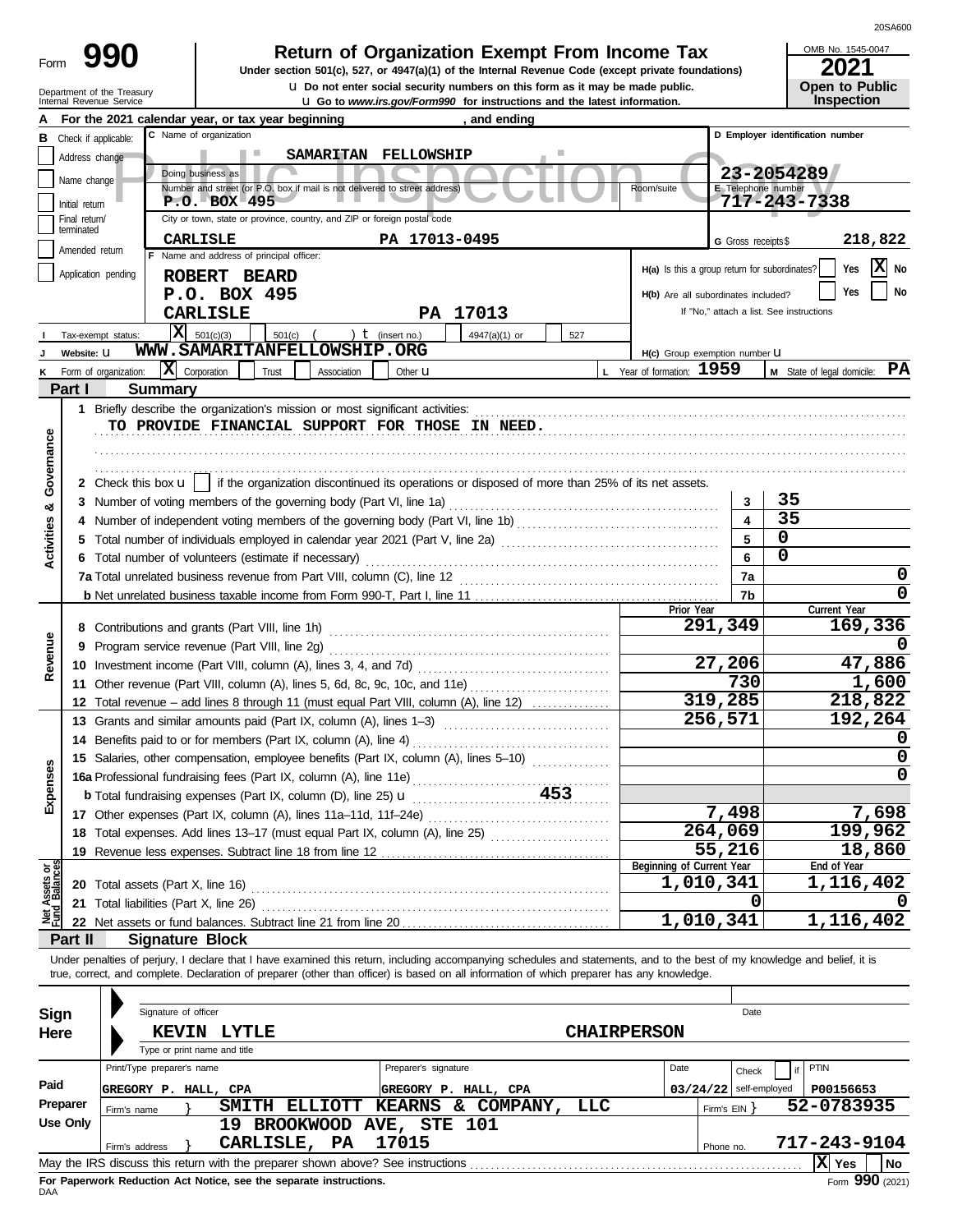| Form |  |
|------|--|
|      |  |

Department of the Treasury

# **Return of Organization Exempt From Income Tax**

Internal Revenue Service u **Go to** *www.irs.gov/Form990* **for instructions and the latest information. u** Do not enter social security numbers on this form as it may be made public. **Under section 501(c), 527, or 4947(a)(1) of the Internal Revenue Code (except private foundations)** OMB No. 1545-0047

20SA600

| LUL I                 |  |
|-----------------------|--|
| <b>Open to Public</b> |  |
| <b>Inspection</b>     |  |

|                           |                | For the 2021 calendar year, or tax year beginning<br>C Name of organization                                                                                                |                      | , and ending         |                    |                                               |                          |                                          |  |  |  |  |  |  |  |
|---------------------------|----------------|----------------------------------------------------------------------------------------------------------------------------------------------------------------------------|----------------------|----------------------|--------------------|-----------------------------------------------|--------------------------|------------------------------------------|--|--|--|--|--|--|--|
| в                         |                | Check if applicable:                                                                                                                                                       |                      |                      |                    |                                               |                          | D Employer identification number         |  |  |  |  |  |  |  |
|                           | Address change | <b>The College</b>                                                                                                                                                         | SAMARITAN FELLOWSHIP |                      |                    |                                               |                          |                                          |  |  |  |  |  |  |  |
|                           | Name change    | Doing business as                                                                                                                                                          | 23-2054289           |                      |                    |                                               |                          |                                          |  |  |  |  |  |  |  |
|                           |                | Number and street (or P.O. box if mail is not delivered to street address)                                                                                                 |                      |                      |                    | Room/suite                                    | E Telephone number       |                                          |  |  |  |  |  |  |  |
|                           | Initial return | $P.0. BOX-495$                                                                                                                                                             |                      |                      |                    |                                               |                          | 717-243-7338                             |  |  |  |  |  |  |  |
|                           | Final return/  | City or town, state or province, country, and ZIP or foreign postal code                                                                                                   |                      |                      |                    |                                               |                          |                                          |  |  |  |  |  |  |  |
|                           | terminated     | CARLISLE                                                                                                                                                                   | PA 17013-0495        |                      |                    |                                               | G Gross receipts \$      | 218,822                                  |  |  |  |  |  |  |  |
|                           | Amended return | F Name and address of principal officer:                                                                                                                                   |                      |                      |                    |                                               |                          |                                          |  |  |  |  |  |  |  |
|                           |                | Application pending                                                                                                                                                        |                      |                      |                    | H(a) Is this a group return for subordinates? |                          | X No<br>Yes                              |  |  |  |  |  |  |  |
|                           |                | ROBERT BEARD                                                                                                                                                               |                      |                      |                    |                                               |                          |                                          |  |  |  |  |  |  |  |
|                           |                | P.O. BOX 495                                                                                                                                                               |                      |                      |                    | H(b) Are all subordinates included?           |                          | No<br>Yes                                |  |  |  |  |  |  |  |
|                           |                | <b>CARLISLE</b>                                                                                                                                                            |                      | PA 17013             |                    |                                               |                          | If "No," attach a list. See instructions |  |  |  |  |  |  |  |
|                           |                | $ \mathbf{X} $ 501(c)(3)<br>501(c)<br>Tax-exempt status:                                                                                                                   | ) $t$ (insert no.)   | 4947(a)(1) or        | 527                |                                               |                          |                                          |  |  |  |  |  |  |  |
|                           | Website: U     | WWW.SAMARITANFELLOWSHIP.ORG                                                                                                                                                |                      |                      |                    | H(c) Group exemption number LI                |                          |                                          |  |  |  |  |  |  |  |
|                           |                |                                                                                                                                                                            |                      |                      |                    |                                               |                          | PA                                       |  |  |  |  |  |  |  |
|                           |                | X Corporation<br>Form of organization:<br>Trust<br>Association                                                                                                             | Other <b>u</b>       |                      |                    | L Year of formation: 1959                     |                          | M State of legal domicile:               |  |  |  |  |  |  |  |
|                           | Part I         | <b>Summary</b>                                                                                                                                                             |                      |                      |                    |                                               |                          |                                          |  |  |  |  |  |  |  |
|                           |                | 1 Briefly describe the organization's mission or most significant activities:                                                                                              |                      |                      |                    |                                               |                          |                                          |  |  |  |  |  |  |  |
|                           |                | TO PROVIDE FINANCIAL SUPPORT FOR THOSE IN NEED.                                                                                                                            |                      |                      |                    |                                               |                          |                                          |  |  |  |  |  |  |  |
|                           |                |                                                                                                                                                                            |                      |                      |                    |                                               |                          |                                          |  |  |  |  |  |  |  |
| Governance                |                |                                                                                                                                                                            |                      |                      |                    |                                               |                          |                                          |  |  |  |  |  |  |  |
|                           |                |                                                                                                                                                                            |                      |                      |                    |                                               |                          |                                          |  |  |  |  |  |  |  |
|                           |                | 2 Check this box <b>u</b>   if the organization discontinued its operations or disposed of more than 25% of its net assets.                                                |                      |                      |                    |                                               |                          |                                          |  |  |  |  |  |  |  |
| න්                        |                | 3 Number of voting members of the governing body (Part VI, line 1a)                                                                                                        |                      |                      |                    |                                               | 3                        | 35                                       |  |  |  |  |  |  |  |
|                           |                |                                                                                                                                                                            |                      |                      |                    |                                               | 4                        | 35                                       |  |  |  |  |  |  |  |
| Activities                |                |                                                                                                                                                                            |                      |                      |                    |                                               | 5                        | 0                                        |  |  |  |  |  |  |  |
|                           |                |                                                                                                                                                                            |                      |                      |                    |                                               |                          |                                          |  |  |  |  |  |  |  |
|                           |                | 6 Total number of volunteers (estimate if necessary)                                                                                                                       |                      |                      | 6                  | 0                                             |                          |                                          |  |  |  |  |  |  |  |
|                           |                |                                                                                                                                                                            |                      |                      |                    |                                               | 7a                       | 0                                        |  |  |  |  |  |  |  |
|                           |                |                                                                                                                                                                            |                      |                      |                    |                                               | 7b                       | 0                                        |  |  |  |  |  |  |  |
|                           |                |                                                                                                                                                                            |                      | Prior Year           |                    | Current Year                                  |                          |                                          |  |  |  |  |  |  |  |
|                           |                |                                                                                                                                                                            |                      |                      |                    |                                               | 291,349                  | 169,336                                  |  |  |  |  |  |  |  |
|                           |                |                                                                                                                                                                            |                      |                      |                    |                                               |                          |                                          |  |  |  |  |  |  |  |
| Revenue                   |                |                                                                                                                                                                            |                      |                      |                    |                                               | 27,206                   | 47,886                                   |  |  |  |  |  |  |  |
|                           |                |                                                                                                                                                                            |                      |                      |                    |                                               |                          |                                          |  |  |  |  |  |  |  |
|                           |                | 11 Other revenue (Part VIII, column (A), lines 5, 6d, 8c, 9c, 10c, and 11e)                                                                                                |                      |                      | 730                | 1,600                                         |                          |                                          |  |  |  |  |  |  |  |
|                           |                | 12 Total revenue – add lines 8 through 11 (must equal Part VIII, column (A), line 12)                                                                                      |                      |                      |                    |                                               | 319,285                  | 218,822                                  |  |  |  |  |  |  |  |
|                           |                | 13 Grants and similar amounts paid (Part IX, column (A), lines 1-3)                                                                                                        |                      |                      |                    |                                               | 256,571                  | 192,264                                  |  |  |  |  |  |  |  |
|                           |                |                                                                                                                                                                            |                      |                      |                    |                                               |                          | 0                                        |  |  |  |  |  |  |  |
|                           |                | 15 Salaries, other compensation, employee benefits (Part IX, column (A), lines 5-10)                                                                                       |                      |                      |                    |                                               |                          | 0                                        |  |  |  |  |  |  |  |
| penses                    |                |                                                                                                                                                                            |                      |                      |                    |                                               |                          | 0                                        |  |  |  |  |  |  |  |
|                           |                |                                                                                                                                                                            |                      |                      |                    |                                               |                          |                                          |  |  |  |  |  |  |  |
|                           |                | <b>b</b> Total fundraising expenses (Part IX, column (D), line 25) <b>u</b>                                                                                                |                      |                      | 453                |                                               |                          |                                          |  |  |  |  |  |  |  |
| ⋒                         |                |                                                                                                                                                                            |                      |                      |                    |                                               | 7,498                    | 7,698                                    |  |  |  |  |  |  |  |
|                           |                | 18 Total expenses. Add lines 13-17 (must equal Part IX, column (A), line 25) [                                                                                             |                      |                      |                    |                                               | 264,069                  | 199,962                                  |  |  |  |  |  |  |  |
|                           |                |                                                                                                                                                                            |                      |                      |                    |                                               | 55,216                   | 18,860                                   |  |  |  |  |  |  |  |
|                           |                |                                                                                                                                                                            |                      |                      |                    | Beginning of Current Year                     |                          | End of Year                              |  |  |  |  |  |  |  |
| t Assets or<br>d Balances |                |                                                                                                                                                                            |                      |                      |                    | 1,010,341                                     |                          | 1,116,402                                |  |  |  |  |  |  |  |
|                           |                |                                                                                                                                                                            |                      |                      |                    |                                               | 0                        |                                          |  |  |  |  |  |  |  |
| Det<br>Plind              |                | 21 Total liabilities (Part X, line 26)                                                                                                                                     |                      |                      |                    |                                               |                          |                                          |  |  |  |  |  |  |  |
|                           |                |                                                                                                                                                                            |                      |                      |                    | 1,010,341                                     |                          | 1,116,402                                |  |  |  |  |  |  |  |
|                           | Part II        | <b>Signature Block</b>                                                                                                                                                     |                      |                      |                    |                                               |                          |                                          |  |  |  |  |  |  |  |
|                           |                | Under penalties of perjury, I declare that I have examined this return, including accompanying schedules and statements, and to the best of my knowledge and belief, it is |                      |                      |                    |                                               |                          |                                          |  |  |  |  |  |  |  |
|                           |                | true, correct, and complete. Declaration of preparer (other than officer) is based on all information of which preparer has any knowledge.                                 |                      |                      |                    |                                               |                          |                                          |  |  |  |  |  |  |  |
|                           |                |                                                                                                                                                                            |                      |                      |                    |                                               |                          |                                          |  |  |  |  |  |  |  |
|                           |                |                                                                                                                                                                            |                      |                      |                    |                                               |                          |                                          |  |  |  |  |  |  |  |
| Sign                      |                | Signature of officer                                                                                                                                                       |                      |                      |                    |                                               | Date                     |                                          |  |  |  |  |  |  |  |
| Here                      |                | <b>KEVIN LYTLE</b>                                                                                                                                                         |                      |                      | <b>CHAIRPERSON</b> |                                               |                          |                                          |  |  |  |  |  |  |  |
|                           |                | Type or print name and title                                                                                                                                               |                      |                      |                    |                                               |                          |                                          |  |  |  |  |  |  |  |
|                           |                | Print/Type preparer's name                                                                                                                                                 | Preparer's signature |                      |                    | Date                                          | Check                    | PTIN                                     |  |  |  |  |  |  |  |
| Paid                      |                |                                                                                                                                                                            |                      |                      |                    |                                               |                          |                                          |  |  |  |  |  |  |  |
|                           |                | GREGORY P. HALL, CPA                                                                                                                                                       |                      | GREGORY P. HALL, CPA |                    |                                               | $03/24/22$ self-employed | P00156653                                |  |  |  |  |  |  |  |
|                           | Preparer       | SMITH ELLIOTT KEARNS & COMPANY,<br>Firm's name                                                                                                                             |                      |                      | LLC                |                                               | Firm's EIN               | 52-0783935                               |  |  |  |  |  |  |  |
|                           | Use Only       | 19 BROOKWOOD AVE, STE 101                                                                                                                                                  |                      |                      |                    |                                               |                          |                                          |  |  |  |  |  |  |  |
|                           |                | CARLISLE, PA<br>Firm's address                                                                                                                                             | 17015                |                      |                    |                                               | Phone no.                | 717-243-9104                             |  |  |  |  |  |  |  |
|                           |                |                                                                                                                                                                            |                      |                      |                    |                                               |                          | $ \mathbf{\overline{X}} $ Yes<br>No      |  |  |  |  |  |  |  |

| Sign     | Signature of officer                                                            | Date                            |                                       |
|----------|---------------------------------------------------------------------------------|---------------------------------|---------------------------------------|
| Here     | <b>LYTLE</b><br><b>KEVIN</b><br>Type or print name and title                    | <b>CHAIRPERSON</b>              |                                       |
|          | Print/Type preparer's name                                                      | Preparer's signature            | Date<br>PTIN<br>Check                 |
| Paid     | GREGORY P. HALL, CPA                                                            | GREGORY P. HALL, CPA            | $03/24/22$ self-employed<br>P00156653 |
| Preparer | SMITH<br><b>ELLIOTT</b><br>Firm's name                                          | COMPANY,<br>LLC<br>KEARNS<br>&. | 52-0783935<br>Firm's EIN Y            |
| Use Only | 1 ዓ                                                                             | BROOKWOOD AVE, STE 101          |                                       |
|          | <b>CARLISLE,</b><br>PA<br>Firm's address                                        | 17015                           | 717-243-9104<br>Phone no.             |
|          | May the IRS discuss this return with the preparer shown above? See instructions |                                 | Ix <br>  No<br>Yes                    |
|          | For Panerwork Reduction Act Notice, see the senarate instructions               |                                 | $F_{\text{c}}$ QQ0 (2021)             |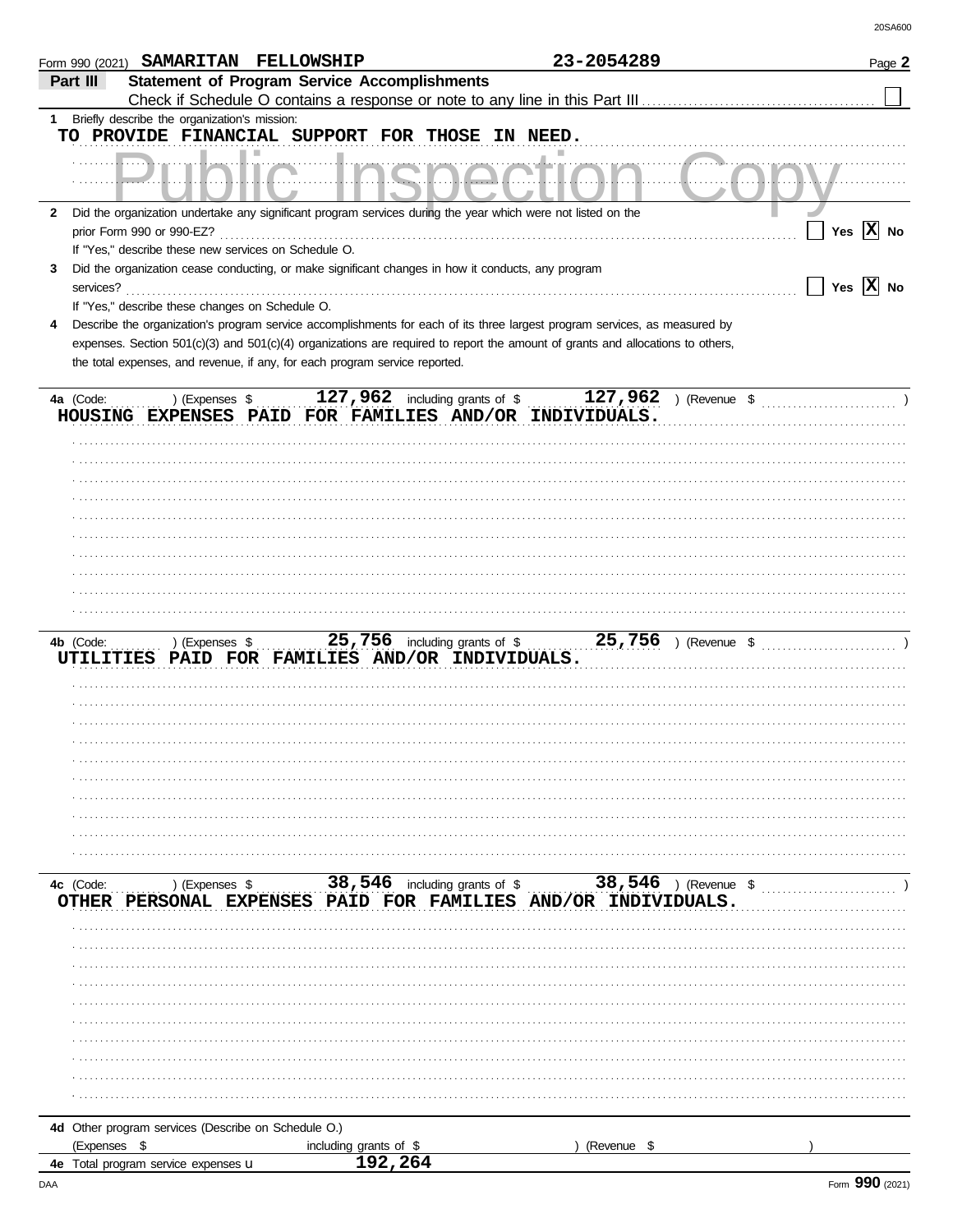| <b>Statement of Program Service Accomplishments</b><br>Part III<br>Briefly describe the organization's mission:<br>1<br>TO PROVIDE FINANCIAL SUPPORT FOR THOSE IN NEED.<br>Did the organization undertake any significant program services during the year which were not listed on the<br>$\mathbf{2}$<br>Yes $\overline{X}$ No<br>prior Form 990 or 990-EZ?<br>If "Yes," describe these new services on Schedule O.<br>Did the organization cease conducting, or make significant changes in how it conducts, any program<br>3<br>Yes $\overline{X}$ No<br>services?<br>If "Yes," describe these changes on Schedule O.<br>Describe the organization's program service accomplishments for each of its three largest program services, as measured by<br>expenses. Section 501(c)(3) and 501(c)(4) organizations are required to report the amount of grants and allocations to others,<br>the total expenses, and revenue, if any, for each program service reported.<br>127,962 including grants of $\sqrt[6]{\ }$<br>127,962 ) (Revenue \$<br>4a (Code:<br>) (Expenses \$<br>HOUSING EXPENSES PAID FOR FAMILIES AND/OR INDIVIDUALS.<br>) (Expenses \$<br>4b (Code:<br>UTILITIES PAID FOR FAMILIES AND/OR INDIVIDUALS.<br>) (Expenses $\frac{38,546}{1}$ including grants of $\frac{38,546}{1}$ (Revenue $\frac{38,546}{1}$ )<br>4c (Code:<br>OTHER PERSONAL EXPENSES PAID FOR FAMILIES AND/OR INDIVIDUALS.<br>4d Other program services (Describe on Schedule O.)<br>(Expenses \$<br>including grants of \$<br>(Revenue \$<br>192,264<br><b>4e</b> Total program service expenses <b>u</b> | Form 990 (2021) SAMARITAN FELLOWSHIP |  |  | 23-2054289 |  | Page 2 |
|-------------------------------------------------------------------------------------------------------------------------------------------------------------------------------------------------------------------------------------------------------------------------------------------------------------------------------------------------------------------------------------------------------------------------------------------------------------------------------------------------------------------------------------------------------------------------------------------------------------------------------------------------------------------------------------------------------------------------------------------------------------------------------------------------------------------------------------------------------------------------------------------------------------------------------------------------------------------------------------------------------------------------------------------------------------------------------------------------------------------------------------------------------------------------------------------------------------------------------------------------------------------------------------------------------------------------------------------------------------------------------------------------------------------------------------------------------------------------------------------------------------------------------------------------------------------------------------------------|--------------------------------------|--|--|------------|--|--------|
|                                                                                                                                                                                                                                                                                                                                                                                                                                                                                                                                                                                                                                                                                                                                                                                                                                                                                                                                                                                                                                                                                                                                                                                                                                                                                                                                                                                                                                                                                                                                                                                                 |                                      |  |  |            |  |        |
|                                                                                                                                                                                                                                                                                                                                                                                                                                                                                                                                                                                                                                                                                                                                                                                                                                                                                                                                                                                                                                                                                                                                                                                                                                                                                                                                                                                                                                                                                                                                                                                                 |                                      |  |  |            |  |        |
|                                                                                                                                                                                                                                                                                                                                                                                                                                                                                                                                                                                                                                                                                                                                                                                                                                                                                                                                                                                                                                                                                                                                                                                                                                                                                                                                                                                                                                                                                                                                                                                                 |                                      |  |  |            |  |        |
|                                                                                                                                                                                                                                                                                                                                                                                                                                                                                                                                                                                                                                                                                                                                                                                                                                                                                                                                                                                                                                                                                                                                                                                                                                                                                                                                                                                                                                                                                                                                                                                                 |                                      |  |  |            |  |        |
|                                                                                                                                                                                                                                                                                                                                                                                                                                                                                                                                                                                                                                                                                                                                                                                                                                                                                                                                                                                                                                                                                                                                                                                                                                                                                                                                                                                                                                                                                                                                                                                                 |                                      |  |  |            |  |        |
|                                                                                                                                                                                                                                                                                                                                                                                                                                                                                                                                                                                                                                                                                                                                                                                                                                                                                                                                                                                                                                                                                                                                                                                                                                                                                                                                                                                                                                                                                                                                                                                                 |                                      |  |  |            |  |        |
|                                                                                                                                                                                                                                                                                                                                                                                                                                                                                                                                                                                                                                                                                                                                                                                                                                                                                                                                                                                                                                                                                                                                                                                                                                                                                                                                                                                                                                                                                                                                                                                                 |                                      |  |  |            |  |        |
|                                                                                                                                                                                                                                                                                                                                                                                                                                                                                                                                                                                                                                                                                                                                                                                                                                                                                                                                                                                                                                                                                                                                                                                                                                                                                                                                                                                                                                                                                                                                                                                                 |                                      |  |  |            |  |        |
|                                                                                                                                                                                                                                                                                                                                                                                                                                                                                                                                                                                                                                                                                                                                                                                                                                                                                                                                                                                                                                                                                                                                                                                                                                                                                                                                                                                                                                                                                                                                                                                                 |                                      |  |  |            |  |        |
|                                                                                                                                                                                                                                                                                                                                                                                                                                                                                                                                                                                                                                                                                                                                                                                                                                                                                                                                                                                                                                                                                                                                                                                                                                                                                                                                                                                                                                                                                                                                                                                                 |                                      |  |  |            |  |        |
|                                                                                                                                                                                                                                                                                                                                                                                                                                                                                                                                                                                                                                                                                                                                                                                                                                                                                                                                                                                                                                                                                                                                                                                                                                                                                                                                                                                                                                                                                                                                                                                                 |                                      |  |  |            |  |        |
|                                                                                                                                                                                                                                                                                                                                                                                                                                                                                                                                                                                                                                                                                                                                                                                                                                                                                                                                                                                                                                                                                                                                                                                                                                                                                                                                                                                                                                                                                                                                                                                                 |                                      |  |  |            |  |        |
|                                                                                                                                                                                                                                                                                                                                                                                                                                                                                                                                                                                                                                                                                                                                                                                                                                                                                                                                                                                                                                                                                                                                                                                                                                                                                                                                                                                                                                                                                                                                                                                                 |                                      |  |  |            |  |        |
|                                                                                                                                                                                                                                                                                                                                                                                                                                                                                                                                                                                                                                                                                                                                                                                                                                                                                                                                                                                                                                                                                                                                                                                                                                                                                                                                                                                                                                                                                                                                                                                                 |                                      |  |  |            |  |        |
|                                                                                                                                                                                                                                                                                                                                                                                                                                                                                                                                                                                                                                                                                                                                                                                                                                                                                                                                                                                                                                                                                                                                                                                                                                                                                                                                                                                                                                                                                                                                                                                                 |                                      |  |  |            |  |        |
|                                                                                                                                                                                                                                                                                                                                                                                                                                                                                                                                                                                                                                                                                                                                                                                                                                                                                                                                                                                                                                                                                                                                                                                                                                                                                                                                                                                                                                                                                                                                                                                                 |                                      |  |  |            |  |        |
|                                                                                                                                                                                                                                                                                                                                                                                                                                                                                                                                                                                                                                                                                                                                                                                                                                                                                                                                                                                                                                                                                                                                                                                                                                                                                                                                                                                                                                                                                                                                                                                                 |                                      |  |  |            |  |        |
|                                                                                                                                                                                                                                                                                                                                                                                                                                                                                                                                                                                                                                                                                                                                                                                                                                                                                                                                                                                                                                                                                                                                                                                                                                                                                                                                                                                                                                                                                                                                                                                                 |                                      |  |  |            |  |        |
|                                                                                                                                                                                                                                                                                                                                                                                                                                                                                                                                                                                                                                                                                                                                                                                                                                                                                                                                                                                                                                                                                                                                                                                                                                                                                                                                                                                                                                                                                                                                                                                                 |                                      |  |  |            |  |        |
|                                                                                                                                                                                                                                                                                                                                                                                                                                                                                                                                                                                                                                                                                                                                                                                                                                                                                                                                                                                                                                                                                                                                                                                                                                                                                                                                                                                                                                                                                                                                                                                                 |                                      |  |  |            |  |        |
|                                                                                                                                                                                                                                                                                                                                                                                                                                                                                                                                                                                                                                                                                                                                                                                                                                                                                                                                                                                                                                                                                                                                                                                                                                                                                                                                                                                                                                                                                                                                                                                                 |                                      |  |  |            |  |        |
|                                                                                                                                                                                                                                                                                                                                                                                                                                                                                                                                                                                                                                                                                                                                                                                                                                                                                                                                                                                                                                                                                                                                                                                                                                                                                                                                                                                                                                                                                                                                                                                                 |                                      |  |  |            |  |        |
|                                                                                                                                                                                                                                                                                                                                                                                                                                                                                                                                                                                                                                                                                                                                                                                                                                                                                                                                                                                                                                                                                                                                                                                                                                                                                                                                                                                                                                                                                                                                                                                                 |                                      |  |  |            |  |        |
|                                                                                                                                                                                                                                                                                                                                                                                                                                                                                                                                                                                                                                                                                                                                                                                                                                                                                                                                                                                                                                                                                                                                                                                                                                                                                                                                                                                                                                                                                                                                                                                                 |                                      |  |  |            |  |        |
|                                                                                                                                                                                                                                                                                                                                                                                                                                                                                                                                                                                                                                                                                                                                                                                                                                                                                                                                                                                                                                                                                                                                                                                                                                                                                                                                                                                                                                                                                                                                                                                                 |                                      |  |  |            |  |        |
|                                                                                                                                                                                                                                                                                                                                                                                                                                                                                                                                                                                                                                                                                                                                                                                                                                                                                                                                                                                                                                                                                                                                                                                                                                                                                                                                                                                                                                                                                                                                                                                                 |                                      |  |  |            |  |        |
|                                                                                                                                                                                                                                                                                                                                                                                                                                                                                                                                                                                                                                                                                                                                                                                                                                                                                                                                                                                                                                                                                                                                                                                                                                                                                                                                                                                                                                                                                                                                                                                                 |                                      |  |  |            |  |        |
|                                                                                                                                                                                                                                                                                                                                                                                                                                                                                                                                                                                                                                                                                                                                                                                                                                                                                                                                                                                                                                                                                                                                                                                                                                                                                                                                                                                                                                                                                                                                                                                                 |                                      |  |  |            |  |        |
|                                                                                                                                                                                                                                                                                                                                                                                                                                                                                                                                                                                                                                                                                                                                                                                                                                                                                                                                                                                                                                                                                                                                                                                                                                                                                                                                                                                                                                                                                                                                                                                                 |                                      |  |  |            |  |        |
|                                                                                                                                                                                                                                                                                                                                                                                                                                                                                                                                                                                                                                                                                                                                                                                                                                                                                                                                                                                                                                                                                                                                                                                                                                                                                                                                                                                                                                                                                                                                                                                                 |                                      |  |  |            |  |        |
|                                                                                                                                                                                                                                                                                                                                                                                                                                                                                                                                                                                                                                                                                                                                                                                                                                                                                                                                                                                                                                                                                                                                                                                                                                                                                                                                                                                                                                                                                                                                                                                                 |                                      |  |  |            |  |        |
|                                                                                                                                                                                                                                                                                                                                                                                                                                                                                                                                                                                                                                                                                                                                                                                                                                                                                                                                                                                                                                                                                                                                                                                                                                                                                                                                                                                                                                                                                                                                                                                                 |                                      |  |  |            |  |        |
|                                                                                                                                                                                                                                                                                                                                                                                                                                                                                                                                                                                                                                                                                                                                                                                                                                                                                                                                                                                                                                                                                                                                                                                                                                                                                                                                                                                                                                                                                                                                                                                                 |                                      |  |  |            |  |        |
|                                                                                                                                                                                                                                                                                                                                                                                                                                                                                                                                                                                                                                                                                                                                                                                                                                                                                                                                                                                                                                                                                                                                                                                                                                                                                                                                                                                                                                                                                                                                                                                                 |                                      |  |  |            |  |        |
|                                                                                                                                                                                                                                                                                                                                                                                                                                                                                                                                                                                                                                                                                                                                                                                                                                                                                                                                                                                                                                                                                                                                                                                                                                                                                                                                                                                                                                                                                                                                                                                                 |                                      |  |  |            |  |        |
|                                                                                                                                                                                                                                                                                                                                                                                                                                                                                                                                                                                                                                                                                                                                                                                                                                                                                                                                                                                                                                                                                                                                                                                                                                                                                                                                                                                                                                                                                                                                                                                                 |                                      |  |  |            |  |        |
|                                                                                                                                                                                                                                                                                                                                                                                                                                                                                                                                                                                                                                                                                                                                                                                                                                                                                                                                                                                                                                                                                                                                                                                                                                                                                                                                                                                                                                                                                                                                                                                                 |                                      |  |  |            |  |        |
|                                                                                                                                                                                                                                                                                                                                                                                                                                                                                                                                                                                                                                                                                                                                                                                                                                                                                                                                                                                                                                                                                                                                                                                                                                                                                                                                                                                                                                                                                                                                                                                                 |                                      |  |  |            |  |        |
|                                                                                                                                                                                                                                                                                                                                                                                                                                                                                                                                                                                                                                                                                                                                                                                                                                                                                                                                                                                                                                                                                                                                                                                                                                                                                                                                                                                                                                                                                                                                                                                                 |                                      |  |  |            |  |        |
|                                                                                                                                                                                                                                                                                                                                                                                                                                                                                                                                                                                                                                                                                                                                                                                                                                                                                                                                                                                                                                                                                                                                                                                                                                                                                                                                                                                                                                                                                                                                                                                                 |                                      |  |  |            |  |        |
|                                                                                                                                                                                                                                                                                                                                                                                                                                                                                                                                                                                                                                                                                                                                                                                                                                                                                                                                                                                                                                                                                                                                                                                                                                                                                                                                                                                                                                                                                                                                                                                                 |                                      |  |  |            |  |        |
|                                                                                                                                                                                                                                                                                                                                                                                                                                                                                                                                                                                                                                                                                                                                                                                                                                                                                                                                                                                                                                                                                                                                                                                                                                                                                                                                                                                                                                                                                                                                                                                                 |                                      |  |  |            |  |        |
|                                                                                                                                                                                                                                                                                                                                                                                                                                                                                                                                                                                                                                                                                                                                                                                                                                                                                                                                                                                                                                                                                                                                                                                                                                                                                                                                                                                                                                                                                                                                                                                                 |                                      |  |  |            |  |        |
|                                                                                                                                                                                                                                                                                                                                                                                                                                                                                                                                                                                                                                                                                                                                                                                                                                                                                                                                                                                                                                                                                                                                                                                                                                                                                                                                                                                                                                                                                                                                                                                                 |                                      |  |  |            |  |        |
|                                                                                                                                                                                                                                                                                                                                                                                                                                                                                                                                                                                                                                                                                                                                                                                                                                                                                                                                                                                                                                                                                                                                                                                                                                                                                                                                                                                                                                                                                                                                                                                                 |                                      |  |  |            |  |        |
|                                                                                                                                                                                                                                                                                                                                                                                                                                                                                                                                                                                                                                                                                                                                                                                                                                                                                                                                                                                                                                                                                                                                                                                                                                                                                                                                                                                                                                                                                                                                                                                                 |                                      |  |  |            |  |        |
|                                                                                                                                                                                                                                                                                                                                                                                                                                                                                                                                                                                                                                                                                                                                                                                                                                                                                                                                                                                                                                                                                                                                                                                                                                                                                                                                                                                                                                                                                                                                                                                                 |                                      |  |  |            |  |        |
|                                                                                                                                                                                                                                                                                                                                                                                                                                                                                                                                                                                                                                                                                                                                                                                                                                                                                                                                                                                                                                                                                                                                                                                                                                                                                                                                                                                                                                                                                                                                                                                                 |                                      |  |  |            |  |        |
|                                                                                                                                                                                                                                                                                                                                                                                                                                                                                                                                                                                                                                                                                                                                                                                                                                                                                                                                                                                                                                                                                                                                                                                                                                                                                                                                                                                                                                                                                                                                                                                                 |                                      |  |  |            |  |        |
|                                                                                                                                                                                                                                                                                                                                                                                                                                                                                                                                                                                                                                                                                                                                                                                                                                                                                                                                                                                                                                                                                                                                                                                                                                                                                                                                                                                                                                                                                                                                                                                                 |                                      |  |  |            |  |        |
|                                                                                                                                                                                                                                                                                                                                                                                                                                                                                                                                                                                                                                                                                                                                                                                                                                                                                                                                                                                                                                                                                                                                                                                                                                                                                                                                                                                                                                                                                                                                                                                                 |                                      |  |  |            |  |        |
|                                                                                                                                                                                                                                                                                                                                                                                                                                                                                                                                                                                                                                                                                                                                                                                                                                                                                                                                                                                                                                                                                                                                                                                                                                                                                                                                                                                                                                                                                                                                                                                                 |                                      |  |  |            |  |        |
|                                                                                                                                                                                                                                                                                                                                                                                                                                                                                                                                                                                                                                                                                                                                                                                                                                                                                                                                                                                                                                                                                                                                                                                                                                                                                                                                                                                                                                                                                                                                                                                                 |                                      |  |  |            |  |        |
|                                                                                                                                                                                                                                                                                                                                                                                                                                                                                                                                                                                                                                                                                                                                                                                                                                                                                                                                                                                                                                                                                                                                                                                                                                                                                                                                                                                                                                                                                                                                                                                                 |                                      |  |  |            |  |        |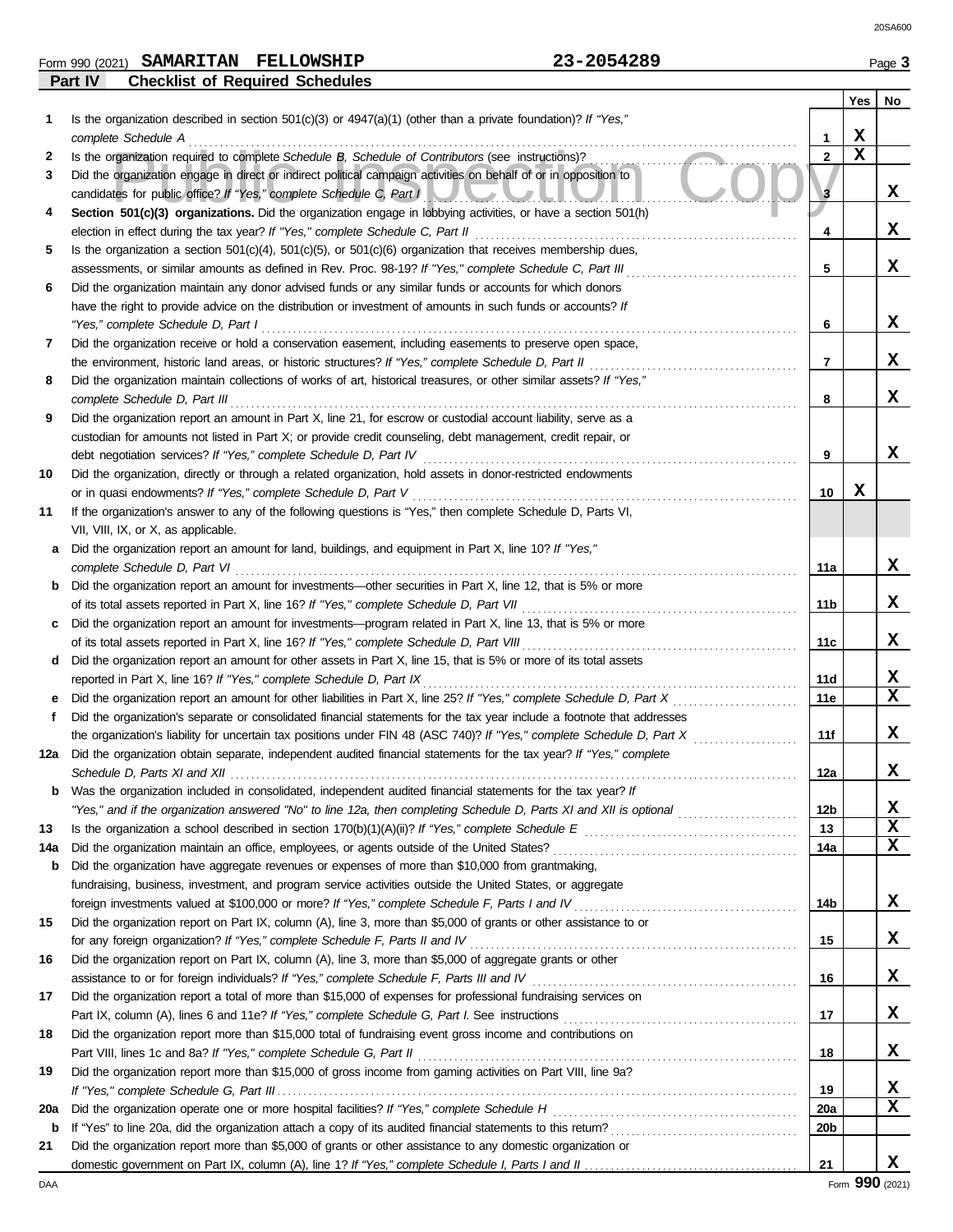### **Part IV Checklist of Required Schedules** Form 990 (2021) Page **3 SAMARITAN FELLOWSHIP 23-2054289**

|     |                                                                                                                                                                                                 |                 | Yes | No              |
|-----|-------------------------------------------------------------------------------------------------------------------------------------------------------------------------------------------------|-----------------|-----|-----------------|
| 1.  | Is the organization described in section 501(c)(3) or $4947(a)(1)$ (other than a private foundation)? If "Yes,"                                                                                 |                 |     |                 |
|     | complete Schedule A                                                                                                                                                                             | 1               | X   |                 |
| 2   | Is the organization required to complete Schedule B, Schedule of Contributors (see instructions)?                                                                                               | $\mathbf{2}$    | X   |                 |
| 3   | Did the organization engage in direct or indirect political campaign activities on behalf of or in opposition to                                                                                |                 |     |                 |
|     | candidates for public office? If "Yes," complete Schedule C, Part I                                                                                                                             | 3               |     | x               |
| 4   | Section 501(c)(3) organizations. Did the organization engage in lobbying activities, or have a section 501(h)<br>election in effect during the tax year? If "Yes," complete Schedule C, Part II | 4               |     | x               |
| 5   | Is the organization a section $501(c)(4)$ , $501(c)(5)$ , or $501(c)(6)$ organization that receives membership dues,                                                                            |                 |     |                 |
|     | assessments, or similar amounts as defined in Rev. Proc. 98-19? If "Yes," complete Schedule C, Part III                                                                                         | 5               |     | x               |
| 6   | Did the organization maintain any donor advised funds or any similar funds or accounts for which donors                                                                                         |                 |     |                 |
|     | have the right to provide advice on the distribution or investment of amounts in such funds or accounts? If                                                                                     |                 |     |                 |
|     | "Yes," complete Schedule D, Part I                                                                                                                                                              | 6               |     | x               |
| 7   | Did the organization receive or hold a conservation easement, including easements to preserve open space,                                                                                       |                 |     |                 |
|     | the environment, historic land areas, or historic structures? If "Yes," complete Schedule D, Part II                                                                                            | 7               |     | x               |
| 8   | Did the organization maintain collections of works of art, historical treasures, or other similar assets? If "Yes,"                                                                             |                 |     |                 |
|     | complete Schedule D, Part III                                                                                                                                                                   | 8               |     | x               |
| 9   | Did the organization report an amount in Part X, line 21, for escrow or custodial account liability, serve as a                                                                                 |                 |     |                 |
|     | custodian for amounts not listed in Part X; or provide credit counseling, debt management, credit repair, or                                                                                    |                 |     |                 |
|     | debt negotiation services? If "Yes," complete Schedule D, Part IV                                                                                                                               | 9               |     | x               |
| 10  | Did the organization, directly or through a related organization, hold assets in donor-restricted endowments                                                                                    |                 | X   |                 |
| 11  | or in quasi endowments? If "Yes," complete Schedule D, Part V<br>If the organization's answer to any of the following questions is "Yes," then complete Schedule D, Parts VI,                   | 10              |     |                 |
|     | VII, VIII, IX, or X, as applicable.                                                                                                                                                             |                 |     |                 |
| a   | Did the organization report an amount for land, buildings, and equipment in Part X, line 10? If "Yes,"                                                                                          |                 |     |                 |
|     | complete Schedule D, Part VI                                                                                                                                                                    | 11a             |     | x               |
|     | Did the organization report an amount for investments—other securities in Part X, line 12, that is 5% or more                                                                                   |                 |     |                 |
|     | of its total assets reported in Part X, line 16? If "Yes," complete Schedule D, Part VII                                                                                                        | 11b             |     | x               |
|     | Did the organization report an amount for investments—program related in Part X, line 13, that is 5% or more                                                                                    |                 |     |                 |
|     | of its total assets reported in Part X, line 16? If "Yes," complete Schedule D, Part VIII                                                                                                       | 11c             |     | x               |
| d   | Did the organization report an amount for other assets in Part X, line 15, that is 5% or more of its total assets                                                                               |                 |     |                 |
|     | reported in Part X, line 16? If "Yes," complete Schedule D, Part IX                                                                                                                             | 11d             |     | X               |
|     | Did the organization report an amount for other liabilities in Part X, line 25? If "Yes," complete Schedule D, Part X                                                                           | 11e             |     | X               |
| f   | Did the organization's separate or consolidated financial statements for the tax year include a footnote that addresses                                                                         |                 |     |                 |
|     | the organization's liability for uncertain tax positions under FIN 48 (ASC 740)? If "Yes," complete Schedule D, Part X                                                                          | 11f             |     | x               |
| 12a | Did the organization obtain separate, independent audited financial statements for the tax year? If "Yes," complete                                                                             | 12a             |     | x               |
|     | Schedule D, Parts XI and XII $\ldots$ $\ldots$ $\ldots$<br>Was the organization included in consolidated, independent audited financial statements for the tax year? If                         |                 |     |                 |
|     | "Yes," and if the organization answered "No" to line 12a, then completing Schedule D, Parts XI and XII is optional <i>mimimimimimim</i>                                                         | 12 <sub>b</sub> |     | X               |
| 13  |                                                                                                                                                                                                 | 13              |     | x               |
| 14a | Did the organization maintain an office, employees, or agents outside of the United States?                                                                                                     | 14a             |     | x               |
| b   | Did the organization have aggregate revenues or expenses of more than \$10,000 from grantmaking,                                                                                                |                 |     |                 |
|     | fundraising, business, investment, and program service activities outside the United States, or aggregate                                                                                       |                 |     |                 |
|     |                                                                                                                                                                                                 | 14b             |     | X.              |
| 15  | Did the organization report on Part IX, column (A), line 3, more than \$5,000 of grants or other assistance to or                                                                               |                 |     |                 |
|     | for any foreign organization? If "Yes," complete Schedule F, Parts II and IV                                                                                                                    | 15              |     | X               |
| 16  | Did the organization report on Part IX, column (A), line 3, more than \$5,000 of aggregate grants or other                                                                                      |                 |     |                 |
|     | assistance to or for foreign individuals? If "Yes," complete Schedule F, Parts III and IV                                                                                                       | 16              |     | X               |
| 17  | Did the organization report a total of more than \$15,000 of expenses for professional fundraising services on                                                                                  | 17              |     | X               |
| 18  | Did the organization report more than \$15,000 total of fundraising event gross income and contributions on                                                                                     |                 |     |                 |
|     | Part VIII, lines 1c and 8a? If "Yes," complete Schedule G, Part II                                                                                                                              | 18              |     | x               |
| 19  | Did the organization report more than \$15,000 of gross income from gaming activities on Part VIII, line 9a?                                                                                    |                 |     |                 |
|     |                                                                                                                                                                                                 | 19              |     | x               |
| 20a | Did the organization operate one or more hospital facilities? If "Yes," complete Schedule H                                                                                                     | 20a             |     | x               |
| b   |                                                                                                                                                                                                 | 20b             |     |                 |
| 21  | Did the organization report more than \$5,000 of grants or other assistance to any domestic organization or                                                                                     |                 |     |                 |
|     |                                                                                                                                                                                                 | 21              |     | x               |
| DAA |                                                                                                                                                                                                 |                 |     | Form 990 (2021) |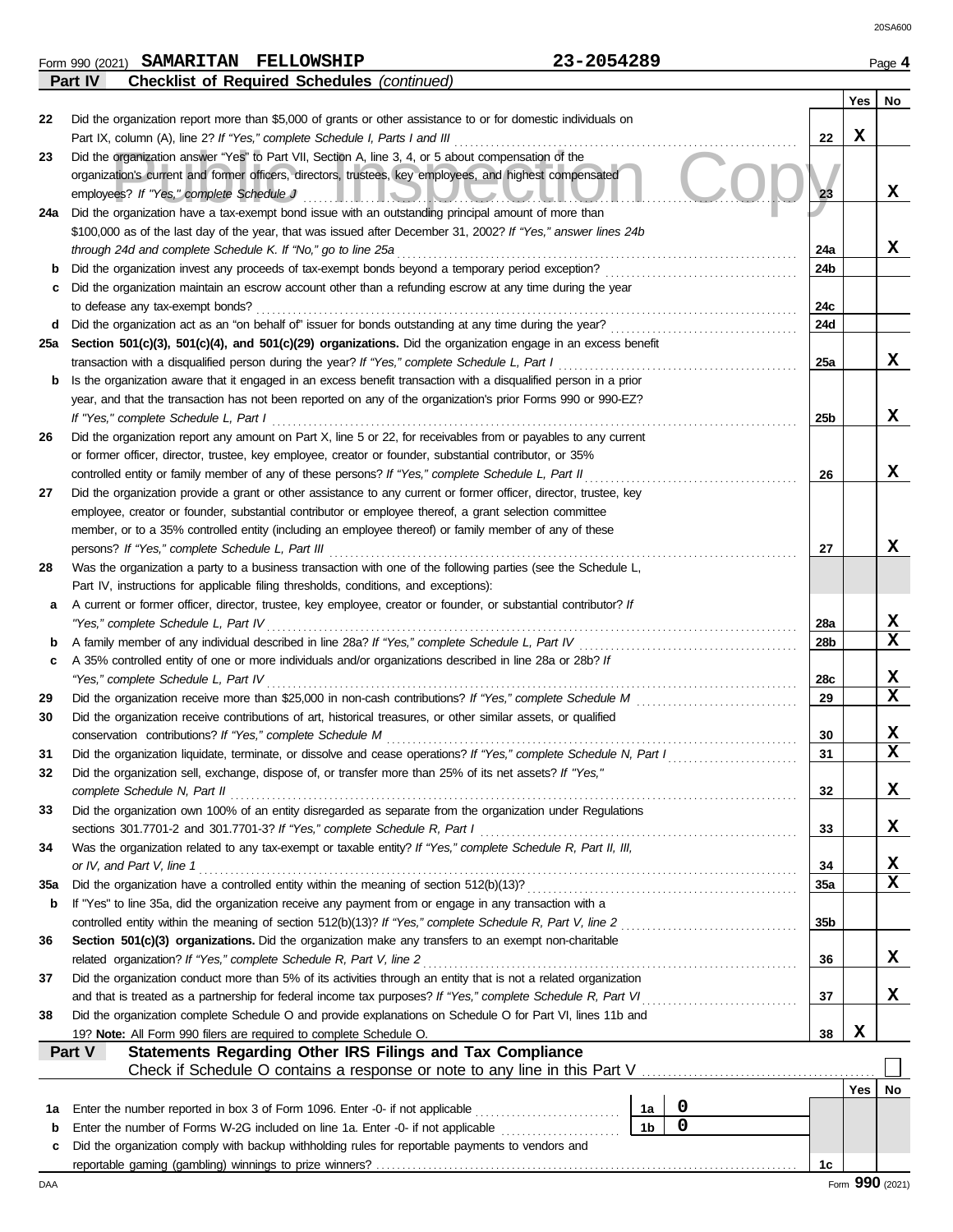Form 990 (2021) Page **4 SAMARITAN FELLOWSHIP 23-2054289 Part IV Checklist of Required Schedules** *(continued)*

|     |                                                                                                                                                                                                                         |                 | Yes | No |  |  |  |  |  |  |  |  |
|-----|-------------------------------------------------------------------------------------------------------------------------------------------------------------------------------------------------------------------------|-----------------|-----|----|--|--|--|--|--|--|--|--|
| 22  | Did the organization report more than \$5,000 of grants or other assistance to or for domestic individuals on                                                                                                           |                 |     |    |  |  |  |  |  |  |  |  |
|     | Part IX, column (A), line 2? If "Yes," complete Schedule I, Parts I and III                                                                                                                                             | 22              | x   |    |  |  |  |  |  |  |  |  |
| 23  | Did the organization answer "Yes" to Part VII, Section A, line 3, 4, or 5 about compensation of the                                                                                                                     |                 |     |    |  |  |  |  |  |  |  |  |
|     | organization's current and former officers, directors, trustees, key employees, and highest compensated                                                                                                                 |                 |     |    |  |  |  |  |  |  |  |  |
|     | employees? If "Yes," complete Schedule J                                                                                                                                                                                | 23              |     | x  |  |  |  |  |  |  |  |  |
| 24a | Did the organization have a tax-exempt bond issue with an outstanding principal amount of more than                                                                                                                     |                 |     |    |  |  |  |  |  |  |  |  |
|     | \$100,000 as of the last day of the year, that was issued after December 31, 2002? If "Yes," answer lines 24b                                                                                                           |                 |     |    |  |  |  |  |  |  |  |  |
|     | through 24d and complete Schedule K. If "No," go to line 25a                                                                                                                                                            | 24a             |     | X  |  |  |  |  |  |  |  |  |
| b   | Did the organization invest any proceeds of tax-exempt bonds beyond a temporary period exception?                                                                                                                       | 24 <sub>b</sub> |     |    |  |  |  |  |  |  |  |  |
| c   | Did the organization maintain an escrow account other than a refunding escrow at any time during the year                                                                                                               |                 |     |    |  |  |  |  |  |  |  |  |
|     | to defease any tax-exempt bonds?                                                                                                                                                                                        | 24c             |     |    |  |  |  |  |  |  |  |  |
| d   |                                                                                                                                                                                                                         | 24d             |     |    |  |  |  |  |  |  |  |  |
| 25a | Section 501(c)(3), 501(c)(4), and 501(c)(29) organizations. Did the organization engage in an excess benefit                                                                                                            |                 |     | X  |  |  |  |  |  |  |  |  |
|     | transaction with a disqualified person during the year? If "Yes," complete Schedule L, Part I<br>25a                                                                                                                    |                 |     |    |  |  |  |  |  |  |  |  |
|     | Is the organization aware that it engaged in an excess benefit transaction with a disqualified person in a prior<br>b                                                                                                   |                 |     |    |  |  |  |  |  |  |  |  |
|     | year, and that the transaction has not been reported on any of the organization's prior Forms 990 or 990-EZ?                                                                                                            |                 |     |    |  |  |  |  |  |  |  |  |
|     | 25 <sub>b</sub><br>If "Yes," complete Schedule L, Part I                                                                                                                                                                |                 |     |    |  |  |  |  |  |  |  |  |
| 26  | Did the organization report any amount on Part X, line 5 or 22, for receivables from or payables to any current                                                                                                         |                 |     |    |  |  |  |  |  |  |  |  |
|     | or former officer, director, trustee, key employee, creator or founder, substantial contributor, or 35%                                                                                                                 |                 |     | x  |  |  |  |  |  |  |  |  |
| 27  | controlled entity or family member of any of these persons? If "Yes," complete Schedule L, Part II<br>Did the organization provide a grant or other assistance to any current or former officer, director, trustee, key | 26              |     |    |  |  |  |  |  |  |  |  |
|     | employee, creator or founder, substantial contributor or employee thereof, a grant selection committee                                                                                                                  |                 |     |    |  |  |  |  |  |  |  |  |
|     | member, or to a 35% controlled entity (including an employee thereof) or family member of any of these                                                                                                                  |                 |     |    |  |  |  |  |  |  |  |  |
|     | persons? If "Yes," complete Schedule L, Part III                                                                                                                                                                        | 27              |     | x  |  |  |  |  |  |  |  |  |
| 28  | Was the organization a party to a business transaction with one of the following parties (see the Schedule L,                                                                                                           |                 |     |    |  |  |  |  |  |  |  |  |
|     | Part IV, instructions for applicable filing thresholds, conditions, and exceptions):                                                                                                                                    |                 |     |    |  |  |  |  |  |  |  |  |
| а   | A current or former officer, director, trustee, key employee, creator or founder, or substantial contributor? If                                                                                                        |                 |     |    |  |  |  |  |  |  |  |  |
|     | "Yes," complete Schedule L, Part IV<br>28a                                                                                                                                                                              |                 |     |    |  |  |  |  |  |  |  |  |
| b   | A family member of any individual described in line 28a? If "Yes," complete Schedule L, Part IV<br>28 <sub>b</sub>                                                                                                      |                 |     |    |  |  |  |  |  |  |  |  |
| c   | A 35% controlled entity of one or more individuals and/or organizations described in line 28a or 28b? If                                                                                                                |                 |     |    |  |  |  |  |  |  |  |  |
|     | "Yes," complete Schedule L, Part IV                                                                                                                                                                                     | 28c             |     | X  |  |  |  |  |  |  |  |  |
| 29  | Did the organization receive more than \$25,000 in non-cash contributions? If "Yes," complete Schedule M                                                                                                                | 29              |     | X  |  |  |  |  |  |  |  |  |
| 30  | Did the organization receive contributions of art, historical treasures, or other similar assets, or qualified                                                                                                          |                 |     |    |  |  |  |  |  |  |  |  |
|     | conservation contributions? If "Yes," complete Schedule M                                                                                                                                                               | 30              |     | x  |  |  |  |  |  |  |  |  |
| 31  | Did the organization liquidate, terminate, or dissolve and cease operations? If "Yes," complete Schedule N, Part I                                                                                                      | 31              |     | X  |  |  |  |  |  |  |  |  |
| 32  | Did the organization sell, exchange, dispose of, or transfer more than 25% of its net assets? If "Yes,"                                                                                                                 |                 |     |    |  |  |  |  |  |  |  |  |
|     | complete Schedule N, Part II                                                                                                                                                                                            | 32              |     | X  |  |  |  |  |  |  |  |  |
| 33  | Did the organization own 100% of an entity disregarded as separate from the organization under Regulations                                                                                                              |                 |     |    |  |  |  |  |  |  |  |  |
|     | sections 301.7701-2 and 301.7701-3? If "Yes," complete Schedule R, Part I                                                                                                                                               | 33              |     | X  |  |  |  |  |  |  |  |  |
| 34  | Was the organization related to any tax-exempt or taxable entity? If "Yes," complete Schedule R, Part II, III,                                                                                                          |                 |     |    |  |  |  |  |  |  |  |  |
|     | or IV, and Part V, line 1                                                                                                                                                                                               | 34              |     | X. |  |  |  |  |  |  |  |  |
| 35a |                                                                                                                                                                                                                         | 35a             |     | X  |  |  |  |  |  |  |  |  |
| b   | If "Yes" to line 35a, did the organization receive any payment from or engage in any transaction with a                                                                                                                 |                 |     |    |  |  |  |  |  |  |  |  |
|     |                                                                                                                                                                                                                         | 35b             |     |    |  |  |  |  |  |  |  |  |
| 36  | Section 501(c)(3) organizations. Did the organization make any transfers to an exempt non-charitable                                                                                                                    |                 |     |    |  |  |  |  |  |  |  |  |
|     | related organization? If "Yes," complete Schedule R, Part V, line 2                                                                                                                                                     | 36              |     | x  |  |  |  |  |  |  |  |  |
| 37  | Did the organization conduct more than 5% of its activities through an entity that is not a related organization                                                                                                        |                 |     |    |  |  |  |  |  |  |  |  |
|     | and that is treated as a partnership for federal income tax purposes? If "Yes," complete Schedule R, Part VI                                                                                                            | 37              |     | x  |  |  |  |  |  |  |  |  |
| 38  | Did the organization complete Schedule O and provide explanations on Schedule O for Part VI, lines 11b and                                                                                                              | 38              | x   |    |  |  |  |  |  |  |  |  |
|     | 19? Note: All Form 990 filers are required to complete Schedule O.<br>Statements Regarding Other IRS Filings and Tax Compliance<br>Part V                                                                               |                 |     |    |  |  |  |  |  |  |  |  |
|     | Check if Schedule O contains a response or note to any line in this Part V                                                                                                                                              |                 |     |    |  |  |  |  |  |  |  |  |
|     |                                                                                                                                                                                                                         |                 | Yes | No |  |  |  |  |  |  |  |  |
| 1a  | 0<br>Enter the number reported in box 3 of Form 1096. Enter -0- if not applicable<br>1a                                                                                                                                 |                 |     |    |  |  |  |  |  |  |  |  |
| b   | $\mathbf 0$<br>Enter the number of Forms W-2G included on line 1a. Enter -0- if not applicable<br>1 <sub>b</sub>                                                                                                        |                 |     |    |  |  |  |  |  |  |  |  |
| c   | Did the organization comply with backup withholding rules for reportable payments to vendors and                                                                                                                        |                 |     |    |  |  |  |  |  |  |  |  |
|     |                                                                                                                                                                                                                         | 1c              |     |    |  |  |  |  |  |  |  |  |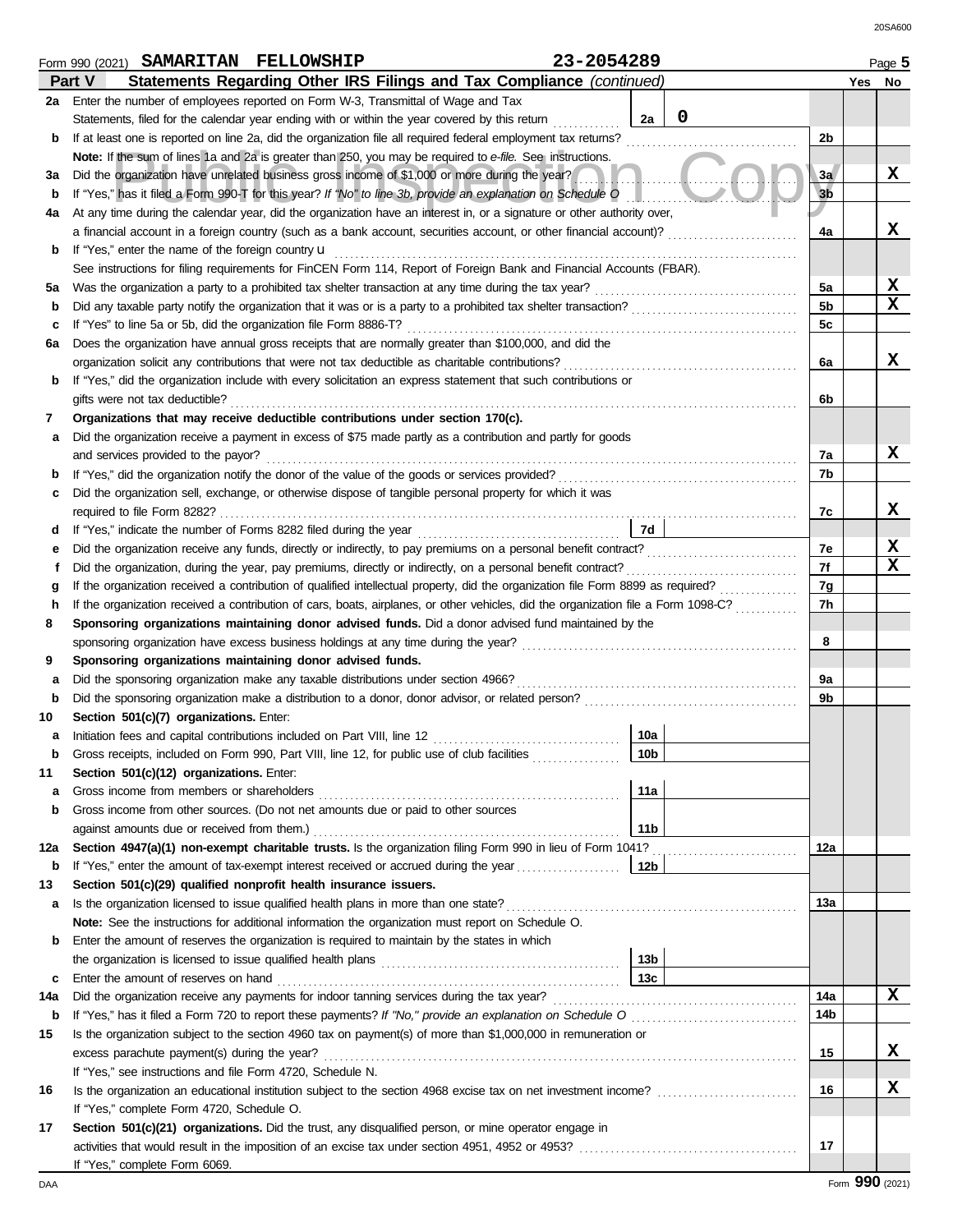**Yes No**

|     | the named of copyces reported on Form W.C. Hansmitter or Wat                                                                                                                                                                                          |                 |   |                |  |                  |  |  |  |  |  |  |  |
|-----|-------------------------------------------------------------------------------------------------------------------------------------------------------------------------------------------------------------------------------------------------------|-----------------|---|----------------|--|------------------|--|--|--|--|--|--|--|
|     | Statements, filed for the calendar year ending with or within the year covered by this return                                                                                                                                                         | 2a              | 0 |                |  |                  |  |  |  |  |  |  |  |
| b   | If at least one is reported on line 2a, did the organization file all required federal employment tax returns?                                                                                                                                        |                 |   | 2 <sub>b</sub> |  |                  |  |  |  |  |  |  |  |
|     | Note: If the sum of lines 1a and 2a is greater than 250, you may be required to e-file. See instructions.                                                                                                                                             |                 |   |                |  |                  |  |  |  |  |  |  |  |
| За  | Did the organization have unrelated business gross income of \$1,000 or more during the year?                                                                                                                                                         |                 |   | 3a             |  | x                |  |  |  |  |  |  |  |
| b   | If "Yes," has it filed a Form 990-T for this year? If "No" to line 3b, provide an explanation on Schedule O                                                                                                                                           |                 |   | 3 <sub>b</sub> |  |                  |  |  |  |  |  |  |  |
| 4a  | At any time during the calendar year, did the organization have an interest in, or a signature or other authority over,                                                                                                                               |                 |   |                |  |                  |  |  |  |  |  |  |  |
|     | a financial account in a foreign country (such as a bank account, securities account, or other financial account)?                                                                                                                                    |                 |   | 4a             |  | x                |  |  |  |  |  |  |  |
| b   | If "Yes," enter the name of the foreign country u                                                                                                                                                                                                     |                 |   |                |  |                  |  |  |  |  |  |  |  |
|     | See instructions for filing requirements for FinCEN Form 114, Report of Foreign Bank and Financial Accounts (FBAR).                                                                                                                                   |                 |   |                |  |                  |  |  |  |  |  |  |  |
| 5a  | Was the organization a party to a prohibited tax shelter transaction at any time during the tax year?                                                                                                                                                 |                 |   | 5a             |  | X<br>$\mathbf x$ |  |  |  |  |  |  |  |
| b   |                                                                                                                                                                                                                                                       |                 |   | 5b             |  |                  |  |  |  |  |  |  |  |
| c   | If "Yes" to line 5a or 5b, did the organization file Form 8886-T?                                                                                                                                                                                     |                 |   | 5c             |  |                  |  |  |  |  |  |  |  |
| 6а  | Does the organization have annual gross receipts that are normally greater than \$100,000, and did the                                                                                                                                                |                 |   |                |  | x                |  |  |  |  |  |  |  |
|     | organization solicit any contributions that were not tax deductible as charitable contributions?                                                                                                                                                      |                 |   | 6a             |  |                  |  |  |  |  |  |  |  |
| b   | If "Yes," did the organization include with every solicitation an express statement that such contributions or                                                                                                                                        |                 |   | 6b             |  |                  |  |  |  |  |  |  |  |
| 7   | gifts were not tax deductible?<br>Organizations that may receive deductible contributions under section 170(c).                                                                                                                                       |                 |   |                |  |                  |  |  |  |  |  |  |  |
|     | Did the organization receive a payment in excess of \$75 made partly as a contribution and partly for goods                                                                                                                                           |                 |   |                |  |                  |  |  |  |  |  |  |  |
| а   | and services provided to the payor?                                                                                                                                                                                                                   |                 |   | 7a             |  | x                |  |  |  |  |  |  |  |
| b   | If "Yes," did the organization notify the donor of the value of the goods or services provided?                                                                                                                                                       |                 |   | 7b             |  |                  |  |  |  |  |  |  |  |
| c   | Did the organization sell, exchange, or otherwise dispose of tangible personal property for which it was                                                                                                                                              |                 |   |                |  |                  |  |  |  |  |  |  |  |
|     |                                                                                                                                                                                                                                                       |                 |   | 7c             |  | x                |  |  |  |  |  |  |  |
| d   | If "Yes," indicate the number of Forms 8282 filed during the year                                                                                                                                                                                     | 7d              |   |                |  |                  |  |  |  |  |  |  |  |
| е   |                                                                                                                                                                                                                                                       |                 |   | 7e             |  | X                |  |  |  |  |  |  |  |
|     |                                                                                                                                                                                                                                                       |                 |   | 7f             |  | $\mathbf x$      |  |  |  |  |  |  |  |
| g   | Did the organization, during the year, pay premiums, directly or indirectly, on a personal benefit contract?<br>f<br>If the organization received a contribution of qualified intellectual property, did the organization file Form 8899 as required? |                 |   |                |  |                  |  |  |  |  |  |  |  |
| h   | If the organization received a contribution of cars, boats, airplanes, or other vehicles, did the organization file a Form 1098-C?                                                                                                                    |                 |   |                |  |                  |  |  |  |  |  |  |  |
| 8   | Sponsoring organizations maintaining donor advised funds. Did a donor advised fund maintained by the                                                                                                                                                  |                 |   |                |  |                  |  |  |  |  |  |  |  |
|     | sponsoring organization have excess business holdings at any time during the year?                                                                                                                                                                    |                 |   | 8              |  |                  |  |  |  |  |  |  |  |
| 9   | Sponsoring organizations maintaining donor advised funds.                                                                                                                                                                                             |                 |   |                |  |                  |  |  |  |  |  |  |  |
| а   | Did the sponsoring organization make any taxable distributions under section 4966?                                                                                                                                                                    |                 |   | 9a             |  |                  |  |  |  |  |  |  |  |
| b   | Did the sponsoring organization make a distribution to a donor, donor advisor, or related person?                                                                                                                                                     |                 |   | 9b             |  |                  |  |  |  |  |  |  |  |
| 10  | Section 501(c)(7) organizations. Enter:                                                                                                                                                                                                               |                 |   |                |  |                  |  |  |  |  |  |  |  |
| а   | Initiation fees and capital contributions included on Part VIII, line 12                                                                                                                                                                              | 10a             |   |                |  |                  |  |  |  |  |  |  |  |
| b   | Gross receipts, included on Form 990, Part VIII, line 12, for public use of club facilities                                                                                                                                                           | 10 <sub>b</sub> |   |                |  |                  |  |  |  |  |  |  |  |
| 11  | Section 501(c)(12) organizations. Enter:                                                                                                                                                                                                              |                 |   |                |  |                  |  |  |  |  |  |  |  |
| а   | Gross income from members or shareholders                                                                                                                                                                                                             | 11a             |   |                |  |                  |  |  |  |  |  |  |  |
| b   | Gross income from other sources. (Do not net amounts due or paid to other sources                                                                                                                                                                     |                 |   |                |  |                  |  |  |  |  |  |  |  |
|     | against amounts due or received from them.)                                                                                                                                                                                                           | 11 <sub>b</sub> |   |                |  |                  |  |  |  |  |  |  |  |
| 12a | Section 4947(a)(1) non-exempt charitable trusts. Is the organization filing Form 990 in lieu of Form 1041?                                                                                                                                            |                 |   | 12a            |  |                  |  |  |  |  |  |  |  |
| b   | If "Yes," enter the amount of tax-exempt interest received or accrued during the year                                                                                                                                                                 | 12b             |   |                |  |                  |  |  |  |  |  |  |  |
| 13  | Section 501(c)(29) qualified nonprofit health insurance issuers.                                                                                                                                                                                      |                 |   |                |  |                  |  |  |  |  |  |  |  |
| а   | Is the organization licensed to issue qualified health plans in more than one state?                                                                                                                                                                  |                 |   | 13a            |  |                  |  |  |  |  |  |  |  |
|     | Note: See the instructions for additional information the organization must report on Schedule O.                                                                                                                                                     |                 |   |                |  |                  |  |  |  |  |  |  |  |
| b   | Enter the amount of reserves the organization is required to maintain by the states in which                                                                                                                                                          |                 |   |                |  |                  |  |  |  |  |  |  |  |
|     | the organization is licensed to issue qualified health plans [11] contained a contained in the organization is                                                                                                                                        | 13 <sub>b</sub> |   |                |  |                  |  |  |  |  |  |  |  |
| c   | Enter the amount of reserves on hand                                                                                                                                                                                                                  | 13c             |   |                |  | x                |  |  |  |  |  |  |  |
| 14a | Did the organization receive any payments for indoor tanning services during the tax year?                                                                                                                                                            |                 |   | 14a<br>14b     |  |                  |  |  |  |  |  |  |  |
| b   | Is the organization subject to the section 4960 tax on payment(s) of more than \$1,000,000 in remuneration or                                                                                                                                         |                 |   |                |  |                  |  |  |  |  |  |  |  |
| 15  | excess parachute payment(s) during the year?                                                                                                                                                                                                          |                 |   | 15             |  | x                |  |  |  |  |  |  |  |
|     | If "Yes," see instructions and file Form 4720, Schedule N.                                                                                                                                                                                            |                 |   |                |  |                  |  |  |  |  |  |  |  |
| 16  |                                                                                                                                                                                                                                                       |                 |   | 16             |  | x                |  |  |  |  |  |  |  |
|     | If "Yes," complete Form 4720, Schedule O.                                                                                                                                                                                                             |                 |   |                |  |                  |  |  |  |  |  |  |  |
| 17  | Section 501(c)(21) organizations. Did the trust, any disqualified person, or mine operator engage in                                                                                                                                                  |                 |   |                |  |                  |  |  |  |  |  |  |  |
|     |                                                                                                                                                                                                                                                       |                 |   | 17             |  |                  |  |  |  |  |  |  |  |
|     | If "Yes," complete Form 6069.                                                                                                                                                                                                                         |                 |   |                |  |                  |  |  |  |  |  |  |  |
|     |                                                                                                                                                                                                                                                       |                 |   |                |  |                  |  |  |  |  |  |  |  |

**Part V Statements Regarding Other IRS Filings and Tax Compliance** *(continued)*<br>2a Enter the number of employees reported on Form W-3 Transmittal of Wage and Tax **2a** Enter the number of employees reported on Form W-3, Transmittal of Wage and Tax

| Form 990 (2021) | <b>SAMARITAN</b> | <b>FELLOWSHIP</b> | 23-2054289 | Page, |
|-----------------|------------------|-------------------|------------|-------|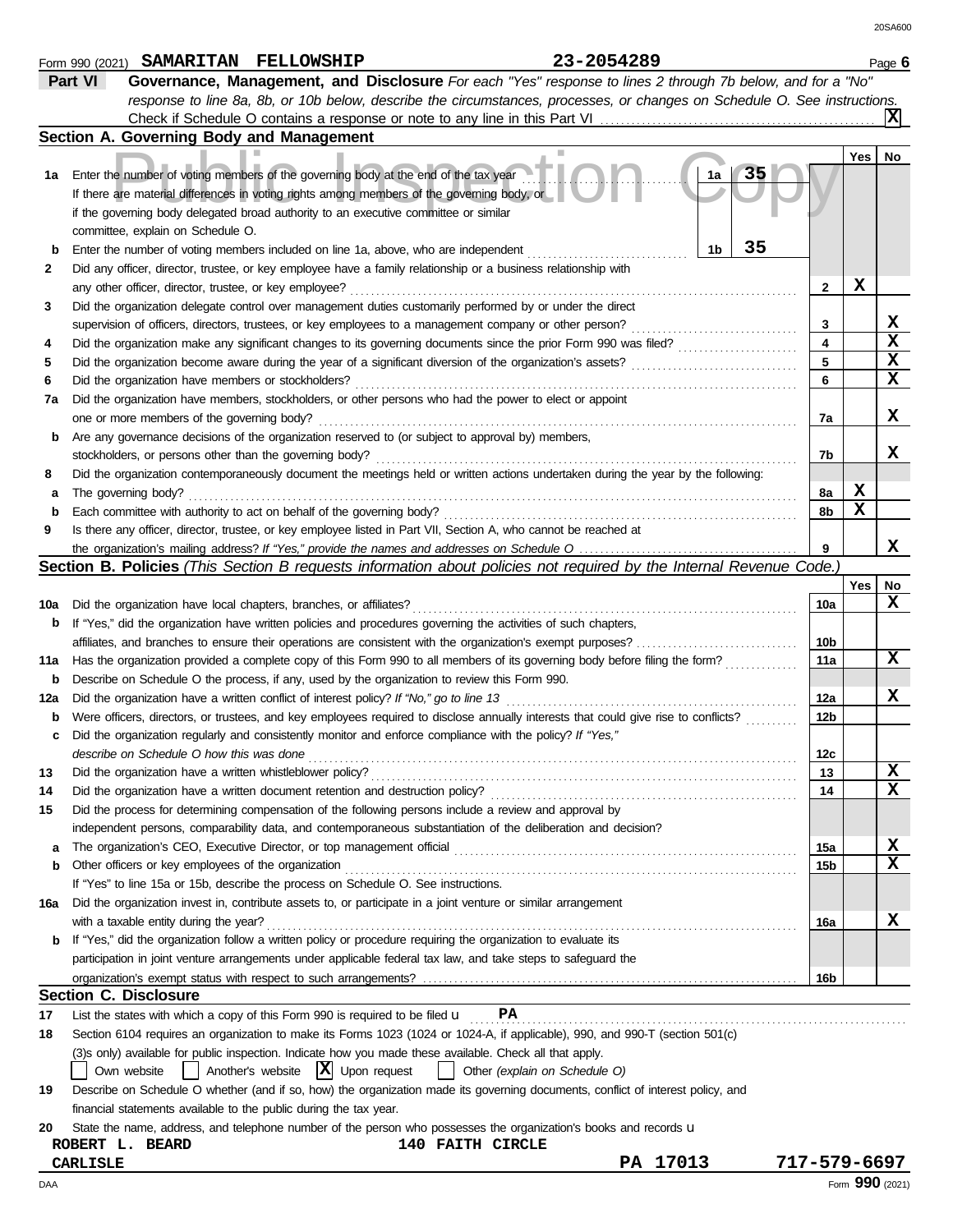|              | Form 990 (2021) |                                                        | SAMARITAN FELLOWSHIP                                                                   |                                                                                                                                     | 23-2054289 |          |          |                         |     | Page 6 |
|--------------|-----------------|--------------------------------------------------------|----------------------------------------------------------------------------------------|-------------------------------------------------------------------------------------------------------------------------------------|------------|----------|----------|-------------------------|-----|--------|
|              | Part VI         |                                                        |                                                                                        | Governance, Management, and Disclosure For each "Yes" response to lines 2 through 7b below, and for a "No"                          |            |          |          |                         |     |        |
|              |                 |                                                        |                                                                                        | response to line 8a, 8b, or 10b below, describe the circumstances, processes, or changes on Schedule O. See instructions.           |            |          |          |                         |     |        |
|              |                 |                                                        |                                                                                        |                                                                                                                                     |            |          |          |                         |     | xl     |
|              |                 |                                                        | Section A. Governing Body and Management                                               |                                                                                                                                     |            |          |          |                         |     |        |
|              |                 |                                                        |                                                                                        |                                                                                                                                     |            |          |          |                         | Yes | No     |
| 1а           |                 |                                                        |                                                                                        | Enter the number of voting members of the governing body at the end of the tax year                                                 |            |          | 35<br>1a |                         |     |        |
|              |                 |                                                        |                                                                                        | If there are material differences in voting rights among members of the governing body, or                                          |            |          |          |                         |     |        |
|              |                 |                                                        |                                                                                        | if the governing body delegated broad authority to an executive committee or similar                                                |            |          |          |                         |     |        |
|              |                 | committee, explain on Schedule O.                      |                                                                                        |                                                                                                                                     |            |          |          |                         |     |        |
| b            |                 |                                                        |                                                                                        | Enter the number of voting members included on line 1a, above, who are independent                                                  |            |          | 35<br>1b |                         |     |        |
| $\mathbf{2}$ |                 |                                                        |                                                                                        | Did any officer, director, trustee, or key employee have a family relationship or a business relationship with                      |            |          |          |                         |     |        |
|              |                 | any other officer, director, trustee, or key employee? |                                                                                        |                                                                                                                                     |            |          |          | $\mathbf{2}$            | X   |        |
| 3            |                 |                                                        |                                                                                        | Did the organization delegate control over management duties customarily performed by or under the direct                           |            |          |          |                         |     |        |
|              |                 |                                                        |                                                                                        | supervision of officers, directors, trustees, or key employees to a management company or other person?                             |            |          |          | 3                       |     | X      |
| 4            |                 |                                                        |                                                                                        | Did the organization make any significant changes to its governing documents since the prior Form 990 was filed?                    |            |          |          | $\overline{\mathbf{4}}$ |     | X      |
| 5            |                 |                                                        |                                                                                        | Did the organization become aware during the year of a significant diversion of the organization's assets?                          |            |          |          | 5                       |     | x      |
| 6            |                 | Did the organization have members or stockholders?     |                                                                                        |                                                                                                                                     |            |          |          | 6                       |     | X      |
| 7a           |                 |                                                        |                                                                                        | Did the organization have members, stockholders, or other persons who had the power to elect or appoint                             |            |          |          |                         |     |        |
|              |                 | one or more members of the governing body?             |                                                                                        |                                                                                                                                     |            |          |          | 7a                      |     | x      |
| b            |                 |                                                        |                                                                                        | Are any governance decisions of the organization reserved to (or subject to approval by) members,                                   |            |          |          |                         |     |        |
|              |                 |                                                        | stockholders, or persons other than the governing body?                                |                                                                                                                                     |            |          |          | 7b                      |     | x      |
| 8            |                 |                                                        |                                                                                        | Did the organization contemporaneously document the meetings held or written actions undertaken during the year by the following:   |            |          |          |                         |     |        |
|              |                 | The governing body?                                    |                                                                                        |                                                                                                                                     |            |          |          | 8а                      | X   |        |
| а            |                 |                                                        | Each committee with authority to act on behalf of the governing body?                  |                                                                                                                                     |            |          |          | 8b                      | X   |        |
| b<br>9       |                 |                                                        |                                                                                        | Is there any officer, director, trustee, or key employee listed in Part VII, Section A, who cannot be reached at                    |            |          |          |                         |     |        |
|              |                 |                                                        |                                                                                        | the organization's mailing address? If "Yes," provide the names and addresses on Schedule O                                         |            |          |          | 9                       |     | x      |
|              |                 |                                                        |                                                                                        | <b>Section B. Policies</b> (This Section B requests information about policies not required by the Internal Revenue Code.)          |            |          |          |                         |     |        |
|              |                 |                                                        |                                                                                        |                                                                                                                                     |            |          |          |                         | Yes | No     |
|              |                 |                                                        | Did the organization have local chapters, branches, or affiliates?                     |                                                                                                                                     |            |          |          | 10a                     |     | x      |
| 10a          |                 |                                                        |                                                                                        |                                                                                                                                     |            |          |          |                         |     |        |
| b            |                 |                                                        |                                                                                        | If "Yes," did the organization have written policies and procedures governing the activities of such chapters,                      |            |          |          |                         |     |        |
|              |                 |                                                        |                                                                                        | affiliates, and branches to ensure their operations are consistent with the organization's exempt purposes?                         |            |          |          | 10b                     |     | x      |
| 11a          |                 |                                                        |                                                                                        | Has the organization provided a complete copy of this Form 990 to all members of its governing body before filing the form?         |            |          |          | 11a                     |     |        |
| b            |                 |                                                        |                                                                                        | Describe on Schedule O the process, if any, used by the organization to review this Form 990.                                       |            |          |          |                         |     |        |
| 12a          |                 |                                                        |                                                                                        | Did the organization have a written conflict of interest policy? If "No," go to line 13                                             |            |          |          | 12a                     |     | X      |
| b            |                 |                                                        |                                                                                        | Were officers, directors, or trustees, and key employees required to disclose annually interests that could give rise to conflicts? |            |          |          | 12b                     |     |        |
|              |                 |                                                        |                                                                                        | Did the organization regularly and consistently monitor and enforce compliance with the policy? If "Yes,"                           |            |          |          |                         |     |        |
|              |                 | describe on Schedule O how this was done               |                                                                                        |                                                                                                                                     |            |          |          | 12 <sub>c</sub>         |     |        |
| 13           |                 |                                                        | Did the organization have a written whistleblower policy?                              |                                                                                                                                     |            |          |          | 13                      |     | x      |
| 14           |                 |                                                        | Did the organization have a written document retention and destruction policy?         |                                                                                                                                     |            |          |          | 14                      |     | x      |
| 15           |                 |                                                        |                                                                                        | Did the process for determining compensation of the following persons include a review and approval by                              |            |          |          |                         |     |        |
|              |                 |                                                        |                                                                                        | independent persons, comparability data, and contemporaneous substantiation of the deliberation and decision?                       |            |          |          |                         |     |        |
| а            |                 |                                                        | The organization's CEO, Executive Director, or top management official                 |                                                                                                                                     |            |          |          | 15a                     |     | X      |
| b            |                 | Other officers or key employees of the organization    |                                                                                        |                                                                                                                                     |            |          |          | 15b                     |     | x      |
|              |                 |                                                        |                                                                                        | If "Yes" to line 15a or 15b, describe the process on Schedule O. See instructions.                                                  |            |          |          |                         |     |        |
| 16a          |                 |                                                        |                                                                                        | Did the organization invest in, contribute assets to, or participate in a joint venture or similar arrangement                      |            |          |          |                         |     |        |
|              |                 | with a taxable entity during the year?                 |                                                                                        |                                                                                                                                     |            |          |          | 16a                     |     | X      |
|              |                 |                                                        |                                                                                        | b If "Yes," did the organization follow a written policy or procedure requiring the organization to evaluate its                    |            |          |          |                         |     |        |
|              |                 |                                                        |                                                                                        | participation in joint venture arrangements under applicable federal tax law, and take steps to safeguard the                       |            |          |          |                         |     |        |
|              |                 |                                                        |                                                                                        |                                                                                                                                     |            |          |          | 16b                     |     |        |
|              |                 | <b>Section C. Disclosure</b>                           |                                                                                        |                                                                                                                                     |            |          |          |                         |     |        |
| 17           |                 |                                                        | List the states with which a copy of this Form 990 is required to be filed $\mathbf u$ | PA                                                                                                                                  |            |          |          |                         |     |        |
| 18           |                 |                                                        |                                                                                        | Section 6104 requires an organization to make its Forms 1023 (1024 or 1024-A, if applicable), 990, and 990-T (section 501(c)        |            |          |          |                         |     |        |
|              |                 |                                                        |                                                                                        | (3)s only) available for public inspection. Indicate how you made these available. Check all that apply.                            |            |          |          |                         |     |        |
|              |                 | Own website                                            | Another's website $ \mathbf{X} $ Upon request                                          | Other (explain on Schedule O)                                                                                                       |            |          |          |                         |     |        |
| 19           |                 |                                                        |                                                                                        | Describe on Schedule O whether (and if so, how) the organization made its governing documents, conflict of interest policy, and     |            |          |          |                         |     |        |
|              |                 |                                                        | financial statements available to the public during the tax year.                      |                                                                                                                                     |            |          |          |                         |     |        |
| 20           |                 |                                                        |                                                                                        | State the name, address, and telephone number of the person who possesses the organization's books and records u                    |            |          |          |                         |     |        |
|              |                 | ROBERT L. BEARD                                        |                                                                                        | <b>140 FAITH CIRCLE</b>                                                                                                             |            |          |          |                         |     |        |
|              | <b>CARLISLE</b> |                                                        |                                                                                        |                                                                                                                                     |            | PA 17013 |          | 717-579-6697            |     |        |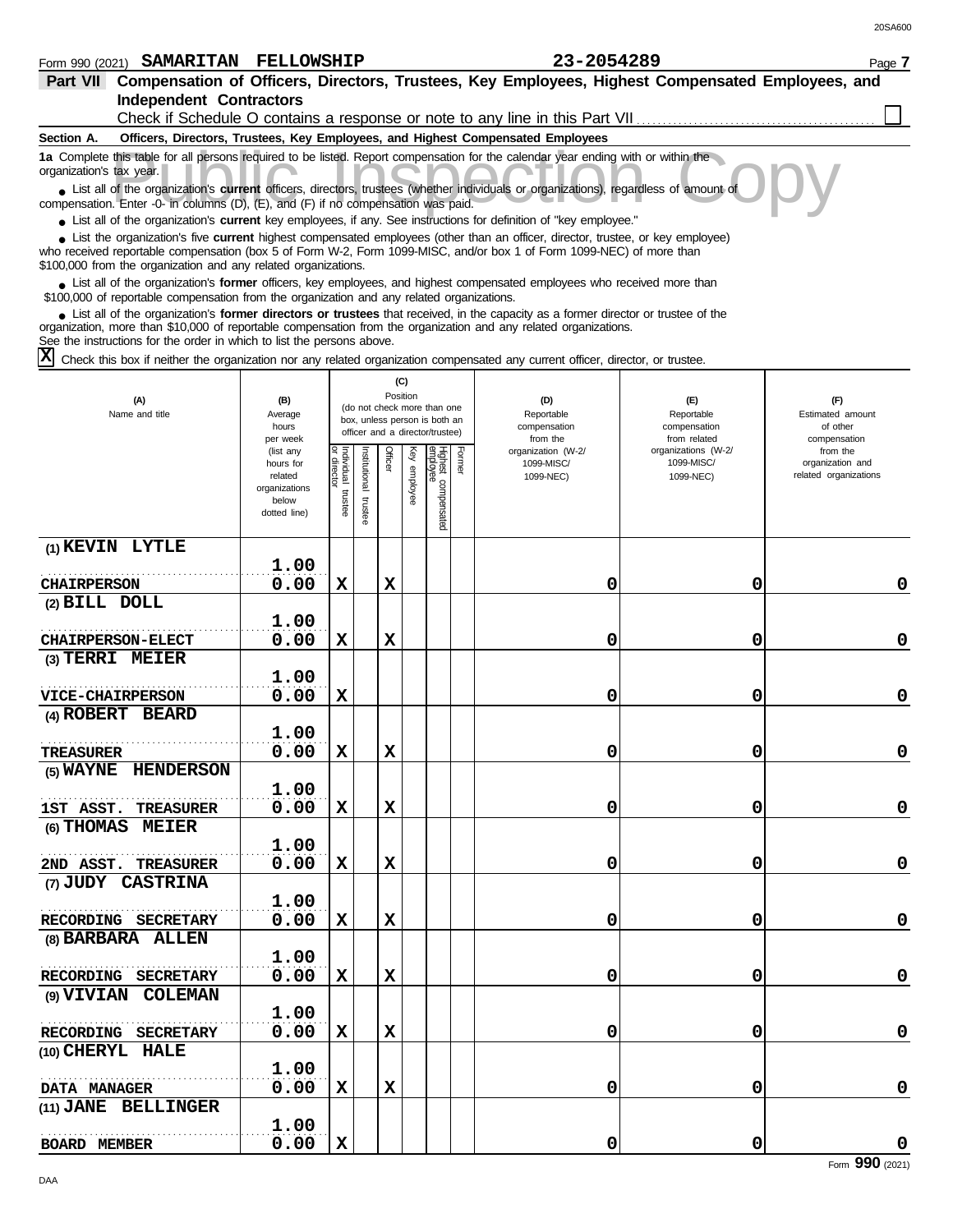| Part VII Compensation of Officers, Directors, Trustees, Key Employees, Highest Compensated Employees, and<br><b>Independent Contractors</b>                                                                                                                                                                                       |                        |                   |              |          |          |                                 |        |                                                                                 |                                   |                              |
|-----------------------------------------------------------------------------------------------------------------------------------------------------------------------------------------------------------------------------------------------------------------------------------------------------------------------------------|------------------------|-------------------|--------------|----------|----------|---------------------------------|--------|---------------------------------------------------------------------------------|-----------------------------------|------------------------------|
|                                                                                                                                                                                                                                                                                                                                   |                        |                   |              |          |          |                                 |        | Check if Schedule O contains a response or note to any line in this Part VII    |                                   |                              |
| Section A.                                                                                                                                                                                                                                                                                                                        |                        |                   |              |          |          |                                 |        | Officers, Directors, Trustees, Key Employees, and Highest Compensated Employees |                                   |                              |
| 1a Complete this table for all persons required to be listed. Report compensation for the calendar year ending with or within the<br>organization's tax year.                                                                                                                                                                     |                        |                   |              |          |          |                                 |        |                                                                                 |                                   |                              |
| • List all of the organization's current officers, directors, trustees (whether individuals or organizations), regardless of amount of<br>compensation. Enter -0- in columns (D), (E), and (F) if no compensation was paid.                                                                                                       |                        |                   |              |          |          |                                 |        |                                                                                 |                                   |                              |
| • List all of the organization's current key employees, if any. See instructions for definition of "key employee."                                                                                                                                                                                                                |                        |                   |              |          |          |                                 |        |                                                                                 |                                   |                              |
| • List the organization's five current highest compensated employees (other than an officer, director, trustee, or key employee)<br>who received reportable compensation (box 5 of Form W-2, Form 1099-MISC, and/or box 1 of Form 1099-NEC) of more than<br>\$100,000 from the organization and any related organizations.        |                        |                   |              |          |          |                                 |        |                                                                                 |                                   |                              |
| • List all of the organization's former officers, key employees, and highest compensated employees who received more than<br>\$100,000 of reportable compensation from the organization and any related organizations.                                                                                                            |                        |                   |              |          |          |                                 |        |                                                                                 |                                   |                              |
| • List all of the organization's former directors or trustees that received, in the capacity as a former director or trustee of the<br>organization, more than \$10,000 of reportable compensation from the organization and any related organizations.<br>See the instructions for the order in which to list the persons above. |                        |                   |              |          |          |                                 |        |                                                                                 |                                   |                              |
| $\mathbf{x}$<br>Check this box if neither the organization nor any related organization compensated any current officer, director, or trustee.                                                                                                                                                                                    |                        |                   |              |          |          |                                 |        |                                                                                 |                                   |                              |
|                                                                                                                                                                                                                                                                                                                                   |                        |                   |              |          | (C)      |                                 |        |                                                                                 |                                   |                              |
| (A)                                                                                                                                                                                                                                                                                                                               | (B)                    |                   |              | Position |          | (do not check more than one     |        | (D)                                                                             | (E)                               | (F)                          |
| Name and title                                                                                                                                                                                                                                                                                                                    | Average<br>hours       |                   |              |          |          | box, unless person is both an   |        | Reportable<br>compensation                                                      | Reportable<br>compensation        | Estimated amount<br>of other |
|                                                                                                                                                                                                                                                                                                                                   | per week               |                   |              |          |          | officer and a director/trustee) |        | from the                                                                        | from related                      | compensation                 |
|                                                                                                                                                                                                                                                                                                                                   | (list any<br>hours for |                   |              | Officer  | Ķey      |                                 | Former | organization (W-2/<br>1099-MISC/                                                | organizations (W-2/<br>1099-MISC/ | from the<br>organization and |
|                                                                                                                                                                                                                                                                                                                                   | related                |                   | nstitutional |          |          |                                 |        | 1099-NEC)                                                                       | 1099-NEC)                         | related organizations        |
|                                                                                                                                                                                                                                                                                                                                   | organizations<br>below | ndividual trustee |              |          | employee |                                 |        |                                                                                 |                                   |                              |
|                                                                                                                                                                                                                                                                                                                                   | dotted line)           |                   | trustee      |          |          | Highest compensated<br>employee |        |                                                                                 |                                   |                              |
| (1) KEVIN LYTLE                                                                                                                                                                                                                                                                                                                   |                        |                   |              |          |          |                                 |        |                                                                                 |                                   |                              |
|                                                                                                                                                                                                                                                                                                                                   | 1.00                   |                   |              |          |          |                                 |        |                                                                                 |                                   |                              |
| <b>CHAIRPERSON</b><br>(2) BILL DOLL                                                                                                                                                                                                                                                                                               | 0.00                   | X                 |              | х        |          |                                 |        | 0                                                                               | 0                                 | 0                            |
|                                                                                                                                                                                                                                                                                                                                   | 1.00                   |                   |              |          |          |                                 |        |                                                                                 |                                   |                              |
| <b>CHAIRPERSON-ELECT</b>                                                                                                                                                                                                                                                                                                          | 0.00                   | X                 |              | х        |          |                                 |        | 0                                                                               | 0                                 | 0                            |
| (3) TERRI MEIER                                                                                                                                                                                                                                                                                                                   |                        |                   |              |          |          |                                 |        |                                                                                 |                                   |                              |
|                                                                                                                                                                                                                                                                                                                                   | 1.00                   |                   |              |          |          |                                 |        |                                                                                 |                                   |                              |
| <b>VICE-CHAIRPERSON</b>                                                                                                                                                                                                                                                                                                           | 0.00                   | X                 |              |          |          |                                 |        | 0                                                                               | 0                                 | 0                            |
| (4) ROBERT BEARD                                                                                                                                                                                                                                                                                                                  |                        |                   |              |          |          |                                 |        |                                                                                 |                                   |                              |
|                                                                                                                                                                                                                                                                                                                                   | 1.00                   |                   |              |          |          |                                 |        |                                                                                 |                                   |                              |
| TREASURER                                                                                                                                                                                                                                                                                                                         | 0.00                   | $\mathbf x$       |              | X        |          |                                 |        | 0                                                                               | 0                                 | 0                            |
| (5) WAYNE HENDERSON                                                                                                                                                                                                                                                                                                               |                        |                   |              |          |          |                                 |        |                                                                                 |                                   |                              |
|                                                                                                                                                                                                                                                                                                                                   | 1.00                   |                   |              |          |          |                                 |        |                                                                                 |                                   |                              |
| 1ST ASST. TREASURER                                                                                                                                                                                                                                                                                                               | 0.00                   | X                 |              | х        |          |                                 |        | 0                                                                               | 0                                 | $\mathbf 0$                  |
| (6) THOMAS MEIER                                                                                                                                                                                                                                                                                                                  |                        |                   |              |          |          |                                 |        |                                                                                 |                                   |                              |
|                                                                                                                                                                                                                                                                                                                                   | 1.00                   |                   |              |          |          |                                 |        |                                                                                 |                                   |                              |
| 2ND ASST. TREASURER                                                                                                                                                                                                                                                                                                               | 0.00                   | x                 |              | X        |          |                                 |        | 0                                                                               | 0                                 | $\pmb{0}$                    |
| (7) JUDY CASTRINA                                                                                                                                                                                                                                                                                                                 |                        |                   |              |          |          |                                 |        |                                                                                 |                                   |                              |
|                                                                                                                                                                                                                                                                                                                                   | 1.00                   |                   |              |          |          |                                 |        |                                                                                 |                                   |                              |
| RECORDING SECRETARY                                                                                                                                                                                                                                                                                                               | 0.00                   | X                 |              | X        |          |                                 |        | 0                                                                               | 0                                 | $\pmb{0}$                    |
| (8) BARBARA ALLEN                                                                                                                                                                                                                                                                                                                 |                        |                   |              |          |          |                                 |        |                                                                                 |                                   |                              |
|                                                                                                                                                                                                                                                                                                                                   | 1.00                   |                   |              |          |          |                                 |        |                                                                                 |                                   |                              |
| RECORDING SECRETARY                                                                                                                                                                                                                                                                                                               | 0.00                   | X                 |              | X        |          |                                 |        | 0                                                                               | 0                                 | $\pmb{0}$                    |
| (9) VIVIAN COLEMAN                                                                                                                                                                                                                                                                                                                |                        |                   |              |          |          |                                 |        |                                                                                 |                                   |                              |
| RECORDING SECRETARY                                                                                                                                                                                                                                                                                                               | 1.00<br>0.00           | X                 |              | X        |          |                                 |        | 0                                                                               | 0                                 | $\pmb{0}$                    |
| (10) CHERYL HALE                                                                                                                                                                                                                                                                                                                  |                        |                   |              |          |          |                                 |        |                                                                                 |                                   |                              |
|                                                                                                                                                                                                                                                                                                                                   | 1.00                   |                   |              |          |          |                                 |        |                                                                                 |                                   |                              |
| DATA MANAGER                                                                                                                                                                                                                                                                                                                      | 0.00                   | X                 |              | X        |          |                                 |        | 0                                                                               | 0                                 | $\mathbf 0$                  |
| (11) JANE BELLINGER                                                                                                                                                                                                                                                                                                               |                        |                   |              |          |          |                                 |        |                                                                                 |                                   |                              |
|                                                                                                                                                                                                                                                                                                                                   | 1.00                   |                   |              |          |          |                                 |        |                                                                                 |                                   |                              |
| <b>BOARD MEMBER</b>                                                                                                                                                                                                                                                                                                               | 0.00                   | X                 |              |          |          |                                 |        | 0                                                                               | 0                                 | 0                            |
|                                                                                                                                                                                                                                                                                                                                   |                        |                   |              |          |          |                                 |        |                                                                                 |                                   | Form 990 (2021)              |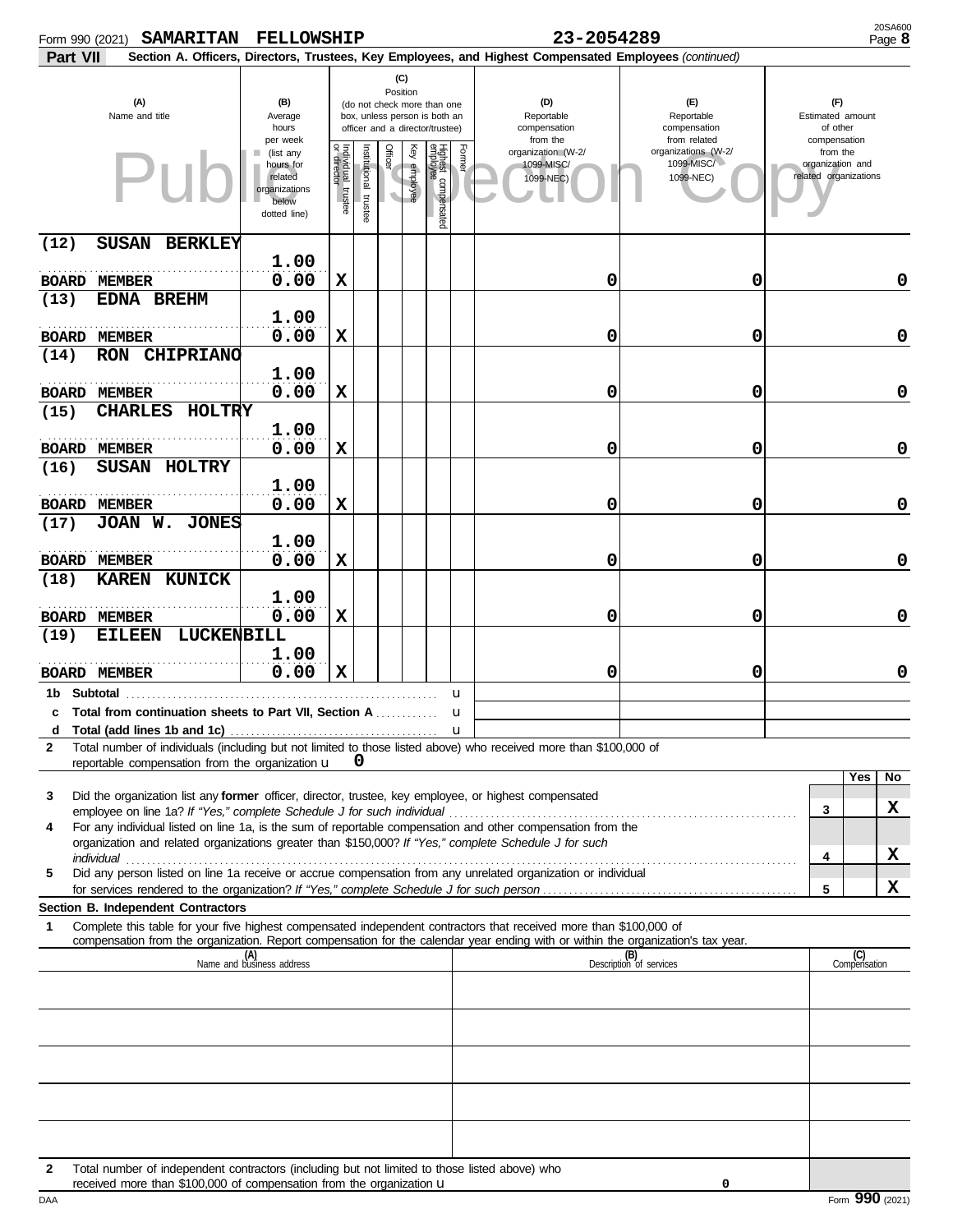| Form 990 (2021) | <b>SAMARITAN</b>                                                                                                                                                                                                                                       | <b>FELLOWSHIP</b>                                                                       |                                   |                          |         |                                                                                                             |                                 |        | 23-2054289                                                                                             |                                                                |                                                                       | 20SA600<br>Page 8 |
|-----------------|--------------------------------------------------------------------------------------------------------------------------------------------------------------------------------------------------------------------------------------------------------|-----------------------------------------------------------------------------------------|-----------------------------------|--------------------------|---------|-------------------------------------------------------------------------------------------------------------|---------------------------------|--------|--------------------------------------------------------------------------------------------------------|----------------------------------------------------------------|-----------------------------------------------------------------------|-------------------|
| Part VII        |                                                                                                                                                                                                                                                        |                                                                                         |                                   |                          |         |                                                                                                             |                                 |        | Section A. Officers, Directors, Trustees, Key Employees, and Highest Compensated Employees (continued) |                                                                |                                                                       |                   |
|                 | (A)<br>Name and title                                                                                                                                                                                                                                  | (B)<br>Average<br>hours                                                                 | (C)                               |                          |         | Position<br>(do not check more than one<br>box, unless person is both an<br>officer and a director/trustee) |                                 |        | (D)<br>Reportable<br>compensation                                                                      | (F)<br>Reportable<br>compensation                              | (F)<br>Estimated amount<br>of other                                   |                   |
|                 |                                                                                                                                                                                                                                                        | per week<br>(list any<br>hours for<br>related<br>organizations<br>below<br>dotted line) | Individual trustee<br>or director | Institutional<br>trustee | Officer | Ķey<br>employee                                                                                             | Highest compensated<br>employee | Former | from the<br>organization (W-2/<br>1099-MISC/<br>1099-NEC)                                              | from related<br>organizations (W-2/<br>1099-MISC/<br>1099-NEC) | compensation<br>from the<br>organization and<br>related organizations |                   |
| (12)            | <b>SUSAN</b><br><b>BERKLEY</b>                                                                                                                                                                                                                         |                                                                                         |                                   |                          |         |                                                                                                             |                                 |        |                                                                                                        |                                                                |                                                                       |                   |
|                 | <b>BOARD MEMBER</b>                                                                                                                                                                                                                                    | 1.00<br>0.00                                                                            | X                                 |                          |         |                                                                                                             |                                 |        | 0                                                                                                      | 0                                                              |                                                                       | 0                 |
| (13)            | EDNA BREHM                                                                                                                                                                                                                                             | 1.00                                                                                    |                                   |                          |         |                                                                                                             |                                 |        |                                                                                                        |                                                                |                                                                       |                   |
| (14)            | <b>BOARD MEMBER</b><br><b>RON CHIPRIANO</b>                                                                                                                                                                                                            | 0.00                                                                                    | $\mathbf x$                       |                          |         |                                                                                                             |                                 |        | 0                                                                                                      | 0                                                              |                                                                       | 0                 |
|                 | <b>BOARD MEMBER</b>                                                                                                                                                                                                                                    | 1.00<br>0.00                                                                            | $\mathbf x$                       |                          |         |                                                                                                             |                                 |        | 0                                                                                                      | 0                                                              |                                                                       | 0                 |
| (15)            | <b>CHARLES</b><br><b>HOLTRY</b>                                                                                                                                                                                                                        |                                                                                         |                                   |                          |         |                                                                                                             |                                 |        |                                                                                                        |                                                                |                                                                       |                   |
|                 | <b>BOARD MEMBER</b>                                                                                                                                                                                                                                    | 1.00<br>0.00                                                                            | х                                 |                          |         |                                                                                                             |                                 |        | 0                                                                                                      | 0                                                              |                                                                       | $\mathbf 0$       |
| (16)            | SUSAN HOLTRY                                                                                                                                                                                                                                           | 1.00                                                                                    |                                   |                          |         |                                                                                                             |                                 |        |                                                                                                        |                                                                |                                                                       |                   |
| (17)            | <b>BOARD MEMBER</b><br>JOAN W. JONES                                                                                                                                                                                                                   | 0.00                                                                                    | $\mathbf x$                       |                          |         |                                                                                                             |                                 |        | 0                                                                                                      | 0                                                              |                                                                       | $\mathbf 0$       |
|                 | <b>BOARD MEMBER</b>                                                                                                                                                                                                                                    | 1.00<br>0.00                                                                            | $\mathbf x$                       |                          |         |                                                                                                             |                                 |        | 0                                                                                                      | 0                                                              |                                                                       | $\mathbf 0$       |
| (18)            | <b>KAREN KUNICK</b>                                                                                                                                                                                                                                    | 1.00                                                                                    |                                   |                          |         |                                                                                                             |                                 |        |                                                                                                        |                                                                |                                                                       |                   |
| (19)            | <b>BOARD MEMBER</b><br>LUCKENBILL<br><b>EILEEN</b>                                                                                                                                                                                                     | 0.00                                                                                    | $\mathbf x$                       |                          |         |                                                                                                             |                                 |        | 0                                                                                                      | 0                                                              |                                                                       | $\mathbf 0$       |
|                 | <b>BOARD MEMBER</b>                                                                                                                                                                                                                                    | 1.00<br>0.00                                                                            | X                                 |                          |         |                                                                                                             |                                 |        | 0                                                                                                      | 0                                                              |                                                                       | 0                 |
|                 | 1b Subtotal                                                                                                                                                                                                                                            |                                                                                         |                                   |                          |         |                                                                                                             |                                 | u      |                                                                                                        |                                                                |                                                                       |                   |
| d               | c Total from continuation sheets to Part VII, Section A                                                                                                                                                                                                |                                                                                         |                                   |                          |         |                                                                                                             |                                 |        |                                                                                                        |                                                                |                                                                       |                   |
| $\mathbf{2}$    | Total number of individuals (including but not limited to those listed above) who received more than \$100,000 of<br>reportable compensation from the organization u                                                                                   |                                                                                         |                                   | 0                        |         |                                                                                                             |                                 |        |                                                                                                        |                                                                |                                                                       |                   |
| 3               | Did the organization list any former officer, director, trustee, key employee, or highest compensated                                                                                                                                                  |                                                                                         |                                   |                          |         |                                                                                                             |                                 |        |                                                                                                        |                                                                | Yes                                                                   | No                |
| 4               | For any individual listed on line 1a, is the sum of reportable compensation and other compensation from the                                                                                                                                            |                                                                                         |                                   |                          |         |                                                                                                             |                                 |        |                                                                                                        |                                                                | 3                                                                     | x.                |
|                 | organization and related organizations greater than \$150,000? If "Yes," complete Schedule J for such                                                                                                                                                  |                                                                                         |                                   |                          |         |                                                                                                             |                                 |        |                                                                                                        |                                                                | 4                                                                     | x                 |
| 5               | Did any person listed on line 1a receive or accrue compensation from any unrelated organization or individual                                                                                                                                          |                                                                                         |                                   |                          |         |                                                                                                             |                                 |        |                                                                                                        |                                                                | 5                                                                     | X                 |
|                 | Section B. Independent Contractors                                                                                                                                                                                                                     |                                                                                         |                                   |                          |         |                                                                                                             |                                 |        |                                                                                                        |                                                                |                                                                       |                   |
| 1               | Complete this table for your five highest compensated independent contractors that received more than \$100,000 of<br>compensation from the organization. Report compensation for the calendar year ending with or within the organization's tax year. |                                                                                         |                                   |                          |         |                                                                                                             |                                 |        |                                                                                                        |                                                                |                                                                       |                   |
|                 |                                                                                                                                                                                                                                                        | (A)<br>Name and business address                                                        |                                   |                          |         |                                                                                                             |                                 |        |                                                                                                        | (B)<br>Description of services                                 | (C)<br>Compensation                                                   |                   |
|                 |                                                                                                                                                                                                                                                        |                                                                                         |                                   |                          |         |                                                                                                             |                                 |        |                                                                                                        |                                                                |                                                                       |                   |
|                 |                                                                                                                                                                                                                                                        |                                                                                         |                                   |                          |         |                                                                                                             |                                 |        |                                                                                                        |                                                                |                                                                       |                   |
|                 |                                                                                                                                                                                                                                                        |                                                                                         |                                   |                          |         |                                                                                                             |                                 |        |                                                                                                        |                                                                |                                                                       |                   |
|                 |                                                                                                                                                                                                                                                        |                                                                                         |                                   |                          |         |                                                                                                             |                                 |        |                                                                                                        |                                                                |                                                                       |                   |
|                 |                                                                                                                                                                                                                                                        |                                                                                         |                                   |                          |         |                                                                                                             |                                 |        |                                                                                                        |                                                                |                                                                       |                   |
| 2               | Total number of independent contractors (including but not limited to those listed above) who<br>received more than \$100,000 of compensation from the organization u                                                                                  |                                                                                         |                                   |                          |         |                                                                                                             |                                 |        |                                                                                                        | 0                                                              |                                                                       |                   |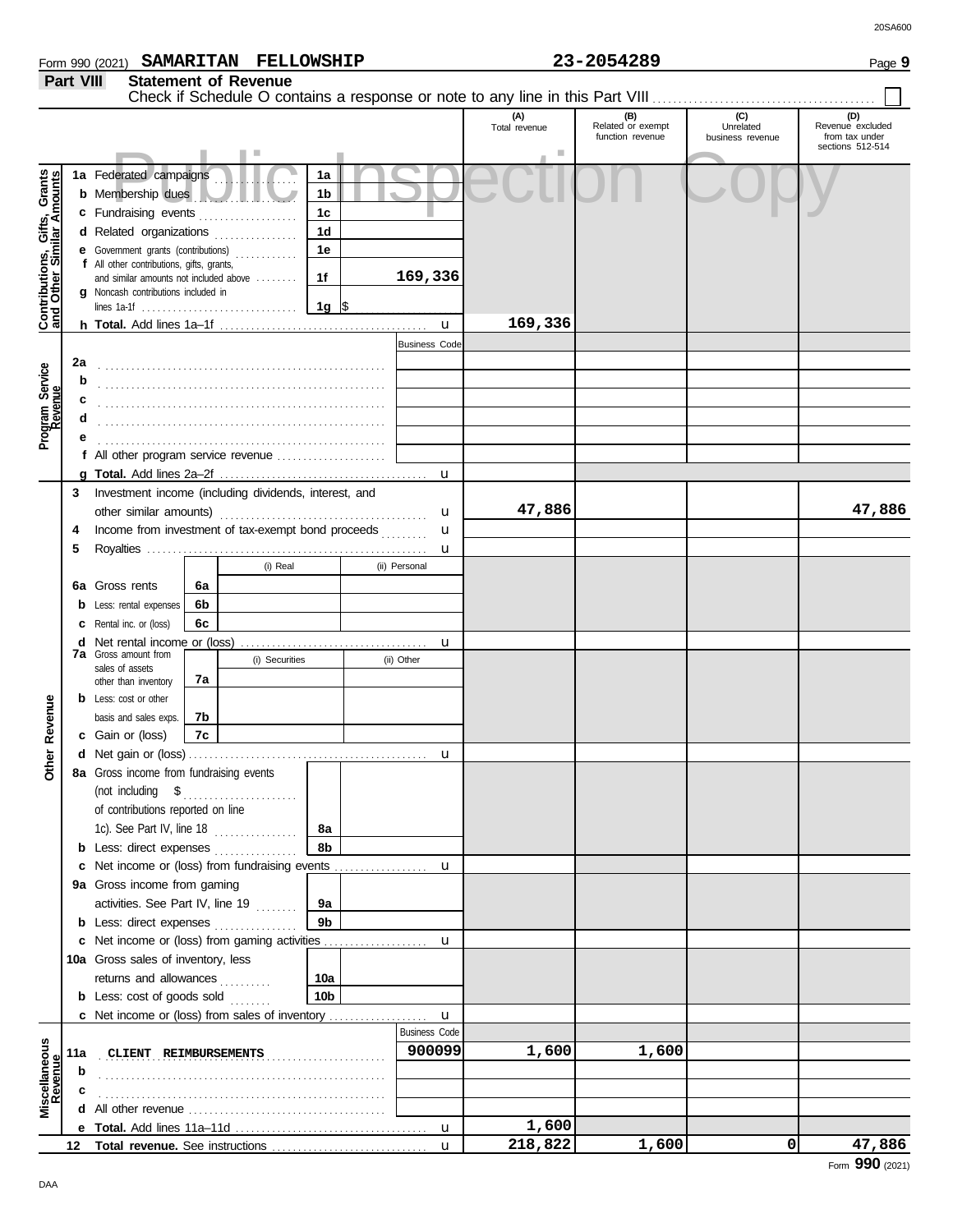|    |                                                                                                              |     |                  |               |                      | (A)<br>Total revenue | (B)<br>Related or exempt<br>function revenue | (C)<br>Unrelated<br>business revenue | (D)<br>Revenue excluded<br>from tax under |  |
|----|--------------------------------------------------------------------------------------------------------------|-----|------------------|---------------|----------------------|----------------------|----------------------------------------------|--------------------------------------|-------------------------------------------|--|
|    |                                                                                                              |     |                  |               |                      |                      |                                              |                                      | sections 512-514                          |  |
|    | la Federated campaigns                                                                                       |     |                  | 1a            |                      |                      |                                              |                                      |                                           |  |
|    | <b>b</b> Membership dues                                                                                     |     |                  | 1b            |                      |                      |                                              |                                      |                                           |  |
|    | c Fundraising events                                                                                         |     | .                | 1c            |                      |                      |                                              |                                      |                                           |  |
|    | d Related organizations                                                                                      |     | .                | 1d            |                      |                      |                                              |                                      |                                           |  |
|    | e Government grants (contributions)                                                                          |     | a da da da da da | 1e            |                      |                      |                                              |                                      |                                           |  |
|    | f All other contributions, gifts, grants,                                                                    |     |                  |               |                      |                      |                                              |                                      |                                           |  |
|    | and similar amounts not included above                                                                       |     |                  | 1f            | 169,336              |                      |                                              |                                      |                                           |  |
|    | g Noncash contributions included in<br>lines 1a-1f $\ldots \ldots \ldots \ldots \ldots \ldots \ldots \ldots$ |     |                  | 1g $\sqrt{5}$ |                      |                      |                                              |                                      |                                           |  |
|    |                                                                                                              |     |                  |               | u                    | 169,336              |                                              |                                      |                                           |  |
|    |                                                                                                              |     |                  |               | <b>Business Code</b> |                      |                                              |                                      |                                           |  |
| 2a |                                                                                                              |     |                  |               |                      |                      |                                              |                                      |                                           |  |
| b  |                                                                                                              |     |                  |               |                      |                      |                                              |                                      |                                           |  |
| c  |                                                                                                              |     |                  |               |                      |                      |                                              |                                      |                                           |  |
| d  |                                                                                                              |     |                  |               |                      |                      |                                              |                                      |                                           |  |
| е  |                                                                                                              |     |                  |               |                      |                      |                                              |                                      |                                           |  |
|    | f All other program service revenue                                                                          |     |                  |               |                      |                      |                                              |                                      |                                           |  |
|    |                                                                                                              |     |                  |               | u                    |                      |                                              |                                      |                                           |  |
|    | Investment income (including dividends, interest, and                                                        |     |                  |               |                      |                      |                                              |                                      |                                           |  |
|    | other similar amounts)                                                                                       |     |                  |               | u                    | 47,886               |                                              |                                      | 47,886                                    |  |
|    | Income from investment of tax-exempt bond proceeds                                                           |     |                  |               | u<br>aaaaaan         |                      |                                              |                                      |                                           |  |
|    |                                                                                                              |     |                  |               | u                    |                      |                                              |                                      |                                           |  |
|    |                                                                                                              |     | (i) Real         |               | (ii) Personal        |                      |                                              |                                      |                                           |  |
|    | <b>Sa</b> Gross rents                                                                                        | 6а  |                  |               |                      |                      |                                              |                                      |                                           |  |
|    | <b>b</b> Less: rental expenses                                                                               | 6b. |                  |               |                      |                      |                                              |                                      |                                           |  |
|    | <b>c</b> Rental inc. or (loss)                                                                               | 6c  |                  |               |                      |                      |                                              |                                      |                                           |  |
|    | <b>d</b> Net rental income or (loss)                                                                         |     |                  |               | u                    |                      |                                              |                                      |                                           |  |
|    | 7 <b>a</b> Gross amount from                                                                                 |     | (i) Securities   |               | (ii) Other           |                      |                                              |                                      |                                           |  |
|    | sales of assets<br>other than inventory                                                                      | 7а  |                  |               |                      |                      |                                              |                                      |                                           |  |
|    | <b>b</b> Less: cost or other                                                                                 |     |                  |               |                      |                      |                                              |                                      |                                           |  |
|    | basis and sales exps.                                                                                        | 7b  |                  |               |                      |                      |                                              |                                      |                                           |  |
|    | c Gain or (loss)                                                                                             | 7c  |                  |               |                      |                      |                                              |                                      |                                           |  |
|    |                                                                                                              |     |                  |               | u                    |                      |                                              |                                      |                                           |  |
|    | <b>3a</b> Gross income from fundraising events                                                               |     |                  |               |                      |                      |                                              |                                      |                                           |  |
|    | (not including \$                                                                                            |     |                  |               |                      |                      |                                              |                                      |                                           |  |
|    | of contributions reported on line                                                                            |     |                  |               |                      |                      |                                              |                                      |                                           |  |
|    |                                                                                                              |     |                  | 8a            |                      |                      |                                              |                                      |                                           |  |
|    | <b>b</b> Less: direct expenses <i>minimum</i>                                                                |     |                  | 8b            |                      |                      |                                              |                                      |                                           |  |
|    | c Net income or (loss) from fundraising events                                                               |     |                  |               | u                    |                      |                                              |                                      |                                           |  |
|    | a Gross income from gaming                                                                                   |     |                  |               |                      |                      |                                              |                                      |                                           |  |
|    | activities. See Part IV, line 19                                                                             |     |                  | 9a            |                      |                      |                                              |                                      |                                           |  |
|    | <b>b</b> Less: direct expenses                                                                               |     |                  | 9b            |                      |                      |                                              |                                      |                                           |  |
|    | c Net income or (loss) from gaming activities                                                                |     |                  |               | u                    |                      |                                              |                                      |                                           |  |
|    | Da Gross sales of inventory, less                                                                            |     |                  |               |                      |                      |                                              |                                      |                                           |  |
|    | returns and allowances                                                                                       |     |                  | 10a           |                      |                      |                                              |                                      |                                           |  |
|    | <b>b</b> Less: cost of goods sold $\ldots$                                                                   |     |                  | 10b           |                      |                      |                                              |                                      |                                           |  |
|    | <b>c</b> Net income or (loss) from sales of inventory                                                        |     |                  |               | u                    |                      |                                              |                                      |                                           |  |

**Miscellaneous**

**Revenue**

**1a b c d e f g**

**Contributions, Gifts, Grants and Other Similar Amounts**

Contributions, Gifts, Grants<br>and Other Similar Amounts

**Program Service**

Program Service<br>Revenue

**2a**

**f e d c b**

**3**

**4 5**

**6a b c d**

**c**

**Other Revenue**

**Other Revenue** 

**8a**

**b c**

**9a**

**b**

**c**

**11a b c**

**12**

**10a**

**b**

**d** All other revenue . . . . . . . . . . . . . . . . . . . . . . . . . . . . . . . . . . . . . . **e Total.** Add lines 11a–11d . . . . . . . . . . . . . . . . . . . . . . . . . . . . . . . . . . . . .

. . . . . . . . . . . . . . . . . . . . . . . . . . . . . . . . . . . . . . . . . . . . . . . . . . . . . . .

. . . . . . . . . . . . . . . . . . . . . . . . . . . . . . . . . . . . . . . . . . . . . . . . . . . . . . . **CLIENT REIMBURSEMENTS 900099 1,600 1,600**

Business Code

u

u

**1,600**

**218,822 1,600 0 47,886**

Total revenue. See instructions ........

**b**

**7a** Gross amount from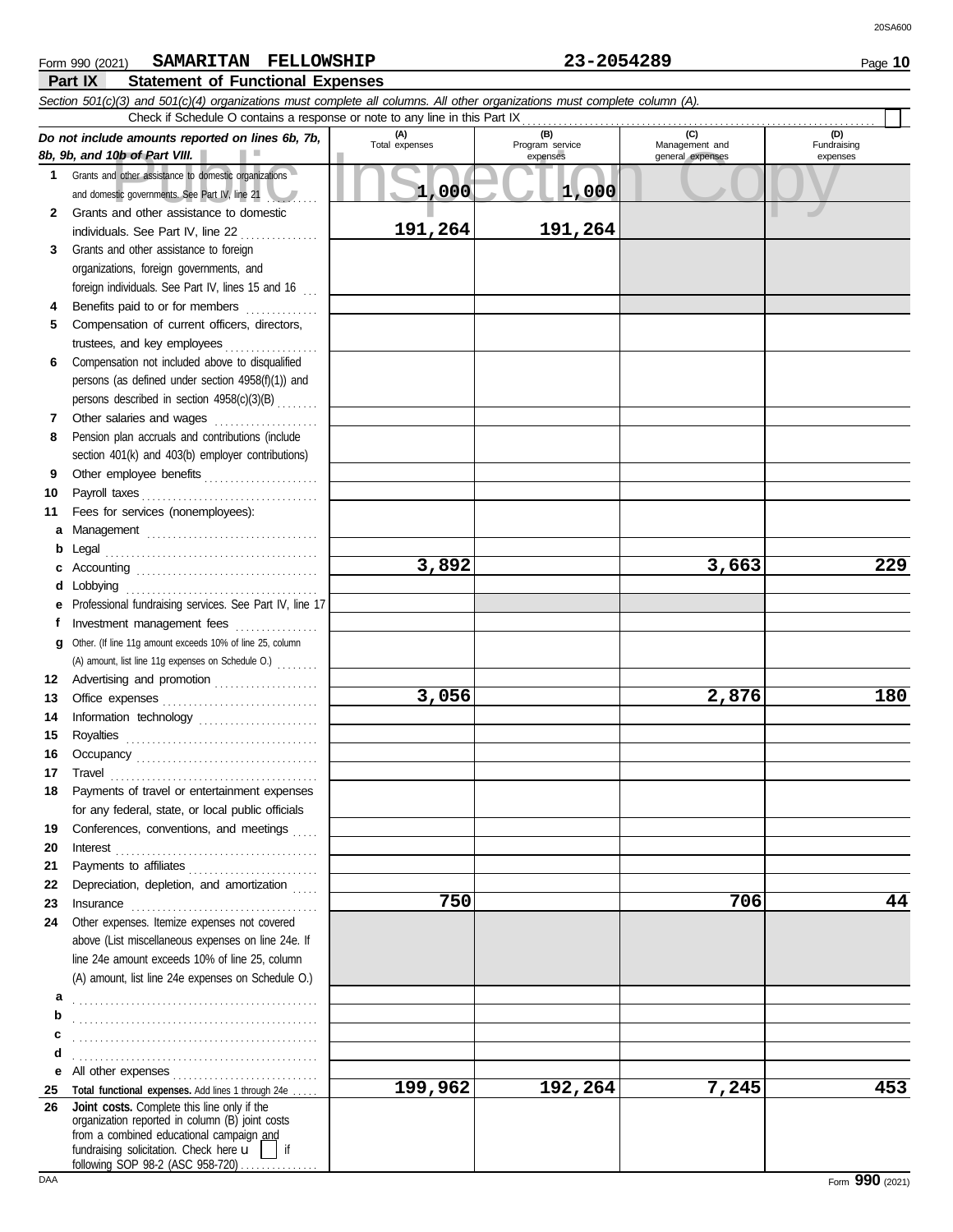|              | нап і к<br>Statement of Functional Expenses                                                                                                                                                                                                                                                                                                                                                |                |                             |                                    |                         |
|--------------|--------------------------------------------------------------------------------------------------------------------------------------------------------------------------------------------------------------------------------------------------------------------------------------------------------------------------------------------------------------------------------------------|----------------|-----------------------------|------------------------------------|-------------------------|
|              | Section 501(c)(3) and 501(c)(4) organizations must complete all columns. All other organizations must complete column (A).<br>Check if Schedule O contains a response or note to any line in this Part IX                                                                                                                                                                                  |                |                             |                                    |                         |
|              |                                                                                                                                                                                                                                                                                                                                                                                            | (A)            | (B)                         | (C)                                | (D)                     |
|              | Do not include amounts reported on lines 6b, 7b,<br>8b, 9b, and 10b of Part VIII.                                                                                                                                                                                                                                                                                                          | Total expenses | Program service<br>expenses | Management and<br>general expenses | Fundraising<br>expenses |
| 1            | Grants and other assistance to domestic organizations                                                                                                                                                                                                                                                                                                                                      |                |                             |                                    |                         |
|              | and domestic governments. See Part IV, line 21                                                                                                                                                                                                                                                                                                                                             | 1,000          | 1,000                       |                                    |                         |
| $\mathbf{2}$ | Grants and other assistance to domestic                                                                                                                                                                                                                                                                                                                                                    |                |                             |                                    |                         |
|              | individuals. See Part IV, line 22<br>.                                                                                                                                                                                                                                                                                                                                                     | 191,264        | 191,264                     |                                    |                         |
| 3            | Grants and other assistance to foreign                                                                                                                                                                                                                                                                                                                                                     |                |                             |                                    |                         |
|              | organizations, foreign governments, and                                                                                                                                                                                                                                                                                                                                                    |                |                             |                                    |                         |
|              | foreign individuals. See Part IV, lines 15 and 16                                                                                                                                                                                                                                                                                                                                          |                |                             |                                    |                         |
| 4            | Benefits paid to or for members<br><u>.</u>                                                                                                                                                                                                                                                                                                                                                |                |                             |                                    |                         |
| 5            | Compensation of current officers, directors,                                                                                                                                                                                                                                                                                                                                               |                |                             |                                    |                         |
|              | trustees, and key employees<br>.                                                                                                                                                                                                                                                                                                                                                           |                |                             |                                    |                         |
| 6            | Compensation not included above to disqualified                                                                                                                                                                                                                                                                                                                                            |                |                             |                                    |                         |
|              | persons (as defined under section 4958(f)(1)) and                                                                                                                                                                                                                                                                                                                                          |                |                             |                                    |                         |
|              | persons described in section 4958(c)(3)(B)                                                                                                                                                                                                                                                                                                                                                 |                |                             |                                    |                         |
| 7            | Other salaries and wages<br>.                                                                                                                                                                                                                                                                                                                                                              |                |                             |                                    |                         |
| 8            | Pension plan accruals and contributions (include                                                                                                                                                                                                                                                                                                                                           |                |                             |                                    |                         |
|              | section 401(k) and 403(b) employer contributions)                                                                                                                                                                                                                                                                                                                                          |                |                             |                                    |                         |
| 9            |                                                                                                                                                                                                                                                                                                                                                                                            |                |                             |                                    |                         |
| 10           | Payroll taxes                                                                                                                                                                                                                                                                                                                                                                              |                |                             |                                    |                         |
| 11           | Fees for services (nonemployees):                                                                                                                                                                                                                                                                                                                                                          |                |                             |                                    |                         |
| a            |                                                                                                                                                                                                                                                                                                                                                                                            |                |                             |                                    |                         |
| b            | Legal                                                                                                                                                                                                                                                                                                                                                                                      |                |                             |                                    |                         |
|              |                                                                                                                                                                                                                                                                                                                                                                                            | 3,892          |                             | 3,663                              | 229                     |
| d            | Lobbying                                                                                                                                                                                                                                                                                                                                                                                   |                |                             |                                    |                         |
|              | Professional fundraising services. See Part IV, line 17                                                                                                                                                                                                                                                                                                                                    |                |                             |                                    |                         |
|              | Investment management fees                                                                                                                                                                                                                                                                                                                                                                 |                |                             |                                    |                         |
| g            | Other. (If line 11g amount exceeds 10% of line 25, column                                                                                                                                                                                                                                                                                                                                  |                |                             |                                    |                         |
|              | (A) amount, list line 11g expenses on Schedule O.)                                                                                                                                                                                                                                                                                                                                         |                |                             |                                    |                         |
| 12           | Advertising and promotion                                                                                                                                                                                                                                                                                                                                                                  |                |                             |                                    |                         |
| 13           |                                                                                                                                                                                                                                                                                                                                                                                            | 3,056          |                             | 2,876                              | 180                     |
| 14           | Information technology                                                                                                                                                                                                                                                                                                                                                                     |                |                             |                                    |                         |
| 15           |                                                                                                                                                                                                                                                                                                                                                                                            |                |                             |                                    |                         |
|              |                                                                                                                                                                                                                                                                                                                                                                                            |                |                             |                                    |                         |
| 17           | Travel                                                                                                                                                                                                                                                                                                                                                                                     |                |                             |                                    |                         |
| 18           | Payments of travel or entertainment expenses                                                                                                                                                                                                                                                                                                                                               |                |                             |                                    |                         |
|              | for any federal, state, or local public officials                                                                                                                                                                                                                                                                                                                                          |                |                             |                                    |                         |
| 19           | Conferences, conventions, and meetings                                                                                                                                                                                                                                                                                                                                                     |                |                             |                                    |                         |
| 20           | $\textbf{Interest} \begin{picture}(1,0) \put(0,0){\dashbox{0.5}(1,0){ }} \put(1,0){\dashbox{0.5}(1,0){ }} \put(2,0){\dashbox{0.5}(1,0){ }} \put(3,0){\dashbox{0.5}(1,0){ }} \put(4,0){\dashbox{0.5}(1,0){ }} \put(5,0){\dashbox{0.5}(1,0){ }} \put(6,0){\dashbox{0.5}(1,0){ }} \put(7,0){\dashbox{0.5}(1,0){ }} \put(7,0){\dashbox{0.5}(1,0){ }} \put(7,0){\dashbox{0.5}(1,0){ }} \put(7,$ |                |                             |                                    |                         |
| 21           |                                                                                                                                                                                                                                                                                                                                                                                            |                |                             |                                    |                         |
| 22           | Depreciation, depletion, and amortization                                                                                                                                                                                                                                                                                                                                                  |                |                             |                                    |                         |
| 23           |                                                                                                                                                                                                                                                                                                                                                                                            | 750            |                             | 706                                | 44                      |
| 24           | Other expenses. Itemize expenses not covered                                                                                                                                                                                                                                                                                                                                               |                |                             |                                    |                         |
|              | above (List miscellaneous expenses on line 24e. If                                                                                                                                                                                                                                                                                                                                         |                |                             |                                    |                         |
|              | line 24e amount exceeds 10% of line 25, column                                                                                                                                                                                                                                                                                                                                             |                |                             |                                    |                         |
|              | (A) amount, list line 24e expenses on Schedule O.)                                                                                                                                                                                                                                                                                                                                         |                |                             |                                    |                         |
| а            |                                                                                                                                                                                                                                                                                                                                                                                            |                |                             |                                    |                         |
| b            |                                                                                                                                                                                                                                                                                                                                                                                            |                |                             |                                    |                         |
| c            |                                                                                                                                                                                                                                                                                                                                                                                            |                |                             |                                    |                         |
| d            |                                                                                                                                                                                                                                                                                                                                                                                            |                |                             |                                    |                         |
|              |                                                                                                                                                                                                                                                                                                                                                                                            |                |                             |                                    |                         |
| 25           | Total functional expenses. Add lines 1 through 24e                                                                                                                                                                                                                                                                                                                                         | 199,962        | 192,264                     | 7,245                              | 453                     |
| 26           | Joint costs. Complete this line only if the<br>organization reported in column (B) joint costs<br>from a combined educational campaign and<br>fundraising solicitation. Check here $\mathbf{u}$     if<br>following SOP 98-2 (ASC 958-720) $\ldots$                                                                                                                                        |                |                             |                                    |                         |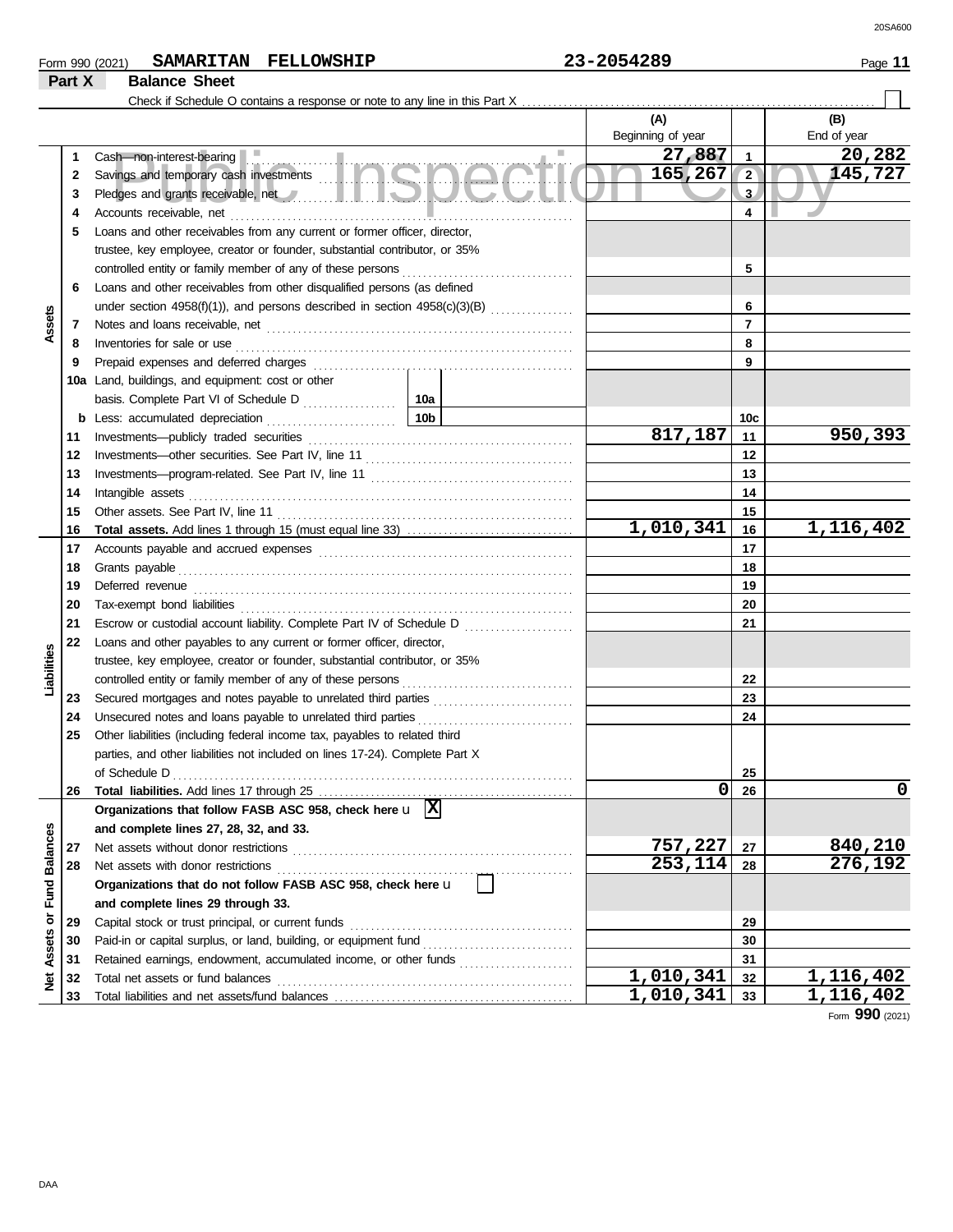### Form 990 (2021) **SAMARITAN FELLOWSHIP** 23-2054289 Page 11 **SAMARITAN FELLOWSHIP 23-2054289**

|                      | Part X | <b>Balance Sheet</b>                                                                                                                                                                                                                |                 |                        |                |             |
|----------------------|--------|-------------------------------------------------------------------------------------------------------------------------------------------------------------------------------------------------------------------------------------|-----------------|------------------------|----------------|-------------|
|                      |        |                                                                                                                                                                                                                                     |                 |                        |                |             |
|                      |        |                                                                                                                                                                                                                                     |                 | (A)                    |                | (B)         |
|                      |        |                                                                                                                                                                                                                                     |                 | Beginning of year      |                | End of year |
|                      | 1      | u.<br>Cash-non-interest-bearing                                                                                                                                                                                                     | a.              | 27,887                 | $\mathbf{1}$   | 20,282      |
|                      | 2      | Cash—non-interest-bearing<br>Savings and temporary cash investments                                                                                                                                                                 |                 | 165,267                | $\sqrt{2}$     | 145,727     |
|                      | 3      | Pledges and grants receivable, net <b>All and School and School and School and School and School and School and School</b>                                                                                                          |                 |                        | $\overline{3}$ |             |
|                      | 4      | Accounts receivable, net                                                                                                                                                                                                            |                 |                        | 4              |             |
|                      | 5      | Loans and other receivables from any current or former officer, director,                                                                                                                                                           |                 |                        |                |             |
|                      |        | trustee, key employee, creator or founder, substantial contributor, or 35%                                                                                                                                                          |                 |                        |                |             |
|                      |        | controlled entity or family member of any of these persons                                                                                                                                                                          |                 |                        | 5              |             |
|                      | 6      | Loans and other receivables from other disqualified persons (as defined                                                                                                                                                             |                 |                        |                |             |
|                      |        |                                                                                                                                                                                                                                     |                 |                        | 6              |             |
| Assets               | 7      |                                                                                                                                                                                                                                     |                 |                        | $\overline{7}$ |             |
|                      | 8      | Inventories for sale or use                                                                                                                                                                                                         |                 |                        | 8              |             |
|                      | 9      |                                                                                                                                                                                                                                     |                 |                        | 9              |             |
|                      |        | 10a Land, buildings, and equipment: cost or other                                                                                                                                                                                   |                 |                        |                |             |
|                      |        | basis. Complete Part VI of Schedule D                                                                                                                                                                                               | 10a             |                        |                |             |
|                      | b      | Less: accumulated depreciation                                                                                                                                                                                                      | 10 <sub>b</sub> |                        | 10c            |             |
|                      | 11     |                                                                                                                                                                                                                                     |                 | 817,187                | 11             | 950,393     |
|                      | 12     |                                                                                                                                                                                                                                     |                 |                        | 12             |             |
|                      | 13     |                                                                                                                                                                                                                                     |                 |                        | 13             |             |
|                      | 14     | Intangible assets                                                                                                                                                                                                                   |                 |                        | 14             |             |
|                      | 15     |                                                                                                                                                                                                                                     |                 |                        | 15             |             |
|                      | 16     |                                                                                                                                                                                                                                     |                 | 1,010,341              | 16             | 1,116,402   |
|                      | 17     |                                                                                                                                                                                                                                     |                 |                        | 17             |             |
|                      | 18     | Grants payable                                                                                                                                                                                                                      |                 |                        | 18             |             |
|                      | 19     | Deferred revenue <i>communication</i> and the contract of the contract of the contract of the contract of the contract of the contract of the contract of the contract of the contract of the contract of the contract of the contr |                 |                        | 19             |             |
|                      | 20     |                                                                                                                                                                                                                                     |                 |                        | 20             |             |
|                      | 21     |                                                                                                                                                                                                                                     |                 |                        | 21             |             |
|                      | 22     | Loans and other payables to any current or former officer, director,                                                                                                                                                                |                 |                        |                |             |
|                      |        | trustee, key employee, creator or founder, substantial contributor, or 35%                                                                                                                                                          |                 |                        |                |             |
| Liabilities          |        | controlled entity or family member of any of these persons                                                                                                                                                                          |                 |                        | 22             |             |
|                      | 23     |                                                                                                                                                                                                                                     |                 |                        | 23             |             |
|                      | 24     | Unsecured notes and loans payable to unrelated third parties                                                                                                                                                                        |                 |                        | 24             |             |
|                      | 25     | Other liabilities (including federal income tax, payables to related third                                                                                                                                                          |                 |                        |                |             |
|                      |        | parties, and other liabilities not included on lines 17-24). Complete Part X                                                                                                                                                        |                 |                        |                |             |
|                      |        | of Schedule D                                                                                                                                                                                                                       |                 |                        | 25             |             |
|                      | 26     |                                                                                                                                                                                                                                     |                 | 0                      | 26             | $\mathbf 0$ |
|                      |        | Organizations that follow FASB ASC 958, check here $\mathbf{u}$ $\overline{X}$                                                                                                                                                      |                 |                        |                |             |
| <b>Fund Balances</b> |        | and complete lines 27, 28, 32, and 33.                                                                                                                                                                                              |                 |                        |                |             |
|                      | 27     | Net assets without donor restrictions                                                                                                                                                                                               |                 | 757,227                | 27             | 840,210     |
|                      | 28     | Net assets with donor restrictions                                                                                                                                                                                                  |                 | 253,114                | 28             | 276,192     |
|                      |        | Organizations that do not follow FASB ASC 958, check here u                                                                                                                                                                         |                 |                        |                |             |
|                      |        | and complete lines 29 through 33.                                                                                                                                                                                                   |                 |                        |                |             |
|                      | 29     | Capital stock or trust principal, or current funds                                                                                                                                                                                  |                 |                        | 29             |             |
|                      | 30     |                                                                                                                                                                                                                                     |                 |                        | 30             |             |
| Net Assets or        | 31     |                                                                                                                                                                                                                                     |                 |                        | 31             |             |
|                      | 32     | Total net assets or fund balances                                                                                                                                                                                                   |                 | $\overline{1,010,341}$ | 32             | 1,116,402   |
|                      | 33     |                                                                                                                                                                                                                                     |                 | 1,010,341              | 33             | 1,116,402   |

Form **990** (2021)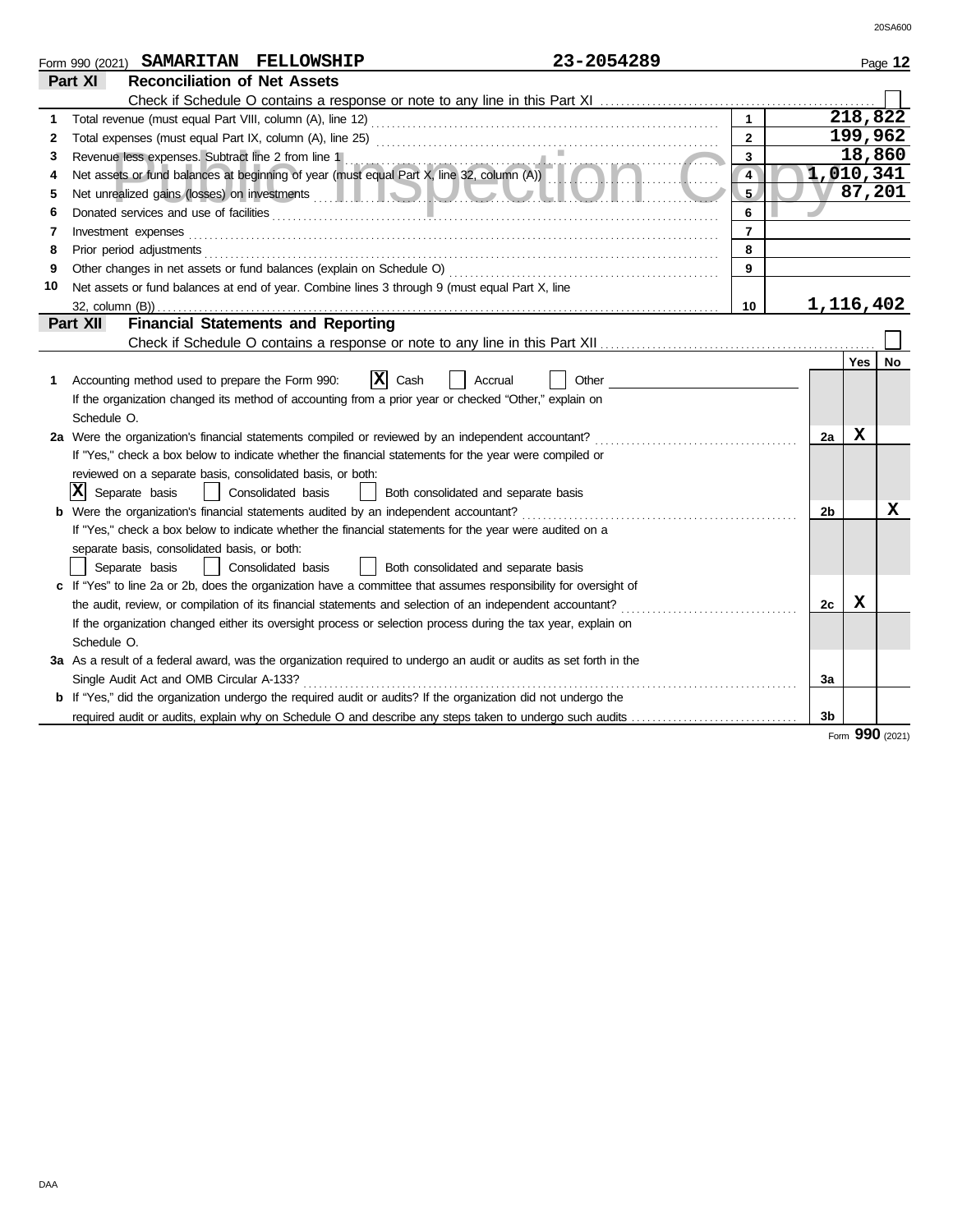|    | 23-2054289<br>SAMARITAN FELLOWSHIP<br>Form 990 (2021)                                                                                           |                |                |     | Page 12         |
|----|-------------------------------------------------------------------------------------------------------------------------------------------------|----------------|----------------|-----|-----------------|
|    | <b>Reconciliation of Net Assets</b><br>Part XI                                                                                                  |                |                |     |                 |
|    |                                                                                                                                                 |                |                |     |                 |
| 1  |                                                                                                                                                 |                |                |     | 218,822         |
| 2  |                                                                                                                                                 | $\overline{2}$ |                |     | 199,962         |
| 3  |                                                                                                                                                 | 3              |                |     | 18,860          |
| 4  | Revenue less expenses. Subtract line 2 from line 1<br>Net assets or fund balances at beginning of year (must equal Part X, line 32, column (A)) | $\overline{4}$ | 1,010,341      |     |                 |
| 5  |                                                                                                                                                 | 5.             |                |     | 87,201          |
| 6  |                                                                                                                                                 | 6              |                |     |                 |
| 7  | Investment expenses <b>contract expenses</b>                                                                                                    | $\overline{7}$ |                |     |                 |
| 8  | Prior period adjustments entertainment and an intervention of the contract of the contract of the contract of                                   | 8              |                |     |                 |
| 9  |                                                                                                                                                 | 9              |                |     |                 |
| 10 | Net assets or fund balances at end of year. Combine lines 3 through 9 (must equal Part X, line                                                  |                |                |     |                 |
|    | 32, column (B))                                                                                                                                 | 10             | 1,116,402      |     |                 |
|    | <b>Financial Statements and Reporting</b><br>Part XII                                                                                           |                |                |     |                 |
|    |                                                                                                                                                 |                |                |     |                 |
|    |                                                                                                                                                 |                |                | Yes | No              |
| 1  | $ {\bf x} $<br>Cash<br>Other<br>Accounting method used to prepare the Form 990:<br>Accrual                                                      |                |                |     |                 |
|    | If the organization changed its method of accounting from a prior year or checked "Other," explain on                                           |                |                |     |                 |
|    | Schedule O.                                                                                                                                     |                |                |     |                 |
|    | 2a Were the organization's financial statements compiled or reviewed by an independent accountant?                                              |                | 2a             | X   |                 |
|    | If "Yes," check a box below to indicate whether the financial statements for the year were compiled or                                          |                |                |     |                 |
|    | reviewed on a separate basis, consolidated basis, or both:                                                                                      |                |                |     |                 |
|    | X<br>Consolidated basis<br>Separate basis<br>Both consolidated and separate basis                                                               |                |                |     |                 |
|    | <b>b</b> Were the organization's financial statements audited by an independent accountant?                                                     |                | 2 <sub>b</sub> |     | x               |
|    | If "Yes," check a box below to indicate whether the financial statements for the year were audited on a                                         |                |                |     |                 |
|    | separate basis, consolidated basis, or both:                                                                                                    |                |                |     |                 |
|    | Consolidated basis<br>Both consolidated and separate basis<br>Separate basis                                                                    |                |                |     |                 |
|    | c If "Yes" to line 2a or 2b, does the organization have a committee that assumes responsibility for oversight of                                |                |                |     |                 |
|    | the audit, review, or compilation of its financial statements and selection of an independent accountant?                                       |                | 2c             | x   |                 |
|    | If the organization changed either its oversight process or selection process during the tax year, explain on                                   |                |                |     |                 |
|    | Schedule O.                                                                                                                                     |                |                |     |                 |
|    | 3a As a result of a federal award, was the organization required to undergo an audit or audits as set forth in the                              |                |                |     |                 |
|    | Single Audit Act and OMB Circular A-133?                                                                                                        |                | 3a             |     |                 |
|    | <b>b</b> If "Yes," did the organization undergo the required audit or audits? If the organization did not undergo the                           |                |                |     |                 |
|    | required audit or audits, explain why on Schedule O and describe any steps taken to undergo such audits                                         |                | 3b             |     |                 |
|    |                                                                                                                                                 |                |                |     | Form 990 (2021) |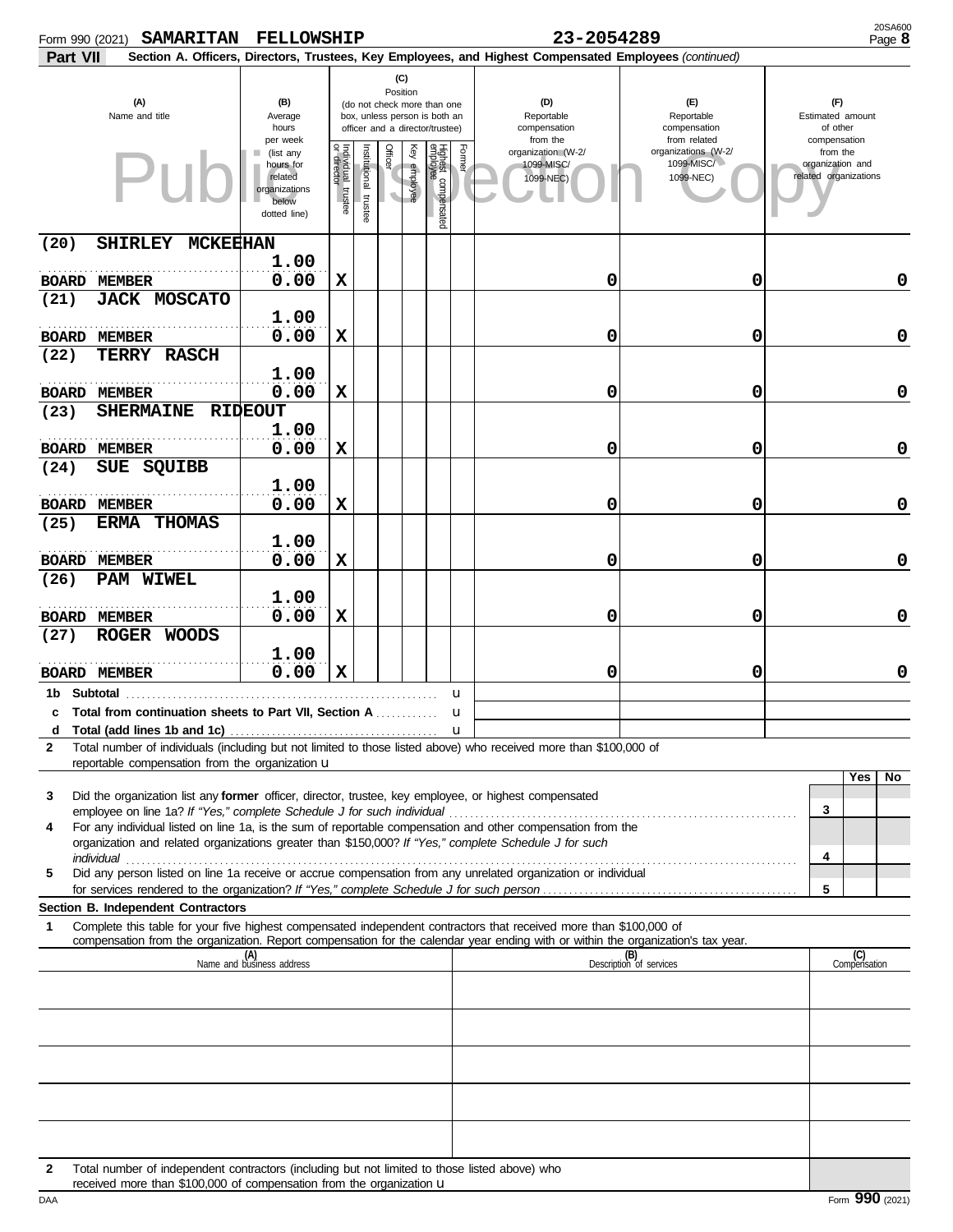| Form 990 (2021) | <b>SAMARITAN</b>                                                                                                                                                                                                                     | <b>FELLOWSHIP</b>                                                                |                                       |                          |                 |                 |                                                                                                 |        | 23-2054289                                                                                             |                                                   |                                                       | 20SA600<br>Page 8   |
|-----------------|--------------------------------------------------------------------------------------------------------------------------------------------------------------------------------------------------------------------------------------|----------------------------------------------------------------------------------|---------------------------------------|--------------------------|-----------------|-----------------|-------------------------------------------------------------------------------------------------|--------|--------------------------------------------------------------------------------------------------------|---------------------------------------------------|-------------------------------------------------------|---------------------|
| Part VII        |                                                                                                                                                                                                                                      |                                                                                  |                                       |                          |                 |                 |                                                                                                 |        | Section A. Officers, Directors, Trustees, Key Employees, and Highest Compensated Employees (continued) |                                                   |                                                       |                     |
|                 | (A)<br>Name and title                                                                                                                                                                                                                | (B)<br>Average<br>hours<br>per week                                              |                                       |                          | (C)<br>Position |                 | (do not check more than one<br>box, unless person is both an<br>officer and a director/trustee) |        | (D)<br>Reportable<br>compensation<br>from the                                                          | (E)<br>Reportable<br>compensation<br>from related | (F)<br>Estimated amount<br>of other<br>compensation   |                     |
|                 | $\mathsf{P}\mathsf{H}$                                                                                                                                                                                                               | (list any<br>ш<br>hours for<br>related<br>organizations<br>below<br>dotted line) | Individual<br>or director<br>trustee. | Institutional<br>trustee | Officer         | Ķey<br>employee | Highest compensated<br>employee                                                                 | Former | organization (W-2/<br>1099-MISC/<br>1099-NEC)                                                          | organizations (W-2/<br>1099-MISC/<br>1099-NEC)    | from the<br>organization and<br>related organizations |                     |
| (20)            | SHIRLEY MCKEEHAN                                                                                                                                                                                                                     | 1.00                                                                             |                                       |                          |                 |                 |                                                                                                 |        |                                                                                                        |                                                   |                                                       |                     |
|                 | <b>BOARD MEMBER</b>                                                                                                                                                                                                                  | 0.00                                                                             | X                                     |                          |                 |                 |                                                                                                 |        | 0                                                                                                      | 0                                                 |                                                       | 0                   |
| (21)            | <b>JACK MOSCATO</b>                                                                                                                                                                                                                  | 1.00                                                                             |                                       |                          |                 |                 |                                                                                                 |        |                                                                                                        |                                                   |                                                       |                     |
| (22)            | <b>BOARD MEMBER</b><br><b>TERRY RASCH</b>                                                                                                                                                                                            | 0.00                                                                             | X                                     |                          |                 |                 |                                                                                                 |        | 0                                                                                                      | 0                                                 |                                                       | 0                   |
|                 | <b>BOARD MEMBER</b>                                                                                                                                                                                                                  | 1.00<br>0.00                                                                     | X                                     |                          |                 |                 |                                                                                                 |        | 0                                                                                                      | 0                                                 |                                                       | 0                   |
| (23)            | SHERMAINE RIDEOUT                                                                                                                                                                                                                    | 1.00                                                                             |                                       |                          |                 |                 |                                                                                                 |        |                                                                                                        |                                                   |                                                       |                     |
|                 | <b>BOARD MEMBER</b>                                                                                                                                                                                                                  | 0.00                                                                             | X                                     |                          |                 |                 |                                                                                                 |        | 0                                                                                                      | 0                                                 |                                                       | 0                   |
| (24)            | SUE SQUIBB                                                                                                                                                                                                                           | 1.00                                                                             |                                       |                          |                 |                 |                                                                                                 |        |                                                                                                        |                                                   |                                                       |                     |
| (25)            | <b>BOARD MEMBER</b><br>ERMA THOMAS                                                                                                                                                                                                   | 0.00                                                                             | X                                     |                          |                 |                 |                                                                                                 |        | 0                                                                                                      | 0                                                 |                                                       | 0                   |
|                 | <b>BOARD MEMBER</b>                                                                                                                                                                                                                  | 1.00<br>0.00                                                                     | х                                     |                          |                 |                 |                                                                                                 |        | 0                                                                                                      | 0                                                 |                                                       | 0                   |
| (26)            | <b>PAM WIWEL</b>                                                                                                                                                                                                                     |                                                                                  |                                       |                          |                 |                 |                                                                                                 |        |                                                                                                        |                                                   |                                                       |                     |
|                 | <b>BOARD MEMBER</b>                                                                                                                                                                                                                  | 1.00<br>0.00                                                                     | X                                     |                          |                 |                 |                                                                                                 |        | 0                                                                                                      | 0                                                 |                                                       | 0                   |
| (27)            | ROGER WOODS                                                                                                                                                                                                                          | 1.00                                                                             |                                       |                          |                 |                 |                                                                                                 |        |                                                                                                        |                                                   |                                                       |                     |
|                 | <b>BOARD MEMBER</b>                                                                                                                                                                                                                  | 0.00                                                                             | X                                     |                          |                 |                 |                                                                                                 |        | 0                                                                                                      | 0                                                 |                                                       | 0                   |
| 1b Subtotal     | c Total from continuation sheets to Part VII. Section A                                                                                                                                                                              |                                                                                  |                                       |                          |                 |                 |                                                                                                 | u<br>u |                                                                                                        |                                                   |                                                       |                     |
| d               |                                                                                                                                                                                                                                      |                                                                                  |                                       |                          |                 |                 |                                                                                                 |        |                                                                                                        |                                                   |                                                       |                     |
| 2               | Total number of individuals (including but not limited to those listed above) who received more than \$100,000 of<br>reportable compensation from the organization u                                                                 |                                                                                  |                                       |                          |                 |                 |                                                                                                 |        |                                                                                                        |                                                   |                                                       |                     |
| 3               | Did the organization list any former officer, director, trustee, key employee, or highest compensated                                                                                                                                |                                                                                  |                                       |                          |                 |                 |                                                                                                 |        |                                                                                                        |                                                   |                                                       | Yes<br>No           |
| 4               | For any individual listed on line 1a, is the sum of reportable compensation and other compensation from the                                                                                                                          |                                                                                  |                                       |                          |                 |                 |                                                                                                 |        |                                                                                                        |                                                   | 3                                                     |                     |
| 5               | organization and related organizations greater than \$150,000? If "Yes," complete Schedule J for such<br>individual<br>Did any person listed on line 1a receive or accrue compensation from any unrelated organization or individual |                                                                                  |                                       |                          |                 |                 |                                                                                                 |        |                                                                                                        |                                                   | 4                                                     |                     |
|                 |                                                                                                                                                                                                                                      |                                                                                  |                                       |                          |                 |                 |                                                                                                 |        |                                                                                                        |                                                   | 5                                                     |                     |
| 1               | Section B. Independent Contractors<br>Complete this table for your five highest compensated independent contractors that received more than \$100,000 of                                                                             |                                                                                  |                                       |                          |                 |                 |                                                                                                 |        |                                                                                                        |                                                   |                                                       |                     |
|                 | compensation from the organization. Report compensation for the calendar year ending with or within the organization's tax year.                                                                                                     | (A)<br>Name and business address                                                 |                                       |                          |                 |                 |                                                                                                 |        |                                                                                                        | (B)<br>Description of services                    |                                                       | (C)<br>Compensation |
|                 |                                                                                                                                                                                                                                      |                                                                                  |                                       |                          |                 |                 |                                                                                                 |        |                                                                                                        |                                                   |                                                       |                     |
|                 |                                                                                                                                                                                                                                      |                                                                                  |                                       |                          |                 |                 |                                                                                                 |        |                                                                                                        |                                                   |                                                       |                     |
|                 |                                                                                                                                                                                                                                      |                                                                                  |                                       |                          |                 |                 |                                                                                                 |        |                                                                                                        |                                                   |                                                       |                     |
|                 |                                                                                                                                                                                                                                      |                                                                                  |                                       |                          |                 |                 |                                                                                                 |        |                                                                                                        |                                                   |                                                       |                     |
|                 |                                                                                                                                                                                                                                      |                                                                                  |                                       |                          |                 |                 |                                                                                                 |        |                                                                                                        |                                                   |                                                       |                     |
| 2               | Total number of independent contractors (including but not limited to those listed above) who<br>received more than \$100,000 of compensation from the organization u                                                                |                                                                                  |                                       |                          |                 |                 |                                                                                                 |        |                                                                                                        |                                                   |                                                       |                     |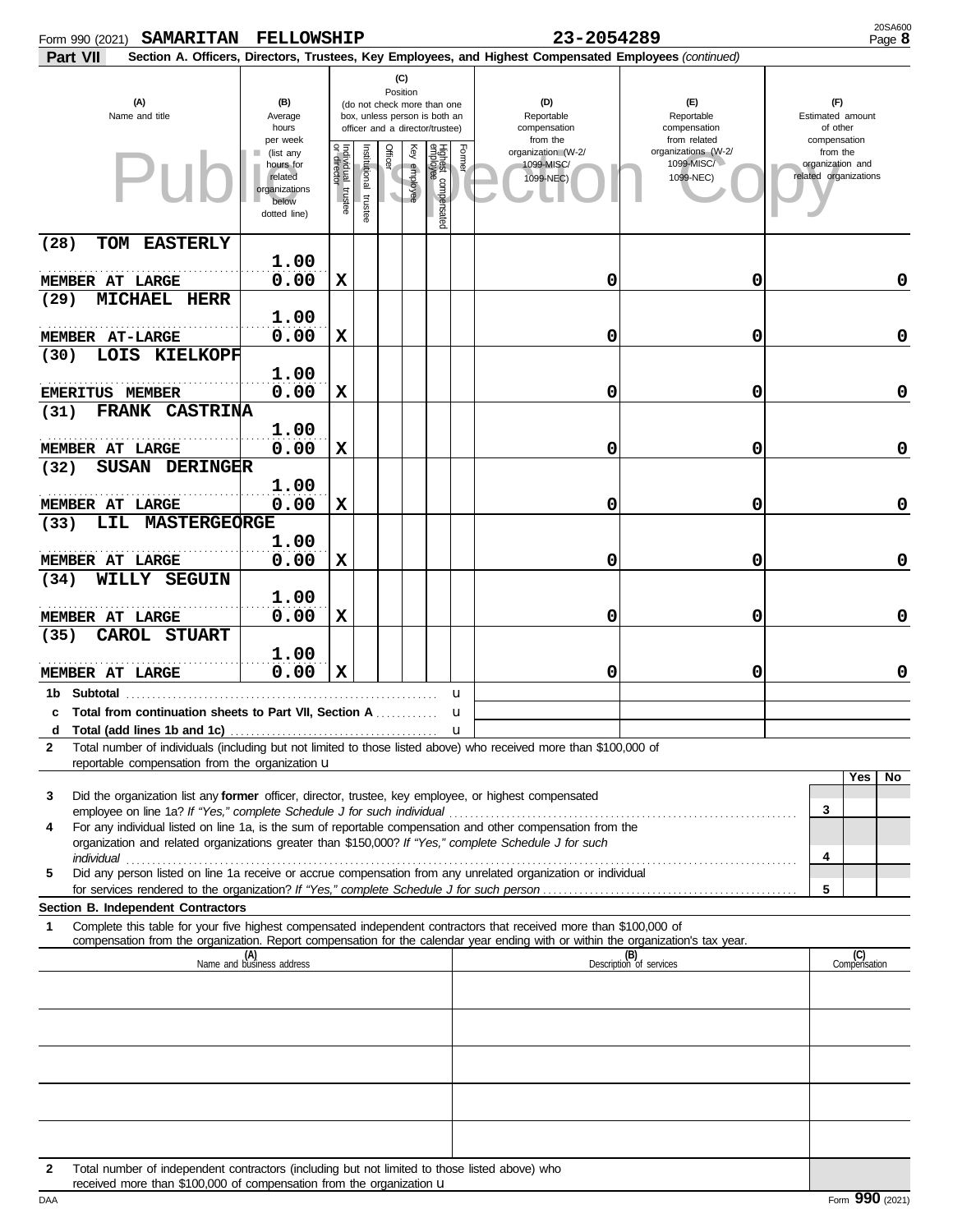| <b>SAMARITAN</b><br>Form 990 (2021)                                                                                                                                                                                                                         | <b>FELLOWSHIP</b>                                                                            |                                       |                          |                 |                 |                                                                                                 | 23-2054289                                                                                             | 20SA600<br>Page 8                                              |                                                                       |
|-------------------------------------------------------------------------------------------------------------------------------------------------------------------------------------------------------------------------------------------------------------|----------------------------------------------------------------------------------------------|---------------------------------------|--------------------------|-----------------|-----------------|-------------------------------------------------------------------------------------------------|--------------------------------------------------------------------------------------------------------|----------------------------------------------------------------|-----------------------------------------------------------------------|
| Part VII                                                                                                                                                                                                                                                    |                                                                                              |                                       |                          |                 |                 |                                                                                                 | Section A. Officers, Directors, Trustees, Key Employees, and Highest Compensated Employees (continued) |                                                                |                                                                       |
| (A)<br>Name and title                                                                                                                                                                                                                                       | (B)<br>Average<br>hours                                                                      |                                       |                          | (C)<br>Position |                 | (do not check more than one<br>box, unless person is both an<br>officer and a director/trustee) | (D)<br>Reportable<br>compensation                                                                      | (E)<br>Reportable<br>compensation                              | (F)<br>Estimated amount<br>of other                                   |
| $\mathsf{P}\mathsf{H}$                                                                                                                                                                                                                                      | per week<br>(list any<br>ш<br>hours for<br>related<br>organizations<br>below<br>dotted line) | Individual<br>or director<br>trustee. | Institutional<br>trustee | Officer         | Ķey<br>employee | Former<br>Highest compensated<br>employee                                                       | from the<br>organization (W-2/<br>1099-MISC/<br>1099-NEC)                                              | from related<br>organizations (W-2/<br>1099-MISC/<br>1099-NEC) | compensation<br>from the<br>organization and<br>related organizations |
| TOM EASTERLY<br>(28)                                                                                                                                                                                                                                        | 1.00                                                                                         |                                       |                          |                 |                 |                                                                                                 |                                                                                                        |                                                                |                                                                       |
| MEMBER AT LARGE<br><b>MICHAEL HERR</b><br>(29)                                                                                                                                                                                                              | 0.00                                                                                         | X                                     |                          |                 |                 |                                                                                                 | 0                                                                                                      | 0                                                              | 0                                                                     |
| <b>MEMBER AT-LARGE</b>                                                                                                                                                                                                                                      | 1.00<br>0.00                                                                                 | X                                     |                          |                 |                 |                                                                                                 | 0                                                                                                      | 0                                                              | $\mathbf 0$                                                           |
| LOIS KIELKOPF<br>(30)<br><b>EMERITUS MEMBER</b>                                                                                                                                                                                                             | 1.00<br>0.00                                                                                 | х                                     |                          |                 |                 |                                                                                                 | 0                                                                                                      | 0                                                              | $\mathbf 0$                                                           |
| FRANK CASTRINA<br>(31)                                                                                                                                                                                                                                      | 1.00                                                                                         |                                       |                          |                 |                 |                                                                                                 |                                                                                                        |                                                                |                                                                       |
| MEMBER AT LARGE                                                                                                                                                                                                                                             | 0.00                                                                                         | X                                     |                          |                 |                 |                                                                                                 | 0                                                                                                      | 0                                                              | $\mathbf 0$                                                           |
| <b>SUSAN DERINGER</b><br>(32)<br>MEMBER AT LARGE                                                                                                                                                                                                            | 1.00<br>0.00                                                                                 | X                                     |                          |                 |                 |                                                                                                 | 0                                                                                                      | 0                                                              | $\mathbf 0$                                                           |
| LIL MASTERGEORGE<br>(33)<br>MEMBER AT LARGE                                                                                                                                                                                                                 | 1.00<br>0.00                                                                                 | х                                     |                          |                 |                 |                                                                                                 | 0                                                                                                      | 0                                                              | 0                                                                     |
| WILLY SEGUIN<br>(34)                                                                                                                                                                                                                                        | 1.00                                                                                         |                                       |                          |                 |                 |                                                                                                 |                                                                                                        |                                                                |                                                                       |
| MEMBER AT LARGE                                                                                                                                                                                                                                             | 0.00                                                                                         | X                                     |                          |                 |                 |                                                                                                 | 0                                                                                                      | 0                                                              | 0                                                                     |
| CAROL STUART<br>(35)<br>MEMBER AT LARGE                                                                                                                                                                                                                     | 1.00<br>0.00                                                                                 | X                                     |                          |                 |                 |                                                                                                 | 0                                                                                                      | 0                                                              | 0                                                                     |
| 1b Subtotal<br>c Total from continuation sheets to Part VII. Section A                                                                                                                                                                                      |                                                                                              |                                       |                          | .               |                 | u<br>u                                                                                          |                                                                                                        |                                                                |                                                                       |
| d<br>Total number of individuals (including but not limited to those listed above) who received more than \$100,000 of<br>2<br>reportable compensation from the organization u                                                                              |                                                                                              |                                       |                          |                 |                 |                                                                                                 |                                                                                                        |                                                                |                                                                       |
| Did the organization list any former officer, director, trustee, key employee, or highest compensated<br>3<br>For any individual listed on line 1a, is the sum of reportable compensation and other compensation from the<br>4                              |                                                                                              |                                       |                          |                 |                 |                                                                                                 |                                                                                                        |                                                                | Yes<br>No<br>3                                                        |
| organization and related organizations greater than \$150,000? If "Yes," complete Schedule J for such<br>individual<br>Did any person listed on line 1a receive or accrue compensation from any unrelated organization or individual<br>5                   |                                                                                              |                                       |                          |                 |                 |                                                                                                 |                                                                                                        |                                                                | 4                                                                     |
| Section B. Independent Contractors                                                                                                                                                                                                                          |                                                                                              |                                       |                          |                 |                 |                                                                                                 |                                                                                                        |                                                                | 5                                                                     |
| 1<br>Complete this table for your five highest compensated independent contractors that received more than \$100,000 of<br>compensation from the organization. Report compensation for the calendar year ending with or within the organization's tax year. |                                                                                              |                                       |                          |                 |                 |                                                                                                 |                                                                                                        |                                                                |                                                                       |
|                                                                                                                                                                                                                                                             | (A)<br>Name and business address                                                             |                                       |                          |                 |                 |                                                                                                 |                                                                                                        | (B)<br>Description of services                                 | (C)<br>Compensation                                                   |
|                                                                                                                                                                                                                                                             |                                                                                              |                                       |                          |                 |                 |                                                                                                 |                                                                                                        |                                                                |                                                                       |
|                                                                                                                                                                                                                                                             |                                                                                              |                                       |                          |                 |                 |                                                                                                 |                                                                                                        |                                                                |                                                                       |
|                                                                                                                                                                                                                                                             |                                                                                              |                                       |                          |                 |                 |                                                                                                 |                                                                                                        |                                                                |                                                                       |
|                                                                                                                                                                                                                                                             |                                                                                              |                                       |                          |                 |                 |                                                                                                 |                                                                                                        |                                                                |                                                                       |
| Total number of independent contractors (including but not limited to those listed above) who<br>2<br>received more than \$100,000 of compensation from the organization u                                                                                  |                                                                                              |                                       |                          |                 |                 |                                                                                                 |                                                                                                        |                                                                |                                                                       |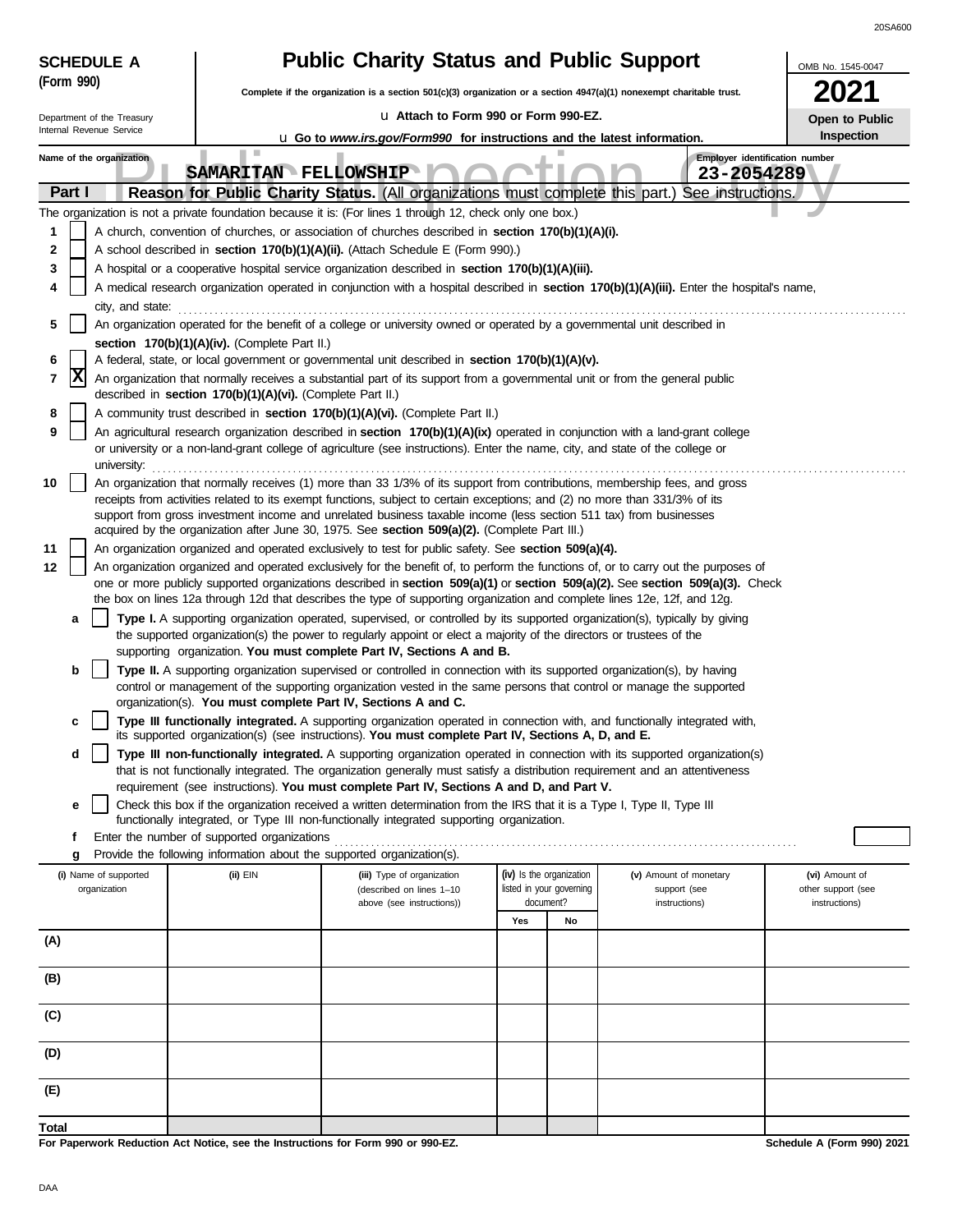| <b>Public Charity Status and Public Support</b><br><b>SCHEDULE A</b><br>OMB No. 1545-0047                                                                     |                                                                                                             |                                                                                                                                                                                                                                                                                                                                                                                                                                                                                                                                                                                                                                                                                                                                                                                                                                                                                                                                                                                                                                                                                                                                                                                                                                                                                                                                                                                                                                                                                                                                                                                                                                                                                                                                                                                                                                                                                                                                                                                                                                                                                                                                                                                                                                                                                                                                                                                                                                                                                                                                                                                                                                                                                                                                                                                                                                                                                                                                                                                                                                                                                                                                                                                                                                                                                                                                                                                                                                                                                                         |                                                                                |                                                         |                                                       |  |  |  |  |  |  |
|---------------------------------------------------------------------------------------------------------------------------------------------------------------|-------------------------------------------------------------------------------------------------------------|---------------------------------------------------------------------------------------------------------------------------------------------------------------------------------------------------------------------------------------------------------------------------------------------------------------------------------------------------------------------------------------------------------------------------------------------------------------------------------------------------------------------------------------------------------------------------------------------------------------------------------------------------------------------------------------------------------------------------------------------------------------------------------------------------------------------------------------------------------------------------------------------------------------------------------------------------------------------------------------------------------------------------------------------------------------------------------------------------------------------------------------------------------------------------------------------------------------------------------------------------------------------------------------------------------------------------------------------------------------------------------------------------------------------------------------------------------------------------------------------------------------------------------------------------------------------------------------------------------------------------------------------------------------------------------------------------------------------------------------------------------------------------------------------------------------------------------------------------------------------------------------------------------------------------------------------------------------------------------------------------------------------------------------------------------------------------------------------------------------------------------------------------------------------------------------------------------------------------------------------------------------------------------------------------------------------------------------------------------------------------------------------------------------------------------------------------------------------------------------------------------------------------------------------------------------------------------------------------------------------------------------------------------------------------------------------------------------------------------------------------------------------------------------------------------------------------------------------------------------------------------------------------------------------------------------------------------------------------------------------------------------------------------------------------------------------------------------------------------------------------------------------------------------------------------------------------------------------------------------------------------------------------------------------------------------------------------------------------------------------------------------------------------------------------------------------------------------------------------------------------------|--------------------------------------------------------------------------------|---------------------------------------------------------|-------------------------------------------------------|--|--|--|--|--|--|
| (Form 990)                                                                                                                                                    |                                                                                                             | Complete if the organization is a section 501(c)(3) organization or a section $4947(a)(1)$ nonexempt charitable trust.                                                                                                                                                                                                                                                                                                                                                                                                                                                                                                                                                                                                                                                                                                                                                                                                                                                                                                                                                                                                                                                                                                                                                                                                                                                                                                                                                                                                                                                                                                                                                                                                                                                                                                                                                                                                                                                                                                                                                                                                                                                                                                                                                                                                                                                                                                                                                                                                                                                                                                                                                                                                                                                                                                                                                                                                                                                                                                                                                                                                                                                                                                                                                                                                                                                                                                                                                                                  |                                                                                |                                                         |                                                       |  |  |  |  |  |  |
| Department of the Treasury                                                                                                                                    |                                                                                                             | Lu Attach to Form 990 or Form 990-EZ.                                                                                                                                                                                                                                                                                                                                                                                                                                                                                                                                                                                                                                                                                                                                                                                                                                                                                                                                                                                                                                                                                                                                                                                                                                                                                                                                                                                                                                                                                                                                                                                                                                                                                                                                                                                                                                                                                                                                                                                                                                                                                                                                                                                                                                                                                                                                                                                                                                                                                                                                                                                                                                                                                                                                                                                                                                                                                                                                                                                                                                                                                                                                                                                                                                                                                                                                                                                                                                                                   |                                                                                |                                                         |                                                       |  |  |  |  |  |  |
| Internal Revenue Service                                                                                                                                      |                                                                                                             |                                                                                                                                                                                                                                                                                                                                                                                                                                                                                                                                                                                                                                                                                                                                                                                                                                                                                                                                                                                                                                                                                                                                                                                                                                                                                                                                                                                                                                                                                                                                                                                                                                                                                                                                                                                                                                                                                                                                                                                                                                                                                                                                                                                                                                                                                                                                                                                                                                                                                                                                                                                                                                                                                                                                                                                                                                                                                                                                                                                                                                                                                                                                                                                                                                                                                                                                                                                                                                                                                                         |                                                                                |                                                         | Inspection                                            |  |  |  |  |  |  |
| Name of the organization<br>Part I<br>1<br>2<br>3<br>4<br>city, and state:<br>5<br>6<br>X<br>7<br>8<br>9<br>university:<br>10<br>11<br>12<br>а<br>b<br>c<br>d | section 170(b)(1)(A)(iv). (Complete Part II.)<br>described in section 170(b)(1)(A)(vi). (Complete Part II.) | u Go to www.irs.gov/Form990 for instructions and the latest information.<br>SAMARITAN FELLOWSHIP<br>Reason for Public Charity Status. (All organizations must complete this part.) See instructions.<br>The organization is not a private foundation because it is: (For lines 1 through 12, check only one box.)<br>A church, convention of churches, or association of churches described in section 170(b)(1)(A)(i).<br>A school described in section 170(b)(1)(A)(ii). (Attach Schedule E (Form 990).)<br>A hospital or a cooperative hospital service organization described in section 170(b)(1)(A)(iii).<br>A medical research organization operated in conjunction with a hospital described in section 170(b)(1)(A)(iii). Enter the hospital's name,<br>An organization operated for the benefit of a college or university owned or operated by a governmental unit described in<br>A federal, state, or local government or governmental unit described in section 170(b)(1)(A)(v).<br>An organization that normally receives a substantial part of its support from a governmental unit or from the general public<br>A community trust described in section 170(b)(1)(A)(vi). (Complete Part II.)<br>An agricultural research organization described in section 170(b)(1)(A)(ix) operated in conjunction with a land-grant college<br>or university or a non-land-grant college of agriculture (see instructions). Enter the name, city, and state of the college or<br>An organization that normally receives (1) more than 33 1/3% of its support from contributions, membership fees, and gross<br>receipts from activities related to its exempt functions, subject to certain exceptions; and (2) no more than 331/3% of its<br>support from gross investment income and unrelated business taxable income (less section 511 tax) from businesses<br>acquired by the organization after June 30, 1975. See section 509(a)(2). (Complete Part III.)<br>An organization organized and operated exclusively to test for public safety. See section 509(a)(4).<br>An organization organized and operated exclusively for the benefit of, to perform the functions of, or to carry out the purposes of<br>one or more publicly supported organizations described in section 509(a)(1) or section 509(a)(2). See section 509(a)(3). Check<br>the box on lines 12a through 12d that describes the type of supporting organization and complete lines 12e, 12f, and 12g.<br>Type I. A supporting organization operated, supervised, or controlled by its supported organization(s), typically by giving<br>the supported organization(s) the power to regularly appoint or elect a majority of the directors or trustees of the<br>supporting organization. You must complete Part IV, Sections A and B.<br>Type II. A supporting organization supervised or controlled in connection with its supported organization(s), by having<br>control or management of the supporting organization vested in the same persons that control or manage the supported<br>organization(s). You must complete Part IV, Sections A and C.<br>Type III functionally integrated. A supporting organization operated in connection with, and functionally integrated with,<br>its supported organization(s) (see instructions). You must complete Part IV, Sections A, D, and E.<br>Type III non-functionally integrated. A supporting organization operated in connection with its supported organization(s) |                                                                                | Employer identification number<br>23-2054289            | Open to Public                                        |  |  |  |  |  |  |
| е<br>f                                                                                                                                                        | Enter the number of supported organizations                                                                 | that is not functionally integrated. The organization generally must satisfy a distribution requirement and an attentiveness<br>requirement (see instructions). You must complete Part IV, Sections A and D, and Part V.<br>Check this box if the organization received a written determination from the IRS that it is a Type I, Type II, Type III<br>functionally integrated, or Type III non-functionally integrated supporting organization.                                                                                                                                                                                                                                                                                                                                                                                                                                                                                                                                                                                                                                                                                                                                                                                                                                                                                                                                                                                                                                                                                                                                                                                                                                                                                                                                                                                                                                                                                                                                                                                                                                                                                                                                                                                                                                                                                                                                                                                                                                                                                                                                                                                                                                                                                                                                                                                                                                                                                                                                                                                                                                                                                                                                                                                                                                                                                                                                                                                                                                                        |                                                                                |                                                         |                                                       |  |  |  |  |  |  |
| g                                                                                                                                                             |                                                                                                             | Provide the following information about the supported organization(s).                                                                                                                                                                                                                                                                                                                                                                                                                                                                                                                                                                                                                                                                                                                                                                                                                                                                                                                                                                                                                                                                                                                                                                                                                                                                                                                                                                                                                                                                                                                                                                                                                                                                                                                                                                                                                                                                                                                                                                                                                                                                                                                                                                                                                                                                                                                                                                                                                                                                                                                                                                                                                                                                                                                                                                                                                                                                                                                                                                                                                                                                                                                                                                                                                                                                                                                                                                                                                                  |                                                                                |                                                         |                                                       |  |  |  |  |  |  |
| (i) Name of supported<br>organization                                                                                                                         | (ii) EIN                                                                                                    | (iii) Type of organization<br>(described on lines 1-10<br>above (see instructions))                                                                                                                                                                                                                                                                                                                                                                                                                                                                                                                                                                                                                                                                                                                                                                                                                                                                                                                                                                                                                                                                                                                                                                                                                                                                                                                                                                                                                                                                                                                                                                                                                                                                                                                                                                                                                                                                                                                                                                                                                                                                                                                                                                                                                                                                                                                                                                                                                                                                                                                                                                                                                                                                                                                                                                                                                                                                                                                                                                                                                                                                                                                                                                                                                                                                                                                                                                                                                     | (iv) Is the organization<br>listed in your governing<br>document?<br>Yes<br>No | (v) Amount of monetary<br>support (see<br>instructions) | (vi) Amount of<br>other support (see<br>instructions) |  |  |  |  |  |  |
| (A)                                                                                                                                                           |                                                                                                             |                                                                                                                                                                                                                                                                                                                                                                                                                                                                                                                                                                                                                                                                                                                                                                                                                                                                                                                                                                                                                                                                                                                                                                                                                                                                                                                                                                                                                                                                                                                                                                                                                                                                                                                                                                                                                                                                                                                                                                                                                                                                                                                                                                                                                                                                                                                                                                                                                                                                                                                                                                                                                                                                                                                                                                                                                                                                                                                                                                                                                                                                                                                                                                                                                                                                                                                                                                                                                                                                                                         |                                                                                |                                                         |                                                       |  |  |  |  |  |  |
| (B)                                                                                                                                                           |                                                                                                             |                                                                                                                                                                                                                                                                                                                                                                                                                                                                                                                                                                                                                                                                                                                                                                                                                                                                                                                                                                                                                                                                                                                                                                                                                                                                                                                                                                                                                                                                                                                                                                                                                                                                                                                                                                                                                                                                                                                                                                                                                                                                                                                                                                                                                                                                                                                                                                                                                                                                                                                                                                                                                                                                                                                                                                                                                                                                                                                                                                                                                                                                                                                                                                                                                                                                                                                                                                                                                                                                                                         |                                                                                |                                                         |                                                       |  |  |  |  |  |  |
| (C)                                                                                                                                                           |                                                                                                             |                                                                                                                                                                                                                                                                                                                                                                                                                                                                                                                                                                                                                                                                                                                                                                                                                                                                                                                                                                                                                                                                                                                                                                                                                                                                                                                                                                                                                                                                                                                                                                                                                                                                                                                                                                                                                                                                                                                                                                                                                                                                                                                                                                                                                                                                                                                                                                                                                                                                                                                                                                                                                                                                                                                                                                                                                                                                                                                                                                                                                                                                                                                                                                                                                                                                                                                                                                                                                                                                                                         |                                                                                |                                                         |                                                       |  |  |  |  |  |  |
| (D)                                                                                                                                                           |                                                                                                             |                                                                                                                                                                                                                                                                                                                                                                                                                                                                                                                                                                                                                                                                                                                                                                                                                                                                                                                                                                                                                                                                                                                                                                                                                                                                                                                                                                                                                                                                                                                                                                                                                                                                                                                                                                                                                                                                                                                                                                                                                                                                                                                                                                                                                                                                                                                                                                                                                                                                                                                                                                                                                                                                                                                                                                                                                                                                                                                                                                                                                                                                                                                                                                                                                                                                                                                                                                                                                                                                                                         |                                                                                |                                                         |                                                       |  |  |  |  |  |  |
| (E)                                                                                                                                                           |                                                                                                             |                                                                                                                                                                                                                                                                                                                                                                                                                                                                                                                                                                                                                                                                                                                                                                                                                                                                                                                                                                                                                                                                                                                                                                                                                                                                                                                                                                                                                                                                                                                                                                                                                                                                                                                                                                                                                                                                                                                                                                                                                                                                                                                                                                                                                                                                                                                                                                                                                                                                                                                                                                                                                                                                                                                                                                                                                                                                                                                                                                                                                                                                                                                                                                                                                                                                                                                                                                                                                                                                                                         |                                                                                |                                                         |                                                       |  |  |  |  |  |  |
| Total                                                                                                                                                         |                                                                                                             | For Paperwork Reduction Act Notice, see the Instructions for Form 990 or 990-EZ.                                                                                                                                                                                                                                                                                                                                                                                                                                                                                                                                                                                                                                                                                                                                                                                                                                                                                                                                                                                                                                                                                                                                                                                                                                                                                                                                                                                                                                                                                                                                                                                                                                                                                                                                                                                                                                                                                                                                                                                                                                                                                                                                                                                                                                                                                                                                                                                                                                                                                                                                                                                                                                                                                                                                                                                                                                                                                                                                                                                                                                                                                                                                                                                                                                                                                                                                                                                                                        |                                                                                |                                                         | Schedule A (Form 990) 2021                            |  |  |  |  |  |  |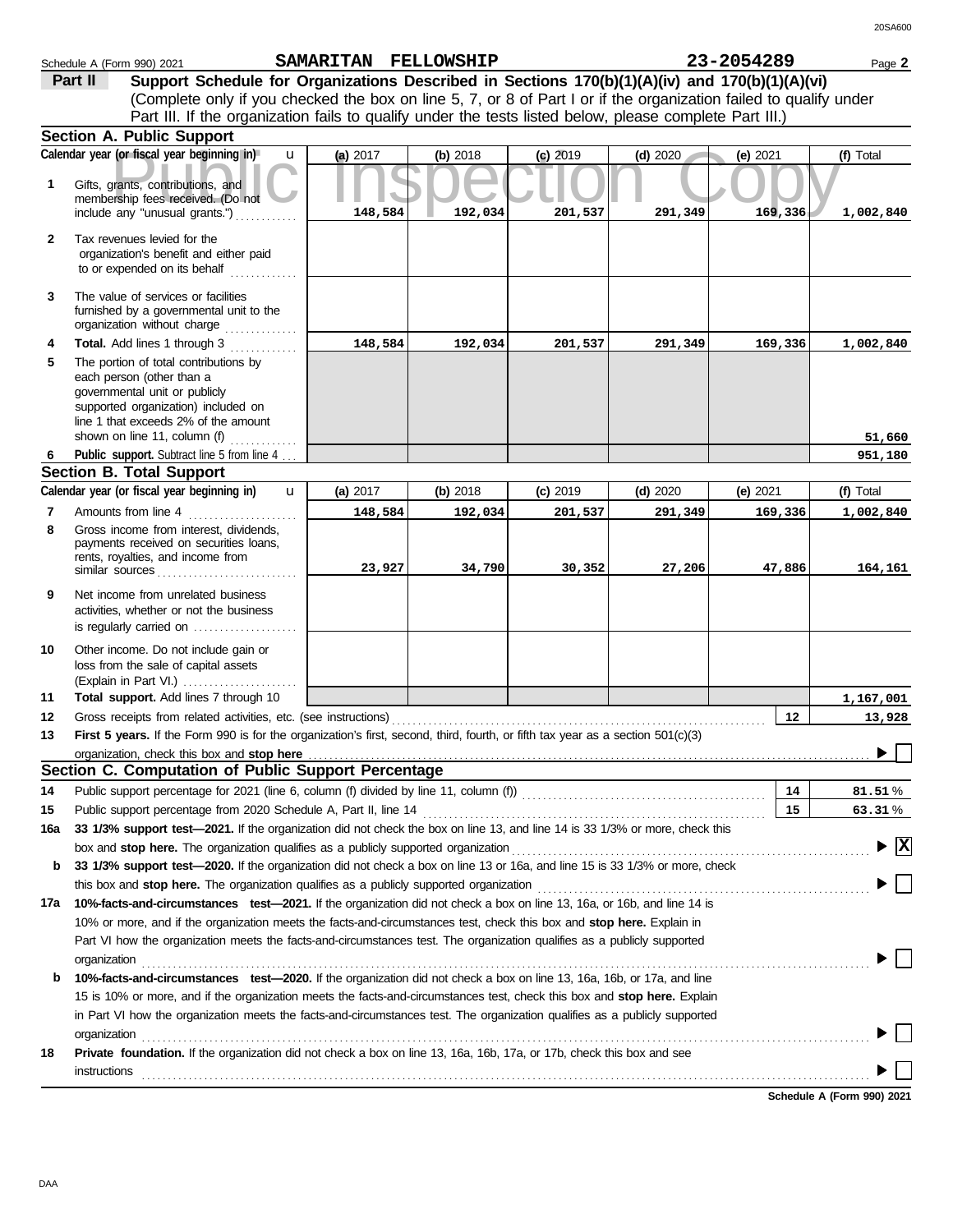|              | Schedule A (Form 990) 2021                                                                                                      | SAMARITAN FELLOWSHIP |          |            |            | 23-2054289 | Page 2                                 |
|--------------|---------------------------------------------------------------------------------------------------------------------------------|----------------------|----------|------------|------------|------------|----------------------------------------|
|              | Support Schedule for Organizations Described in Sections 170(b)(1)(A)(iv) and 170(b)(1)(A)(vi)<br>Part II                       |                      |          |            |            |            |                                        |
|              | (Complete only if you checked the box on line 5, 7, or 8 of Part I or if the organization failed to qualify under               |                      |          |            |            |            |                                        |
|              | Part III. If the organization fails to qualify under the tests listed below, please complete Part III.)                         |                      |          |            |            |            |                                        |
|              | <b>Section A. Public Support</b>                                                                                                |                      |          |            |            |            |                                        |
|              | Calendar year (or fiscal year beginning in)<br>$\mathbf{u}$                                                                     | (a) 2017             | (b) 2018 | $(c)$ 2019 | $(d)$ 2020 | (e) 2021   | (f) Total                              |
| 1            | Gifts, grants, contributions, and                                                                                               |                      |          |            |            |            |                                        |
|              | membership fees received. (Do not                                                                                               |                      |          |            |            |            |                                        |
|              | include any "unusual grants.")                                                                                                  | 148,584              | 192,034  | 201,537    | 291,349    | 169,336    | 1,002,840                              |
| $\mathbf{2}$ | Tax revenues levied for the                                                                                                     |                      |          |            |            |            |                                        |
|              | organization's benefit and either paid                                                                                          |                      |          |            |            |            |                                        |
|              | to or expended on its behalf                                                                                                    |                      |          |            |            |            |                                        |
| 3            | The value of services or facilities                                                                                             |                      |          |            |            |            |                                        |
|              | furnished by a governmental unit to the                                                                                         |                      |          |            |            |            |                                        |
|              | organization without charge                                                                                                     |                      |          |            |            |            |                                        |
| 4            | Total. Add lines 1 through 3                                                                                                    | 148,584              | 192,034  | 201,537    | 291,349    | 169,336    | 1,002,840                              |
| 5            | The portion of total contributions by<br>each person (other than a                                                              |                      |          |            |            |            |                                        |
|              | governmental unit or publicly                                                                                                   |                      |          |            |            |            |                                        |
|              | supported organization) included on                                                                                             |                      |          |            |            |            |                                        |
|              | line 1 that exceeds 2% of the amount<br>shown on line 11, column (f)                                                            |                      |          |            |            |            | 51,660                                 |
|              | Public support. Subtract line 5 from line 4                                                                                     |                      |          |            |            |            | 951,180                                |
|              | <b>Section B. Total Support</b>                                                                                                 |                      |          |            |            |            |                                        |
|              | Calendar year (or fiscal year beginning in)<br>$\mathbf{u}$                                                                     | (a) 2017             | (b) 2018 | $(c)$ 2019 | $(d)$ 2020 | (e) 2021   | (f) Total                              |
| 7            | Amounts from line 4                                                                                                             | 148,584              | 192,034  | 201,537    | 291,349    | 169,336    | 1,002,840                              |
| 8            | Gross income from interest, dividends,                                                                                          |                      |          |            |            |            |                                        |
|              | payments received on securities loans,<br>rents, royalties, and income from                                                     |                      |          |            |            |            |                                        |
|              | similar sources                                                                                                                 | 23,927               | 34,790   | 30,352     | 27,206     | 47,886     | 164,161                                |
| 9            | Net income from unrelated business                                                                                              |                      |          |            |            |            |                                        |
|              | activities, whether or not the business                                                                                         |                      |          |            |            |            |                                        |
|              | is regularly carried on $\ldots$ , $\ldots$ , $\ldots$                                                                          |                      |          |            |            |            |                                        |
| 10           | Other income. Do not include gain or                                                                                            |                      |          |            |            |            |                                        |
|              | loss from the sale of capital assets                                                                                            |                      |          |            |            |            |                                        |
|              | (Explain in Part VI.)                                                                                                           |                      |          |            |            |            |                                        |
| 11           | Total support. Add lines 7 through 10                                                                                           |                      |          |            |            |            | 1,167,001                              |
| 12           | Gross receipts from related activities, etc. (see instructions)                                                                 |                      |          |            |            | 12         | 13,928                                 |
| 13           | First 5 years. If the Form 990 is for the organization's first, second, third, fourth, or fifth tax year as a section 501(c)(3) |                      |          |            |            |            |                                        |
|              | Section C. Computation of Public Support Percentage                                                                             |                      |          |            |            |            |                                        |
| 14           | Public support percentage for 2021 (line 6, column (f) divided by line 11, column (f)) [[[[[[[[[[[[[[[[[[[[[[                   |                      |          |            |            | 14         | 81.51%                                 |
| 15           | Public support percentage from 2020 Schedule A, Part II, line 14                                                                |                      |          |            |            | 15         | 63.31%                                 |
| 16a          | 33 1/3% support test-2021. If the organization did not check the box on line 13, and line 14 is 33 1/3% or more, check this     |                      |          |            |            |            |                                        |
|              | box and stop here. The organization qualifies as a publicly supported organization                                              |                      |          |            |            |            | $\blacktriangleright \boxed{\text{X}}$ |
| b            | 33 1/3% support test-2020. If the organization did not check a box on line 13 or 16a, and line 15 is 33 1/3% or more, check     |                      |          |            |            |            |                                        |
|              | this box and stop here. The organization qualifies as a publicly supported organization                                         |                      |          |            |            |            |                                        |
| 17a          | 10%-facts-and-circumstances test-2021. If the organization did not check a box on line 13, 16a, or 16b, and line 14 is          |                      |          |            |            |            |                                        |
|              | 10% or more, and if the organization meets the facts-and-circumstances test, check this box and stop here. Explain in           |                      |          |            |            |            |                                        |
|              | Part VI how the organization meets the facts-and-circumstances test. The organization qualifies as a publicly supported         |                      |          |            |            |            |                                        |
|              | organization                                                                                                                    |                      |          |            |            |            |                                        |
| b            | 10%-facts-and-circumstances test-2020. If the organization did not check a box on line 13, 16a, 16b, or 17a, and line           |                      |          |            |            |            |                                        |
|              | 15 is 10% or more, and if the organization meets the facts-and-circumstances test, check this box and stop here. Explain        |                      |          |            |            |            |                                        |
|              | in Part VI how the organization meets the facts-and-circumstances test. The organization qualifies as a publicly supported      |                      |          |            |            |            |                                        |
|              | organization                                                                                                                    |                      |          |            |            |            |                                        |
| 18           | Private foundation. If the organization did not check a box on line 13, 16a, 16b, 17a, or 17b, check this box and see           |                      |          |            |            |            |                                        |
|              | instructions                                                                                                                    |                      |          |            |            |            |                                        |

**Schedule A (Form 990) 2021**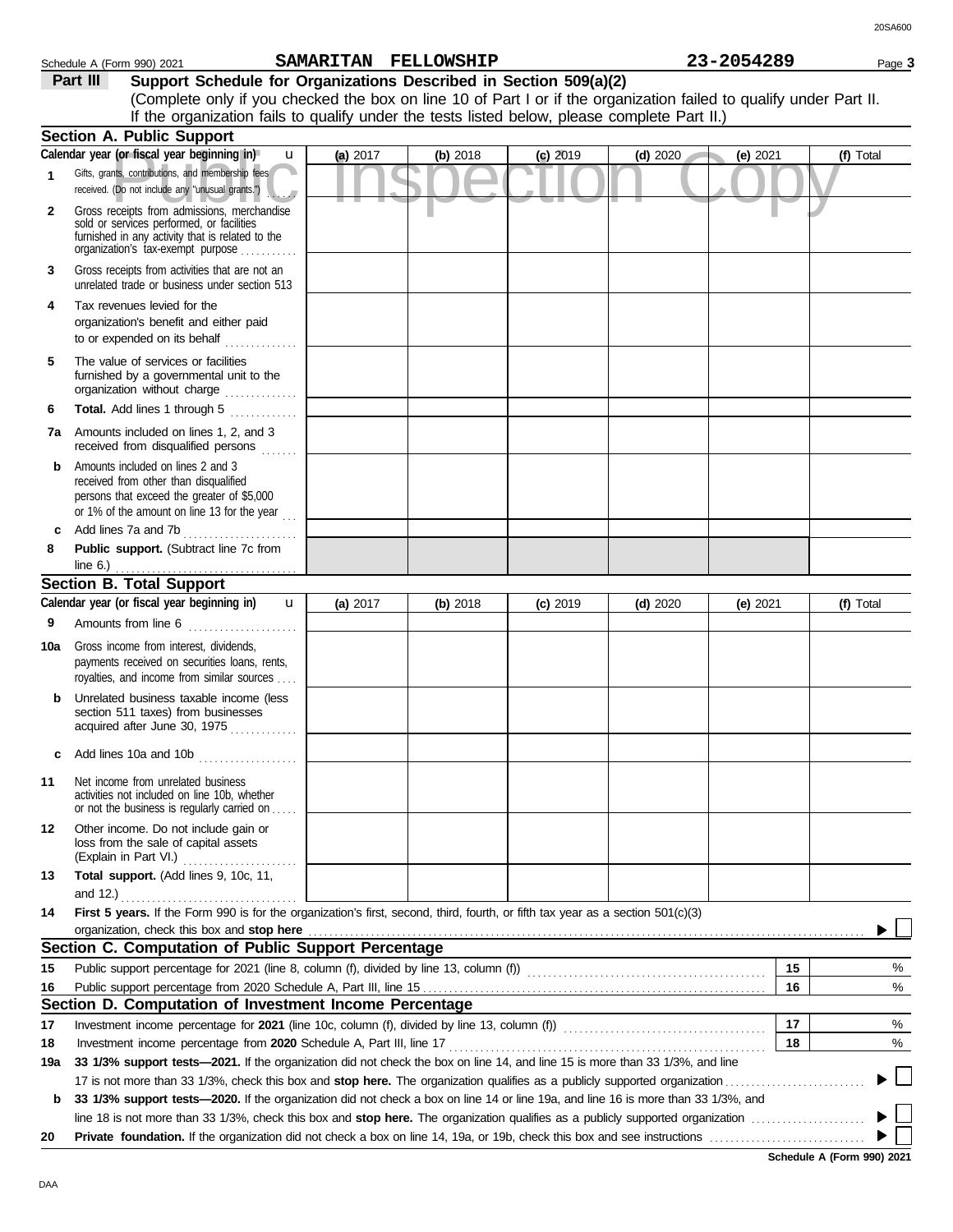**Schedule A (Form 990) 2021**

|              | Calendar year (or fiscal year beginning in)<br>$\mathbf u$                                                                                                                        | (a) 2017 | (b) 2018 | $(c)$ 2019 | $(d)$ 2020 | (e) 2021   | (f) Total |
|--------------|-----------------------------------------------------------------------------------------------------------------------------------------------------------------------------------|----------|----------|------------|------------|------------|-----------|
| 1            | Gifts, grants, contributions, and membership fees<br>received. (Do not include any "unusual grants.")                                                                             |          | ۰        |            |            |            |           |
| $\mathbf{2}$ | Gross receipts from admissions, merchandise<br>sold or services performed, or facilities<br>furnished in any activity that is related to the<br>organization's tax-exempt purpose |          |          |            |            |            |           |
| 3            | Gross receipts from activities that are not an<br>unrelated trade or business under section 513                                                                                   |          |          |            |            |            |           |
| 4            | Tax revenues levied for the                                                                                                                                                       |          |          |            |            |            |           |
|              | organization's benefit and either paid<br>to or expended on its behalf                                                                                                            |          |          |            |            |            |           |
| 5            | The value of services or facilities<br>furnished by a governmental unit to the<br>organization without charge                                                                     |          |          |            |            |            |           |
| 6            | Total. Add lines 1 through 5<br>.                                                                                                                                                 |          |          |            |            |            |           |
| 7a           | Amounts included on lines 1, 2, and 3<br>received from disqualified persons<br>.                                                                                                  |          |          |            |            |            |           |
| b            | Amounts included on lines 2 and 3<br>received from other than disqualified<br>persons that exceed the greater of \$5,000<br>or 1% of the amount on line 13 for the year           |          |          |            |            |            |           |
| c            | Add lines 7a and 7b                                                                                                                                                               |          |          |            |            |            |           |
| 8            | Public support. (Subtract line 7c from<br>line $6.$ )                                                                                                                             |          |          |            |            |            |           |
|              | <b>Section B. Total Support</b>                                                                                                                                                   |          |          |            |            |            |           |
|              | Calendar year (or fiscal year beginning in)<br>$\mathbf{u}$                                                                                                                       | (a) 2017 | (b) 2018 | $(c)$ 2019 | $(d)$ 2020 | (e) $2021$ | (f) Total |
| 9            | Amounts from line 6<br>.                                                                                                                                                          |          |          |            |            |            |           |
| 10a          | Gross income from interest, dividends,<br>payments received on securities loans, rents,<br>royalties, and income from similar sources                                             |          |          |            |            |            |           |
| b            | Unrelated business taxable income (less<br>section 511 taxes) from businesses<br>acquired after June 30, 1975                                                                     |          |          |            |            |            |           |
| c            | Add lines 10a and 10b $\ldots$                                                                                                                                                    |          |          |            |            |            |           |
| 11           | Net income from unrelated business<br>activities not included on line 10b, whether<br>or not the business is regularly carried on                                                 |          |          |            |            |            |           |
| 12           | Other income. Do not include gain or<br>loss from the sale of capital assets<br>(Explain in Part VI.)                                                                             |          |          |            |            |            |           |
| 13           | Total support. (Add lines 9, 10c, 11,                                                                                                                                             |          |          |            |            |            |           |
|              | and 12.)                                                                                                                                                                          |          |          |            |            |            |           |
| 14           | First 5 years. If the Form 990 is for the organization's first, second, third, fourth, or fifth tax year as a section 501(c)(3)                                                   |          |          |            |            |            |           |
|              | organization, check this box and stop here<br>Section C. Computation of Public Support Percentage                                                                                 |          |          |            |            |            |           |
|              |                                                                                                                                                                                   |          |          |            |            |            |           |
| 15           | Public support percentage for 2021 (line 8, column (f), divided by line 13, column (f)) [[[[[[[[[[[[[[[[[[[[[                                                                     |          |          |            |            | 15<br>16   | $\%$<br>% |
| 16           | Section D. Computation of Investment Income Percentage                                                                                                                            |          |          |            |            |            |           |
| 17           |                                                                                                                                                                                   |          |          |            |            | 17         | %         |
| 18           | Investment income percentage from 2020 Schedule A, Part III, line 17                                                                                                              |          |          |            |            | 18         | %         |
| 19a          | 33 1/3% support tests-2021. If the organization did not check the box on line 14, and line 15 is more than 33 1/3%, and line                                                      |          |          |            |            |            |           |
|              | 17 is not more than 33 1/3%, check this box and stop here. The organization qualifies as a publicly supported organization                                                        |          |          |            |            |            |           |
| b            | 33 1/3% support tests-2020. If the organization did not check a box on line 14 or line 19a, and line 16 is more than 33 1/3%, and                                                 |          |          |            |            |            |           |
|              |                                                                                                                                                                                   |          |          |            |            |            |           |

**20** Private foundation. If the organization did not check a box on line 14, 19a, or 19b, check this box and see instructions .........

DAA

| If the organization fails to qualify under the tests listed below, please complete Part II.) |            |            |            |            |          |       |
|----------------------------------------------------------------------------------------------|------------|------------|------------|------------|----------|-------|
| <b>Section A. Public Support</b>                                                             |            |            |            |            |          |       |
| Calendar year (or fiscal year beginning in)<br>u                                             | $(a)$ 2017 | $(b)$ 2018 | $(c)$ 2019 | $(d)$ 2020 | (e) 2021 | Total |

(Complete only if you checked the box on line 10 of Part I or if the organization failed to qualify under Part II.

**Part III Support Schedule for Organizations Described in Section 509(a)(2)**

|  | 3-2054289 |  |  |  |  |
|--|-----------|--|--|--|--|
|  |           |  |  |  |  |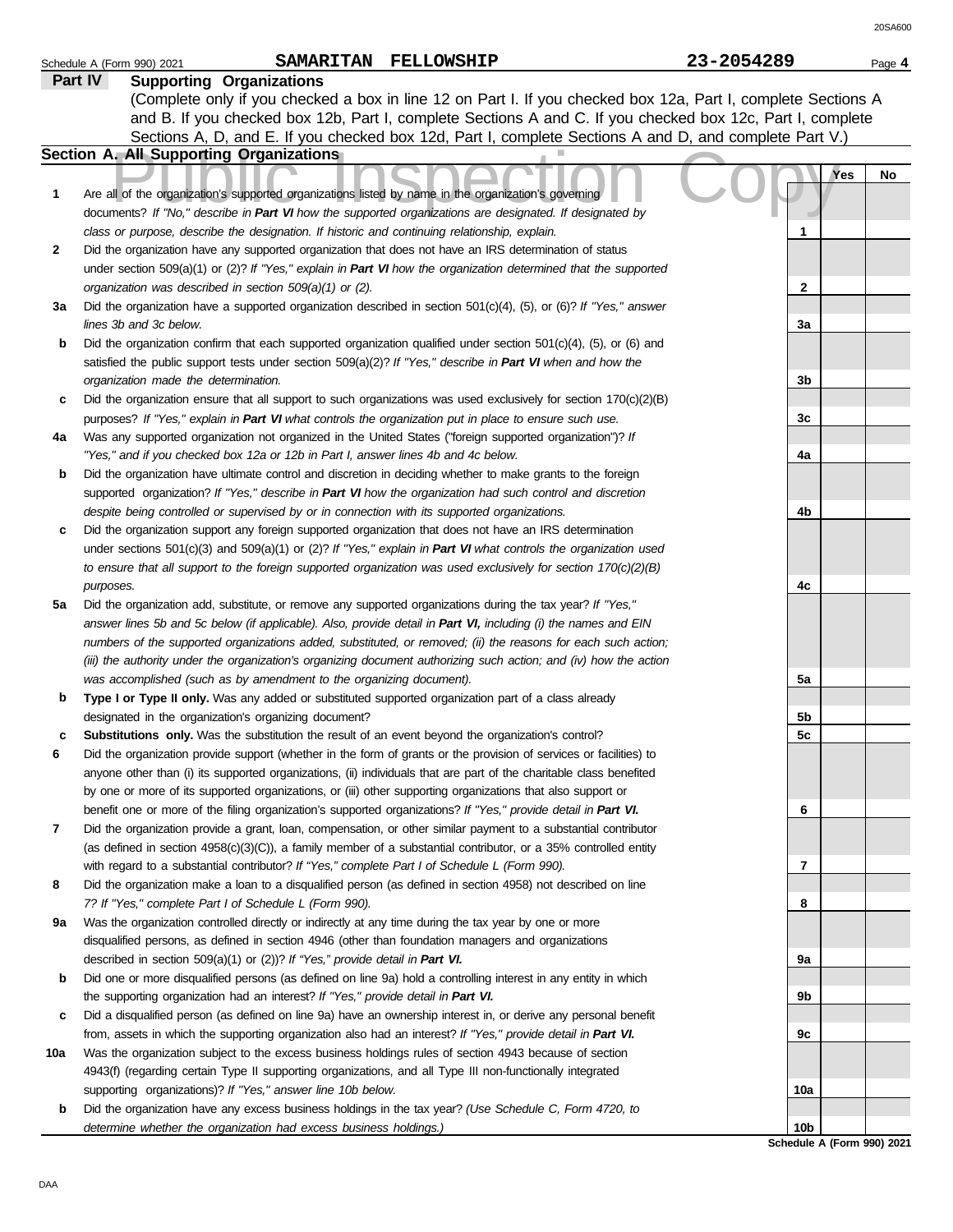|    |                                                                                                                                                                                                                  |              | 20SA60 |
|----|------------------------------------------------------------------------------------------------------------------------------------------------------------------------------------------------------------------|--------------|--------|
|    | SAMARITAN FELLOWSHIP<br>Schedule A (Form 990) 2021                                                                                                                                                               | 23-2054289   | Page 4 |
|    | <b>Supporting Organizations</b><br>Part IV<br>(Complete only if you checked a box in line 12 on Part I. If you checked box 12a, Part I, complete Sections A                                                      |              |        |
|    | and B. If you checked box 12b, Part I, complete Sections A and C. If you checked box 12c, Part I, complete                                                                                                       |              |        |
|    | Sections A, D, and E. If you checked box 12d, Part I, complete Sections A and D, and complete Part V.)                                                                                                           |              |        |
|    | Section A. All Supporting Organizations                                                                                                                                                                          |              |        |
|    |                                                                                                                                                                                                                  | Yes          | No     |
| 1  | Are all of the organization's supported organizations listed by name in the organization's governing<br>documents? If "No," describe in Part VI how the supported organizations are designated. If designated by |              |        |
|    | class or purpose, describe the designation. If historic and continuing relationship, explain.                                                                                                                    | 1            |        |
| 2  | Did the organization have any supported organization that does not have an IRS determination of status                                                                                                           |              |        |
|    | under section 509(a)(1) or (2)? If "Yes," explain in Part VI how the organization determined that the supported                                                                                                  |              |        |
|    | organization was described in section 509(a)(1) or (2).                                                                                                                                                          | $\mathbf{2}$ |        |
| За | Did the organization have a supported organization described in section $501(c)(4)$ , (5), or (6)? If "Yes," answer                                                                                              |              |        |
|    | lines 3b and 3c below.                                                                                                                                                                                           | 3a           |        |
| b  | Did the organization confirm that each supported organization qualified under section $501(c)(4)$ , $(5)$ , or $(6)$ and                                                                                         |              |        |
|    | satisfied the public support tests under section $509(a)(2)?$ If "Yes," describe in Part VI when and how the                                                                                                     |              |        |
|    | organization made the determination.                                                                                                                                                                             | 3b           |        |
| c  | Did the organization ensure that all support to such organizations was used exclusively for section $170(c)(2)(B)$                                                                                               |              |        |
|    | purposes? If "Yes," explain in Part VI what controls the organization put in place to ensure such use.                                                                                                           | 3c           |        |
| 4a | Was any supported organization not organized in the United States ("foreign supported organization")? If                                                                                                         |              |        |
|    | "Yes," and if you checked box 12a or 12b in Part I, answer lines 4b and 4c below.                                                                                                                                | 4a           |        |
| b  | Did the organization have ultimate control and discretion in deciding whether to make grants to the foreign                                                                                                      |              |        |
|    | supported organization? If "Yes," describe in Part VI how the organization had such control and discretion                                                                                                       |              |        |
|    | despite being controlled or supervised by or in connection with its supported organizations.                                                                                                                     | 4b           |        |
| c  | Did the organization support any foreign supported organization that does not have an IRS determination                                                                                                          |              |        |
|    | under sections $501(c)(3)$ and $509(a)(1)$ or (2)? If "Yes," explain in Part VI what controls the organization used                                                                                              |              |        |
|    | to ensure that all support to the foreign supported organization was used exclusively for section $170(c)(2)(B)$                                                                                                 |              |        |
|    | purposes.                                                                                                                                                                                                        | 4с           |        |
| 5a | Did the organization add, substitute, or remove any supported organizations during the tax year? If "Yes,"                                                                                                       |              |        |
|    | answer lines 5b and 5c below (if applicable). Also, provide detail in Part VI, including (i) the names and EIN                                                                                                   |              |        |
|    | numbers of the supported organizations added, substituted, or removed; (ii) the reasons for each such action;                                                                                                    |              |        |
|    | (iii) the authority under the organization's organizing document authorizing such action; and (iv) how the action                                                                                                |              |        |
|    | was accomplished (such as by amendment to the organizing document).                                                                                                                                              | 5a           |        |
| b  | Type I or Type II only. Was any added or substituted supported organization part of a class already                                                                                                              |              |        |
|    | designated in the organization's organizing document?                                                                                                                                                            | 5b           |        |
| c  | Substitutions only. Was the substitution the result of an event beyond the organization's control?                                                                                                               | 5c           |        |
| 6  | Did the organization provide support (whether in the form of grants or the provision of services or facilities) to                                                                                               |              |        |
|    | anyone other than (i) its supported organizations, (ii) individuals that are part of the charitable class benefited                                                                                              |              |        |
|    | by one or more of its supported organizations, or (iii) other supporting organizations that also support or                                                                                                      |              |        |
|    | benefit one or more of the filing organization's supported organizations? If "Yes," provide detail in Part VI.                                                                                                   | 6            |        |
| 7  | Did the organization provide a grant, loan, compensation, or other similar payment to a substantial contributor                                                                                                  |              |        |
|    | (as defined in section $4958(c)(3)(C)$ ), a family member of a substantial contributor, or a 35% controlled entity                                                                                               |              |        |
|    | with regard to a substantial contributor? If "Yes," complete Part I of Schedule L (Form 990).                                                                                                                    | 7            |        |
| 8  | Did the organization make a loan to a disqualified person (as defined in section 4958) not described on line                                                                                                     |              |        |
|    | 7? If "Yes," complete Part I of Schedule L (Form 990).                                                                                                                                                           | 8            |        |
| 9а | Was the organization controlled directly or indirectly at any time during the tax year by one or more                                                                                                            |              |        |
|    | disqualified persons, as defined in section 4946 (other than foundation managers and organizations<br>described in section 509(a)(1) or (2))? If "Yes," provide detail in Part VI.                               |              |        |
| b  | Did one or more disqualified persons (as defined on line 9a) hold a controlling interest in any entity in which                                                                                                  | 9а           |        |
|    | the supporting organization had an interest? If "Yes," provide detail in Part VI.                                                                                                                                | 9b           |        |
|    |                                                                                                                                                                                                                  |              |        |

- **c** Did a disqualified person (as defined on line 9a) have an ownership interest in, or derive any personal benefit from, assets in which the supporting organization also had an interest? *If "Yes," provide detail in Part VI.*
- **10a** Was the organization subject to the excess business holdings rules of section 4943 because of section 4943(f) (regarding certain Type II supporting organizations, and all Type III non-functionally integrated supporting organizations)? *If "Yes," answer line 10b below.*
	- **b** Did the organization have any excess business holdings in the tax year? *(Use Schedule C, Form 4720, to determine whether the organization had excess business holdings.)*

**4b 4c 5a 5b 5c 6 7 8 9a 9b 9c 10a 10b**

**Schedule A (Form 990) 2021**

20SA600

|  | :3-2054289 |  |  |  |  |
|--|------------|--|--|--|--|
|  |            |  |  |  |  |
|  |            |  |  |  |  |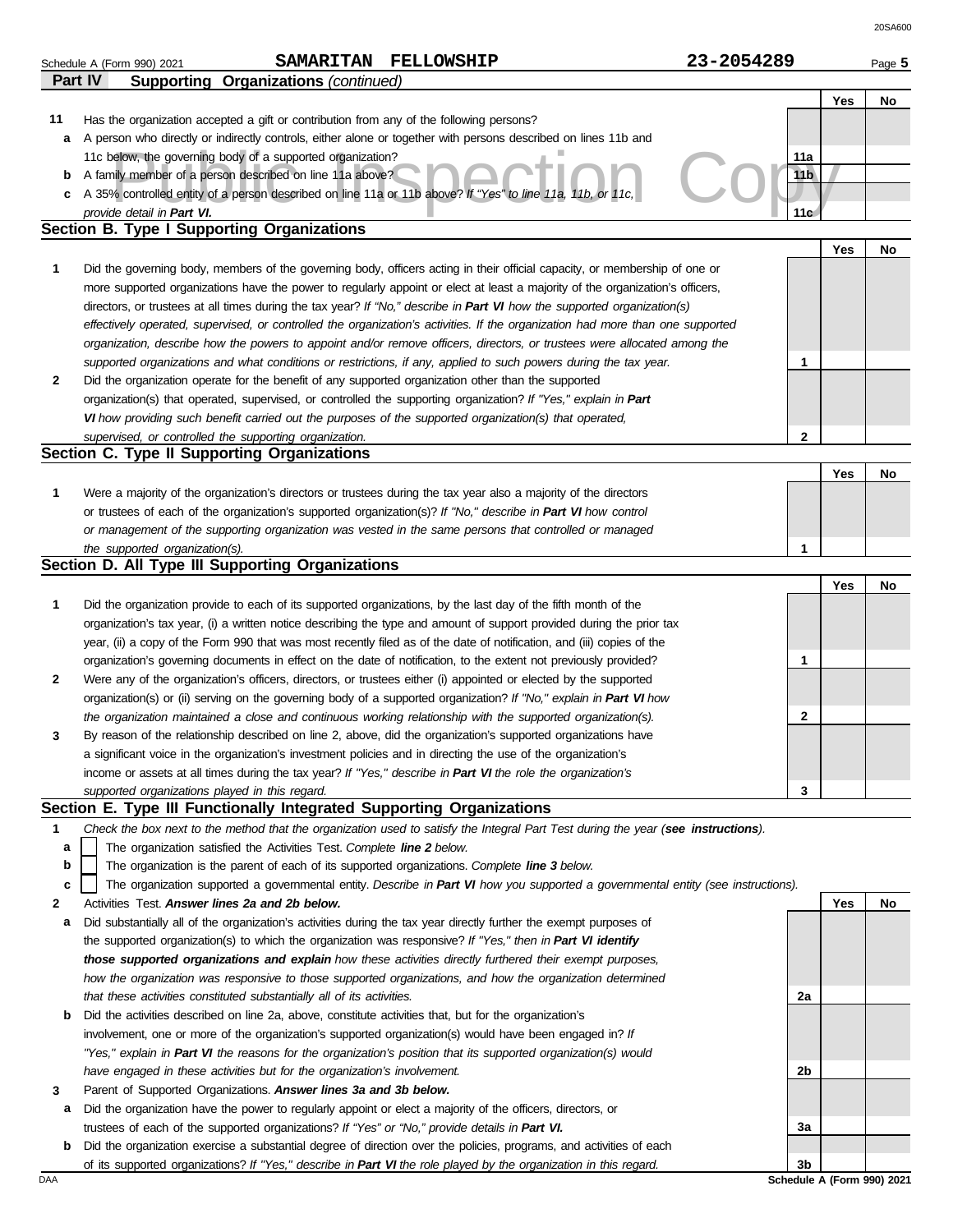|         | SAMARITAN FELLOWSHIP<br>Schedule A (Form 990) 2021                                                                                | 23-2054289                 | Page 5    |
|---------|-----------------------------------------------------------------------------------------------------------------------------------|----------------------------|-----------|
| Part IV | <b>Supporting Organizations (continued)</b>                                                                                       |                            |           |
|         |                                                                                                                                   |                            | Yes<br>No |
| 11      | Has the organization accepted a gift or contribution from any of the following persons?                                           |                            |           |
| a       | A person who directly or indirectly controls, either alone or together with persons described on lines 11b and                    |                            |           |
|         | 11c below, the governing body of a supported organization?                                                                        | 11a                        |           |
| b       | A family member of a person described on line 11a above?                                                                          | 11 <sub>b</sub>            |           |
| c       | A 35% controlled entity of a person described on line 11a or 11b above? If "Yes" to line 11a, 11b, or 11c,                        |                            |           |
|         | provide detail in Part VI.                                                                                                        | 11c                        |           |
|         | Section B. Type I Supporting Organizations                                                                                        |                            |           |
|         |                                                                                                                                   |                            | Yes<br>No |
| 1       | Did the governing body, members of the governing body, officers acting in their official capacity, or membership of one or        |                            |           |
|         | more supported organizations have the power to regularly appoint or elect at least a majority of the organization's officers,     |                            |           |
|         | directors, or trustees at all times during the tax year? If "No," describe in Part VI how the supported organization(s)           |                            |           |
|         | effectively operated, supervised, or controlled the organization's activities. If the organization had more than one supported    |                            |           |
|         | organization, describe how the powers to appoint and/or remove officers, directors, or trustees were allocated among the          |                            |           |
|         |                                                                                                                                   |                            |           |
|         | supported organizations and what conditions or restrictions, if any, applied to such powers during the tax year.                  | 1                          |           |
| 2       | Did the organization operate for the benefit of any supported organization other than the supported                               |                            |           |
|         | organization(s) that operated, supervised, or controlled the supporting organization? If "Yes," explain in Part                   |                            |           |
|         | VI how providing such benefit carried out the purposes of the supported organization(s) that operated,                            |                            |           |
|         | supervised, or controlled the supporting organization.                                                                            | $\mathbf{2}$               |           |
|         | Section C. Type II Supporting Organizations                                                                                       |                            |           |
|         |                                                                                                                                   |                            | Yes<br>No |
| 1       | Were a majority of the organization's directors or trustees during the tax year also a majority of the directors                  |                            |           |
|         | or trustees of each of the organization's supported organization(s)? If "No," describe in Part VI how control                     |                            |           |
|         | or management of the supporting organization was vested in the same persons that controlled or managed                            |                            |           |
|         | the supported organization(s).                                                                                                    | 1                          |           |
|         | Section D. All Type III Supporting Organizations                                                                                  |                            |           |
|         |                                                                                                                                   |                            | Yes<br>No |
| 1       | Did the organization provide to each of its supported organizations, by the last day of the fifth month of the                    |                            |           |
|         | organization's tax year, (i) a written notice describing the type and amount of support provided during the prior tax             |                            |           |
|         | year, (ii) a copy of the Form 990 that was most recently filed as of the date of notification, and (iii) copies of the            |                            |           |
|         | organization's governing documents in effect on the date of notification, to the extent not previously provided?                  | 1                          |           |
| 2       | Were any of the organization's officers, directors, or trustees either (i) appointed or elected by the supported                  |                            |           |
|         | organization(s) or (ii) serving on the governing body of a supported organization? If "No," explain in Part VI how                |                            |           |
|         | the organization maintained a close and continuous working relationship with the supported organization(s).                       | $\mathbf{2}$               |           |
| 3       | By reason of the relationship described on line 2, above, did the organization's supported organizations have                     |                            |           |
|         | a significant voice in the organization's investment policies and in directing the use of the organization's                      |                            |           |
|         | income or assets at all times during the tax year? If "Yes," describe in Part VI the role the organization's                      |                            |           |
|         | supported organizations played in this regard.                                                                                    | 3                          |           |
|         | Section E. Type III Functionally Integrated Supporting Organizations                                                              |                            |           |
| 1       | Check the box next to the method that the organization used to satisfy the Integral Part Test during the year (see instructions). |                            |           |
| a       | The organization satisfied the Activities Test. Complete line 2 below.                                                            |                            |           |
| b       | The organization is the parent of each of its supported organizations. Complete line 3 below.                                     |                            |           |
| c       | The organization supported a governmental entity. Describe in Part VI how you supported a governmental entity (see instructions). |                            |           |
| 2       | Activities Test. Answer lines 2a and 2b below.                                                                                    |                            | Yes<br>No |
|         | Did substantially all of the organization's activities during the tax year directly further the exempt purposes of                |                            |           |
| а       |                                                                                                                                   |                            |           |
|         | the supported organization(s) to which the organization was responsive? If "Yes," then in Part VI identify                        |                            |           |
|         | those supported organizations and explain how these activities directly furthered their exempt purposes,                          |                            |           |
|         | how the organization was responsive to those supported organizations, and how the organization determined                         |                            |           |
|         | that these activities constituted substantially all of its activities.                                                            | 2a                         |           |
| b       | Did the activities described on line 2a, above, constitute activities that, but for the organization's                            |                            |           |
|         | involvement, one or more of the organization's supported organization(s) would have been engaged in? If                           |                            |           |
|         | "Yes," explain in Part VI the reasons for the organization's position that its supported organization(s) would                    |                            |           |
|         | have engaged in these activities but for the organization's involvement.                                                          | 2b                         |           |
| 3       | Parent of Supported Organizations. Answer lines 3a and 3b below.                                                                  |                            |           |
| а       | Did the organization have the power to regularly appoint or elect a majority of the officers, directors, or                       |                            |           |
|         | trustees of each of the supported organizations? If "Yes" or "No," provide details in Part VI.                                    | За                         |           |
| b       | Did the organization exercise a substantial degree of direction over the policies, programs, and activities of each               |                            |           |
|         | of its supported organizations? If "Yes," describe in Part VI the role played by the organization in this regard.                 | 3b                         |           |
| DAA     |                                                                                                                                   | Schedule A (Form 990) 2021 |           |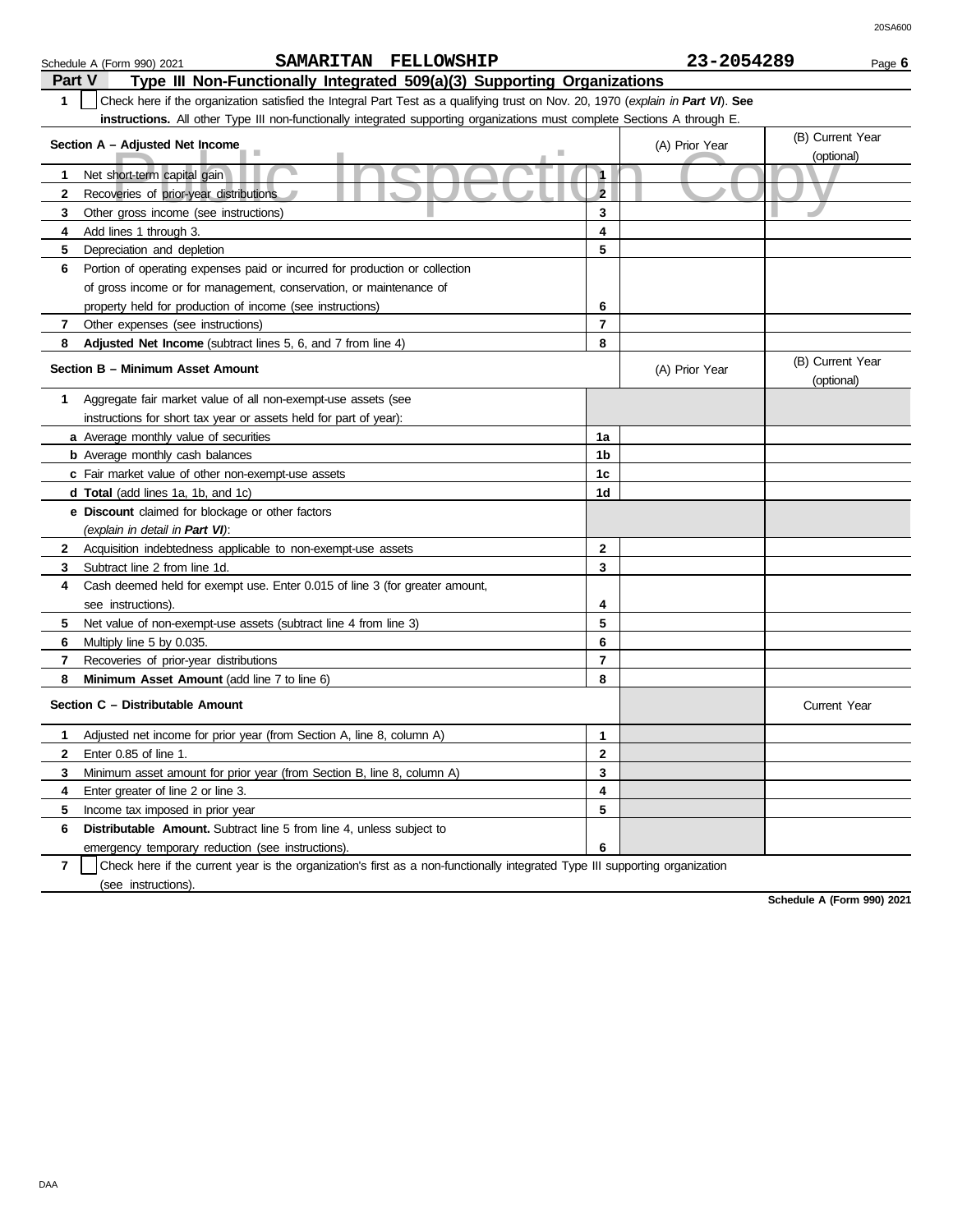| Part V       | Type III Non-Functionally Integrated 509(a)(3) Supporting Organizations                                                          |                |                |                                |  |  |
|--------------|----------------------------------------------------------------------------------------------------------------------------------|----------------|----------------|--------------------------------|--|--|
| 1            | Check here if the organization satisfied the Integral Part Test as a qualifying trust on Nov. 20, 1970 (explain in Part VI). See |                |                |                                |  |  |
|              | instructions. All other Type III non-functionally integrated supporting organizations must complete Sections A through E.        |                |                |                                |  |  |
|              | Section A - Adjusted Net Income                                                                                                  |                | (A) Prior Year | (B) Current Year<br>(optional) |  |  |
| 1            | Net short-term capital gain                                                                                                      | 1              |                |                                |  |  |
| 2            | Recoveries of prior-year distributions                                                                                           | $\overline{2}$ |                |                                |  |  |
| 3            | Other gross income (see instructions)                                                                                            | 3              |                |                                |  |  |
| 4            | Add lines 1 through 3.                                                                                                           | 4              |                |                                |  |  |
| 5            | Depreciation and depletion                                                                                                       | 5              |                |                                |  |  |
| 6            | Portion of operating expenses paid or incurred for production or collection                                                      |                |                |                                |  |  |
|              | of gross income or for management, conservation, or maintenance of                                                               |                |                |                                |  |  |
|              | property held for production of income (see instructions)                                                                        | 6              |                |                                |  |  |
| 7            | Other expenses (see instructions)                                                                                                | $\overline{7}$ |                |                                |  |  |
| 8            | Adjusted Net Income (subtract lines 5, 6, and 7 from line 4)                                                                     | 8              |                |                                |  |  |
|              | Section B – Minimum Asset Amount                                                                                                 |                | (A) Prior Year | (B) Current Year<br>(optional) |  |  |
| 1            | Aggregate fair market value of all non-exempt-use assets (see                                                                    |                |                |                                |  |  |
|              | instructions for short tax year or assets held for part of year):                                                                |                |                |                                |  |  |
|              | a Average monthly value of securities                                                                                            | 1a             |                |                                |  |  |
|              | <b>b</b> Average monthly cash balances                                                                                           | 1b             |                |                                |  |  |
|              | c Fair market value of other non-exempt-use assets                                                                               | 1 <sub>c</sub> |                |                                |  |  |
|              | <b>d Total</b> (add lines 1a, 1b, and 1c)                                                                                        | 1d             |                |                                |  |  |
|              | e Discount claimed for blockage or other factors                                                                                 |                |                |                                |  |  |
|              | (explain in detail in Part VI):                                                                                                  |                |                |                                |  |  |
| $\mathbf{2}$ | Acquisition indebtedness applicable to non-exempt-use assets                                                                     | 2              |                |                                |  |  |
| 3            | Subtract line 2 from line 1d.                                                                                                    | 3              |                |                                |  |  |
| 4            | Cash deemed held for exempt use. Enter 0.015 of line 3 (for greater amount,                                                      |                |                |                                |  |  |
|              | see instructions).                                                                                                               | 4              |                |                                |  |  |
| 5            | Net value of non-exempt-use assets (subtract line 4 from line 3)                                                                 | 5              |                |                                |  |  |
| 6            | Multiply line 5 by 0.035.                                                                                                        | 6              |                |                                |  |  |
| 7            | Recoveries of prior-year distributions                                                                                           | $\overline{7}$ |                |                                |  |  |
| 8            | Minimum Asset Amount (add line 7 to line 6)                                                                                      | 8              |                |                                |  |  |
|              | Section C - Distributable Amount                                                                                                 |                |                | <b>Current Year</b>            |  |  |
| 1            | Adjusted net income for prior year (from Section A, line 8, column A)                                                            | 1              |                |                                |  |  |
| 2            | Enter 0.85 of line 1.                                                                                                            | $\overline{2}$ |                |                                |  |  |
| 3            | Minimum asset amount for prior year (from Section B, line 8, column A)                                                           | 3              |                |                                |  |  |
| 4            | Enter greater of line 2 or line 3.                                                                                               | 4              |                |                                |  |  |
| 5            | Income tax imposed in prior year                                                                                                 | 5              |                |                                |  |  |
| 6            | <b>Distributable Amount.</b> Subtract line 5 from line 4, unless subject to                                                      |                |                |                                |  |  |
|              | emergency temporary reduction (see instructions).                                                                                | 6              |                |                                |  |  |

**7** | Check here if the current year is the organization's first as a non-functionally integrated Type III supporting organization (see instructions).

**Schedule A (Form 990) 2021**

## Schedule A (Form 990) 2021 Page **6 SAMARITAN FELLOWSHIP 23-2054289**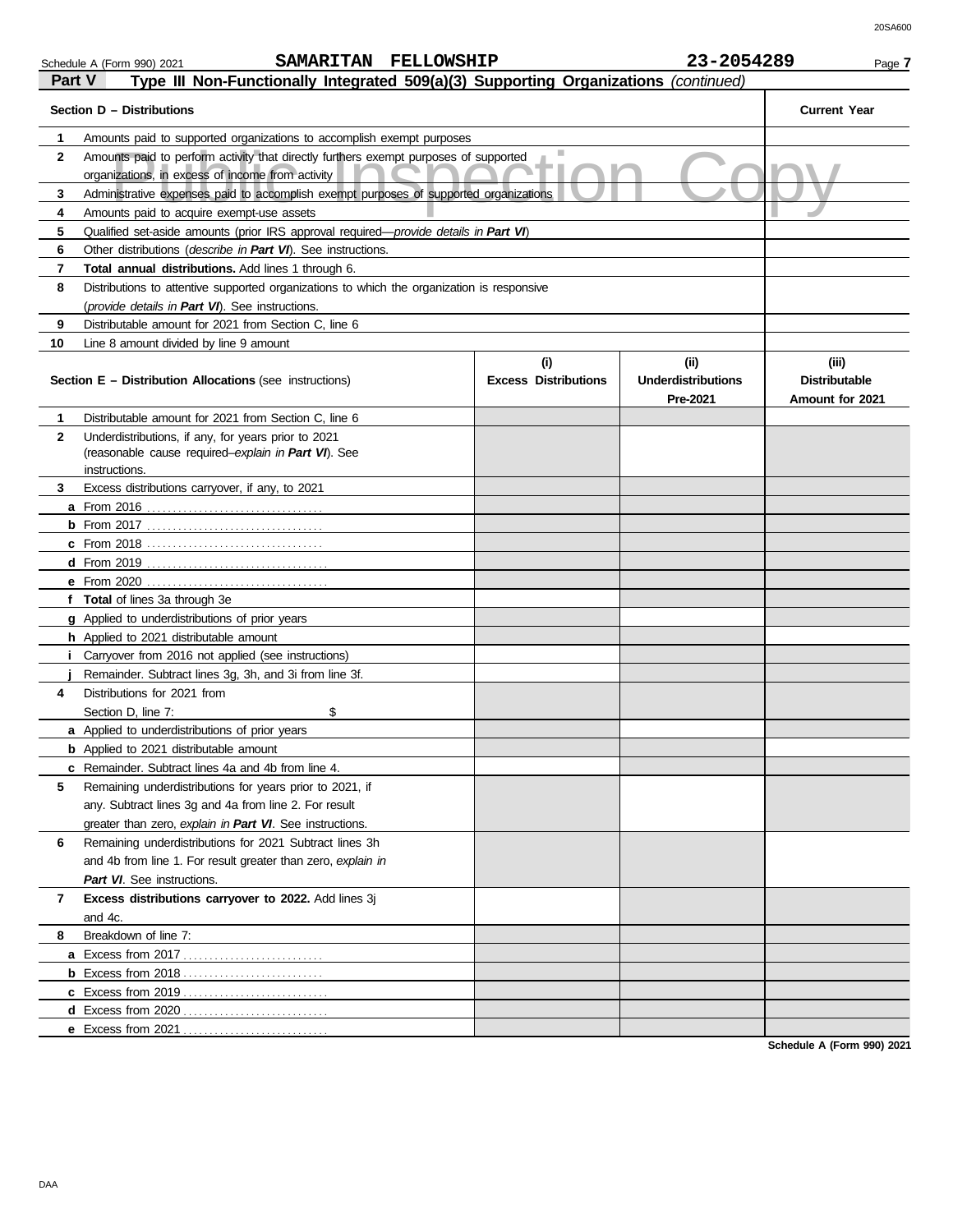| Schedule A (Form 990) 2021 |  |  |
|----------------------------|--|--|

|              | SAMARITAN FELLOWSHIP<br>Schedule A (Form 990) 2021                                                                                       |                                    | 23-2054289                                    | Page 7                                           |
|--------------|------------------------------------------------------------------------------------------------------------------------------------------|------------------------------------|-----------------------------------------------|--------------------------------------------------|
| Part V       | Type III Non-Functionally Integrated 509(a)(3) Supporting Organizations (continued)                                                      |                                    |                                               |                                                  |
|              | Section D - Distributions                                                                                                                |                                    |                                               | <b>Current Year</b>                              |
| 1            | Amounts paid to supported organizations to accomplish exempt purposes                                                                    |                                    |                                               |                                                  |
| $\mathbf{2}$ | Amounts paid to perform activity that directly furthers exempt purposes of supported<br>organizations, in excess of income from activity |                                    |                                               |                                                  |
| 3            | Administrative expenses paid to accomplish exempt purposes of supported organizations                                                    |                                    |                                               |                                                  |
| 4            | Amounts paid to acquire exempt-use assets                                                                                                |                                    |                                               |                                                  |
| 5            | Qualified set-aside amounts (prior IRS approval required-provide details in Part VI)                                                     |                                    |                                               |                                                  |
| 6            | Other distributions (describe in Part VI). See instructions.                                                                             |                                    |                                               |                                                  |
| 7            | Total annual distributions. Add lines 1 through 6.                                                                                       |                                    |                                               |                                                  |
| 8            | Distributions to attentive supported organizations to which the organization is responsive                                               |                                    |                                               |                                                  |
|              | (provide details in Part VI). See instructions.                                                                                          |                                    |                                               |                                                  |
| 9            | Distributable amount for 2021 from Section C, line 6                                                                                     |                                    |                                               |                                                  |
| 10           | Line 8 amount divided by line 9 amount                                                                                                   |                                    |                                               |                                                  |
|              | <b>Section E – Distribution Allocations (see instructions)</b>                                                                           | (i)<br><b>Excess Distributions</b> | (ii)<br><b>Underdistributions</b><br>Pre-2021 | (iii)<br><b>Distributable</b><br>Amount for 2021 |
| 1            | Distributable amount for 2021 from Section C, line 6                                                                                     |                                    |                                               |                                                  |
| $\mathbf{2}$ | Underdistributions, if any, for years prior to 2021                                                                                      |                                    |                                               |                                                  |
|              | (reasonable cause required-explain in Part VI). See                                                                                      |                                    |                                               |                                                  |
|              | instructions.                                                                                                                            |                                    |                                               |                                                  |
| 3.           | Excess distributions carryover, if any, to 2021                                                                                          |                                    |                                               |                                                  |
|              |                                                                                                                                          |                                    |                                               |                                                  |
|              |                                                                                                                                          |                                    |                                               |                                                  |
|              |                                                                                                                                          |                                    |                                               |                                                  |
|              |                                                                                                                                          |                                    |                                               |                                                  |
|              | f Total of lines 3a through 3e                                                                                                           |                                    |                                               |                                                  |
|              | g Applied to underdistributions of prior years                                                                                           |                                    |                                               |                                                  |
|              | h Applied to 2021 distributable amount                                                                                                   |                                    |                                               |                                                  |
| j.           | Carryover from 2016 not applied (see instructions)                                                                                       |                                    |                                               |                                                  |
|              | Remainder. Subtract lines 3g, 3h, and 3i from line 3f.                                                                                   |                                    |                                               |                                                  |
| 4            | Distributions for 2021 from                                                                                                              |                                    |                                               |                                                  |
|              | \$<br>Section D, line 7:                                                                                                                 |                                    |                                               |                                                  |
|              | a Applied to underdistributions of prior years                                                                                           |                                    |                                               |                                                  |
|              | <b>b</b> Applied to 2021 distributable amount                                                                                            |                                    |                                               |                                                  |
|              | c Remainder. Subtract lines 4a and 4b from line 4.                                                                                       |                                    |                                               |                                                  |
| 5            | Remaining underdistributions for years prior to 2021, if                                                                                 |                                    |                                               |                                                  |
|              | any. Subtract lines 3g and 4a from line 2. For result                                                                                    |                                    |                                               |                                                  |
|              | greater than zero, explain in Part VI. See instructions.                                                                                 |                                    |                                               |                                                  |
| 6            | Remaining underdistributions for 2021 Subtract lines 3h                                                                                  |                                    |                                               |                                                  |
|              | and 4b from line 1. For result greater than zero, explain in                                                                             |                                    |                                               |                                                  |
|              | Part VI. See instructions.                                                                                                               |                                    |                                               |                                                  |
| 7            | Excess distributions carryover to 2022. Add lines 3j                                                                                     |                                    |                                               |                                                  |
|              | and 4c.                                                                                                                                  |                                    |                                               |                                                  |
| 8            | Breakdown of line 7:                                                                                                                     |                                    |                                               |                                                  |
|              |                                                                                                                                          |                                    |                                               |                                                  |
|              |                                                                                                                                          |                                    |                                               |                                                  |
|              |                                                                                                                                          |                                    |                                               |                                                  |
|              |                                                                                                                                          |                                    |                                               |                                                  |
|              |                                                                                                                                          |                                    |                                               |                                                  |
|              |                                                                                                                                          |                                    |                                               |                                                  |

**Schedule A (Form 990) 2021**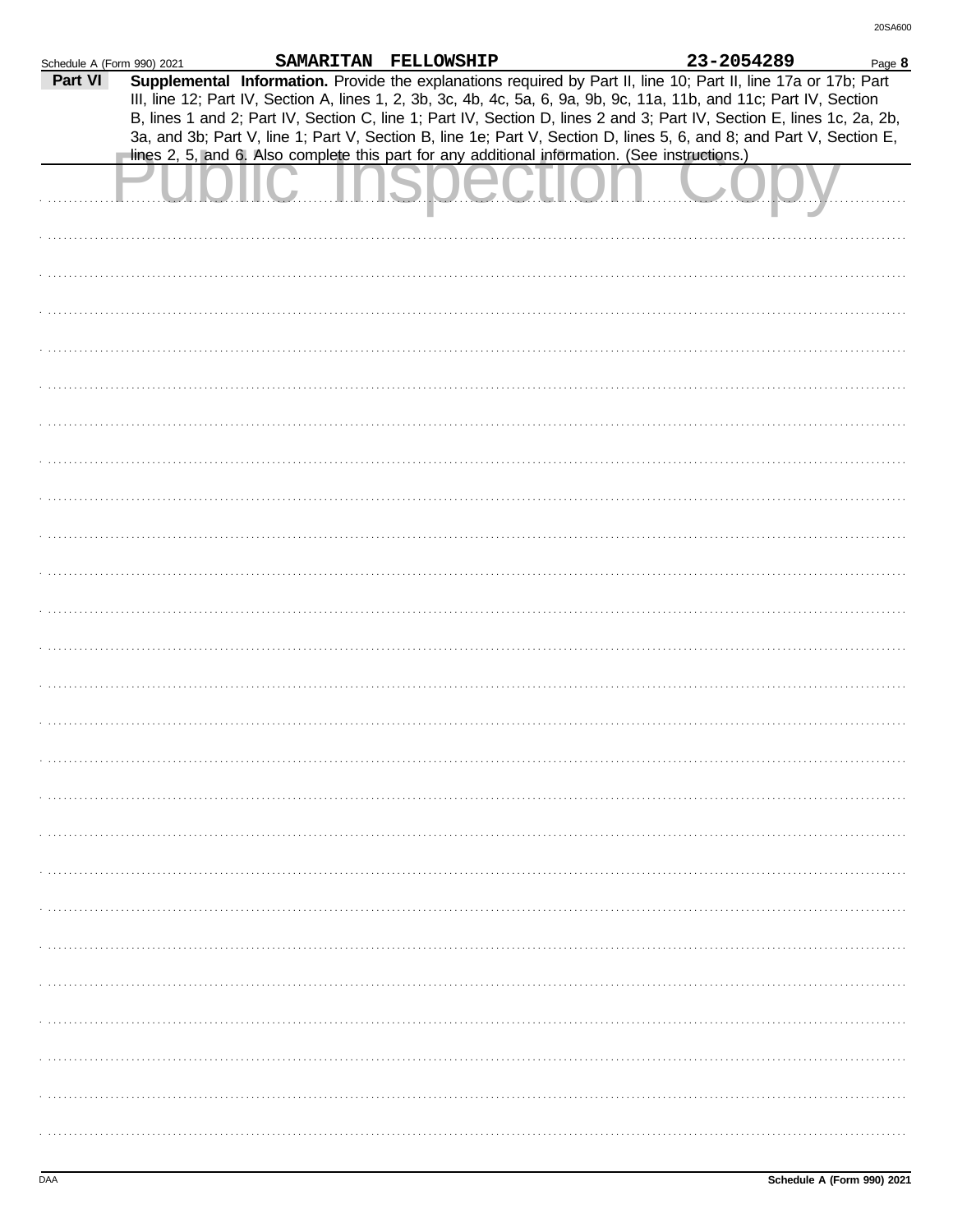| Schedule A (Form 990) 2021 |                                                                                                                                                                                                                                                                                                                                                                                                                                                                                                                                                                                             | SAMARITAN FELLOWSHIP |  | 23-2054289 | Page 8 |
|----------------------------|---------------------------------------------------------------------------------------------------------------------------------------------------------------------------------------------------------------------------------------------------------------------------------------------------------------------------------------------------------------------------------------------------------------------------------------------------------------------------------------------------------------------------------------------------------------------------------------------|----------------------|--|------------|--------|
| Part VI                    | Supplemental Information. Provide the explanations required by Part II, line 10; Part II, line 17a or 17b; Part<br>III, line 12; Part IV, Section A, lines 1, 2, 3b, 3c, 4b, 4c, 5a, 6, 9a, 9b, 9c, 11a, 11b, and 11c; Part IV, Section<br>B, lines 1 and 2; Part IV, Section C, line 1; Part IV, Section D, lines 2 and 3; Part IV, Section E, lines 1c, 2a, 2b,<br>3a, and 3b; Part V, line 1; Part V, Section B, line 1e; Part V, Section D, lines 5, 6, and 8; and Part V, Section E,<br>lines 2, 5, and 6. Also complete this part for any additional information. (See instructions.) |                      |  |            |        |
|                            |                                                                                                                                                                                                                                                                                                                                                                                                                                                                                                                                                                                             |                      |  |            |        |
|                            |                                                                                                                                                                                                                                                                                                                                                                                                                                                                                                                                                                                             |                      |  |            |        |
|                            |                                                                                                                                                                                                                                                                                                                                                                                                                                                                                                                                                                                             |                      |  |            |        |
|                            |                                                                                                                                                                                                                                                                                                                                                                                                                                                                                                                                                                                             |                      |  |            |        |
|                            |                                                                                                                                                                                                                                                                                                                                                                                                                                                                                                                                                                                             |                      |  |            |        |
|                            |                                                                                                                                                                                                                                                                                                                                                                                                                                                                                                                                                                                             |                      |  |            |        |
|                            |                                                                                                                                                                                                                                                                                                                                                                                                                                                                                                                                                                                             |                      |  |            |        |
|                            |                                                                                                                                                                                                                                                                                                                                                                                                                                                                                                                                                                                             |                      |  |            |        |
|                            |                                                                                                                                                                                                                                                                                                                                                                                                                                                                                                                                                                                             |                      |  |            |        |
|                            |                                                                                                                                                                                                                                                                                                                                                                                                                                                                                                                                                                                             |                      |  |            |        |
|                            |                                                                                                                                                                                                                                                                                                                                                                                                                                                                                                                                                                                             |                      |  |            |        |
|                            |                                                                                                                                                                                                                                                                                                                                                                                                                                                                                                                                                                                             |                      |  |            |        |
|                            |                                                                                                                                                                                                                                                                                                                                                                                                                                                                                                                                                                                             |                      |  |            |        |
|                            |                                                                                                                                                                                                                                                                                                                                                                                                                                                                                                                                                                                             |                      |  |            |        |
|                            |                                                                                                                                                                                                                                                                                                                                                                                                                                                                                                                                                                                             |                      |  |            |        |
|                            |                                                                                                                                                                                                                                                                                                                                                                                                                                                                                                                                                                                             |                      |  |            |        |
|                            |                                                                                                                                                                                                                                                                                                                                                                                                                                                                                                                                                                                             |                      |  |            |        |
|                            |                                                                                                                                                                                                                                                                                                                                                                                                                                                                                                                                                                                             |                      |  |            |        |
|                            |                                                                                                                                                                                                                                                                                                                                                                                                                                                                                                                                                                                             |                      |  |            |        |
|                            |                                                                                                                                                                                                                                                                                                                                                                                                                                                                                                                                                                                             |                      |  |            |        |
|                            |                                                                                                                                                                                                                                                                                                                                                                                                                                                                                                                                                                                             |                      |  |            |        |
|                            |                                                                                                                                                                                                                                                                                                                                                                                                                                                                                                                                                                                             |                      |  |            |        |
|                            |                                                                                                                                                                                                                                                                                                                                                                                                                                                                                                                                                                                             |                      |  |            |        |
|                            |                                                                                                                                                                                                                                                                                                                                                                                                                                                                                                                                                                                             |                      |  |            |        |
|                            |                                                                                                                                                                                                                                                                                                                                                                                                                                                                                                                                                                                             |                      |  |            |        |
|                            |                                                                                                                                                                                                                                                                                                                                                                                                                                                                                                                                                                                             |                      |  |            |        |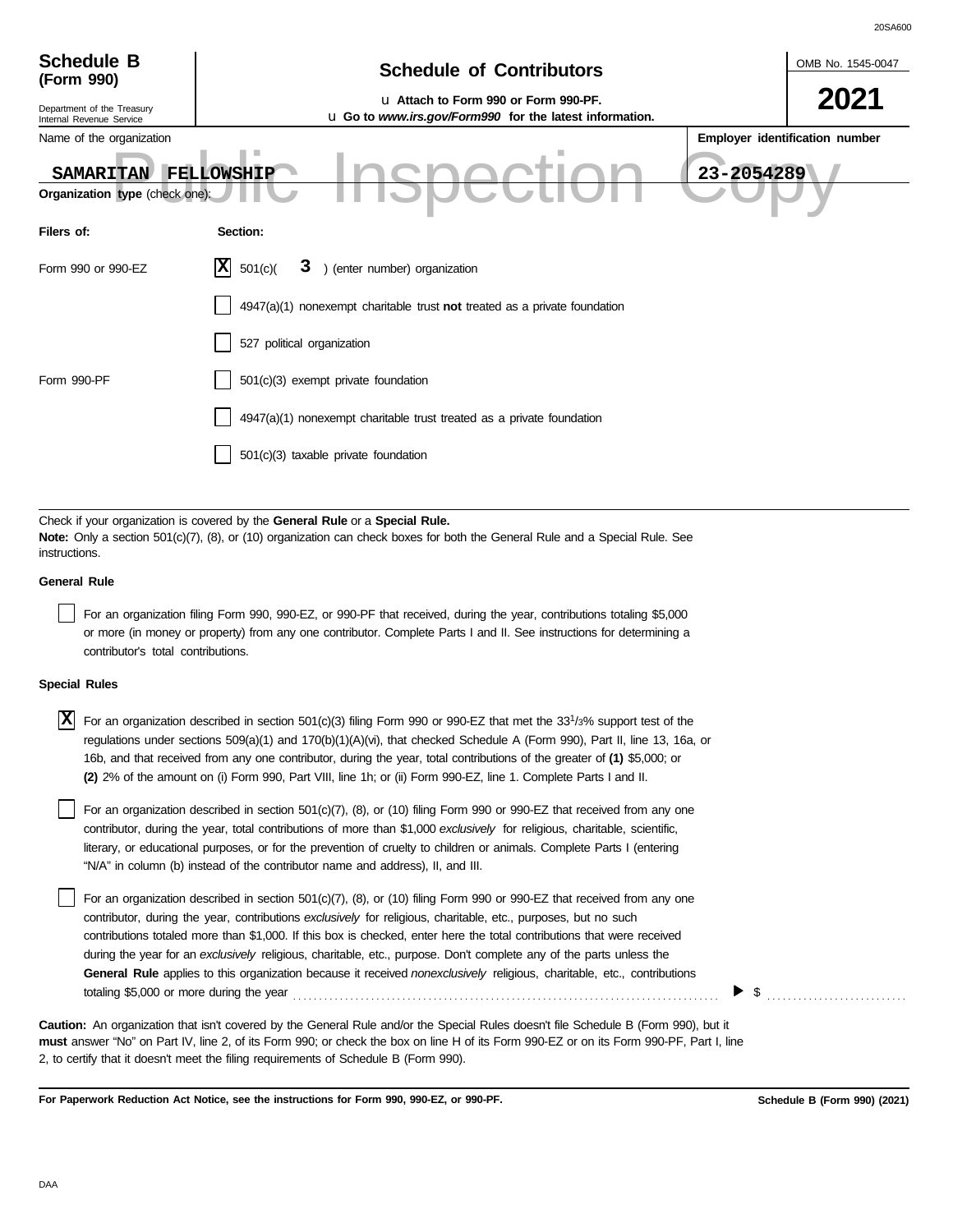| <b>Schedule B</b><br>(Form 990)                        | <b>Schedule of Contributors</b>                                                                         | OMB No. 1545-0047              |
|--------------------------------------------------------|---------------------------------------------------------------------------------------------------------|--------------------------------|
| Department of the Treasury<br>Internal Revenue Service | La Attach to Form 990 or Form 990-PF.<br><b>u</b> Go to www.irs.gov/Form990 for the latest information. | 2021                           |
| Name of the organization                               |                                                                                                         | Employer identification number |
| <b>SAMARITAN</b>                                       | FELLOWSHIP                                                                                              | 23-2054289                     |
| Organization type (check one):                         |                                                                                                         |                                |
| Filers of:                                             | Section:                                                                                                |                                |
| Form 990 or 990-EZ                                     | X <br>) (enter number) organization<br>501(c)<br>3                                                      |                                |
|                                                        | $4947(a)(1)$ nonexempt charitable trust not treated as a private foundation                             |                                |
|                                                        | 527 political organization                                                                              |                                |
| Form 990-PF                                            | 501(c)(3) exempt private foundation                                                                     |                                |
|                                                        | 4947(a)(1) nonexempt charitable trust treated as a private foundation                                   |                                |
|                                                        | 501(c)(3) taxable private foundation                                                                    |                                |
|                                                        |                                                                                                         |                                |

Check if your organization is covered by the **General Rule** or a **Special Rule. Note:** Only a section 501(c)(7), (8), or (10) organization can check boxes for both the General Rule and a Special Rule. See instructions.

### **General Rule**

For an organization filing Form 990, 990-EZ, or 990-PF that received, during the year, contributions totaling \$5,000 or more (in money or property) from any one contributor. Complete Parts I and II. See instructions for determining a contributor's total contributions.

### **Special Rules**

X For an organization described in section 501(c)(3) filing Form 990 or 990-EZ that met the 33<sup>1</sup>/3% support test of the regulations under sections 509(a)(1) and 170(b)(1)(A)(vi), that checked Schedule A (Form 990), Part II, line 13, 16a, or 16b, and that received from any one contributor, during the year, total contributions of the greater of **(1)** \$5,000; or **(2)** 2% of the amount on (i) Form 990, Part VIII, line 1h; or (ii) Form 990-EZ, line 1. Complete Parts I and II.

literary, or educational purposes, or for the prevention of cruelty to children or animals. Complete Parts I (entering For an organization described in section 501(c)(7), (8), or (10) filing Form 990 or 990-EZ that received from any one contributor, during the year, total contributions of more than \$1,000 *exclusively* for religious, charitable, scientific, "N/A" in column (b) instead of the contributor name and address), II, and III.

For an organization described in section 501(c)(7), (8), or (10) filing Form 990 or 990-EZ that received from any one contributor, during the year, contributions *exclusively* for religious, charitable, etc., purposes, but no such contributions totaled more than \$1,000. If this box is checked, enter here the total contributions that were received during the year for an *exclusively* religious, charitable, etc., purpose. Don't complete any of the parts unless the **General Rule** applies to this organization because it received *nonexclusively* religious, charitable, etc., contributions totaling \$5,000 or more during the year . . . . . . . . . . . . . . . . . . . . . . . . . . . . . . . . . . . . . . . . . . . . . . . . . . . . . . . . . . . . . . . . . . . . . . . . . . . . . . . . . .

**must** answer "No" on Part IV, line 2, of its Form 990; or check the box on line H of its Form 990-EZ or on its Form 990-PF, Part I, line 2, to certify that it doesn't meet the filing requirements of Schedule B (Form 990). **Caution:** An organization that isn't covered by the General Rule and/or the Special Rules doesn't file Schedule B (Form 990), but it

**For Paperwork Reduction Act Notice, see the instructions for Form 990, 990-EZ, or 990-PF.**

\$ . . . . . . . . . . . . . . . . . . . . . . . . . . .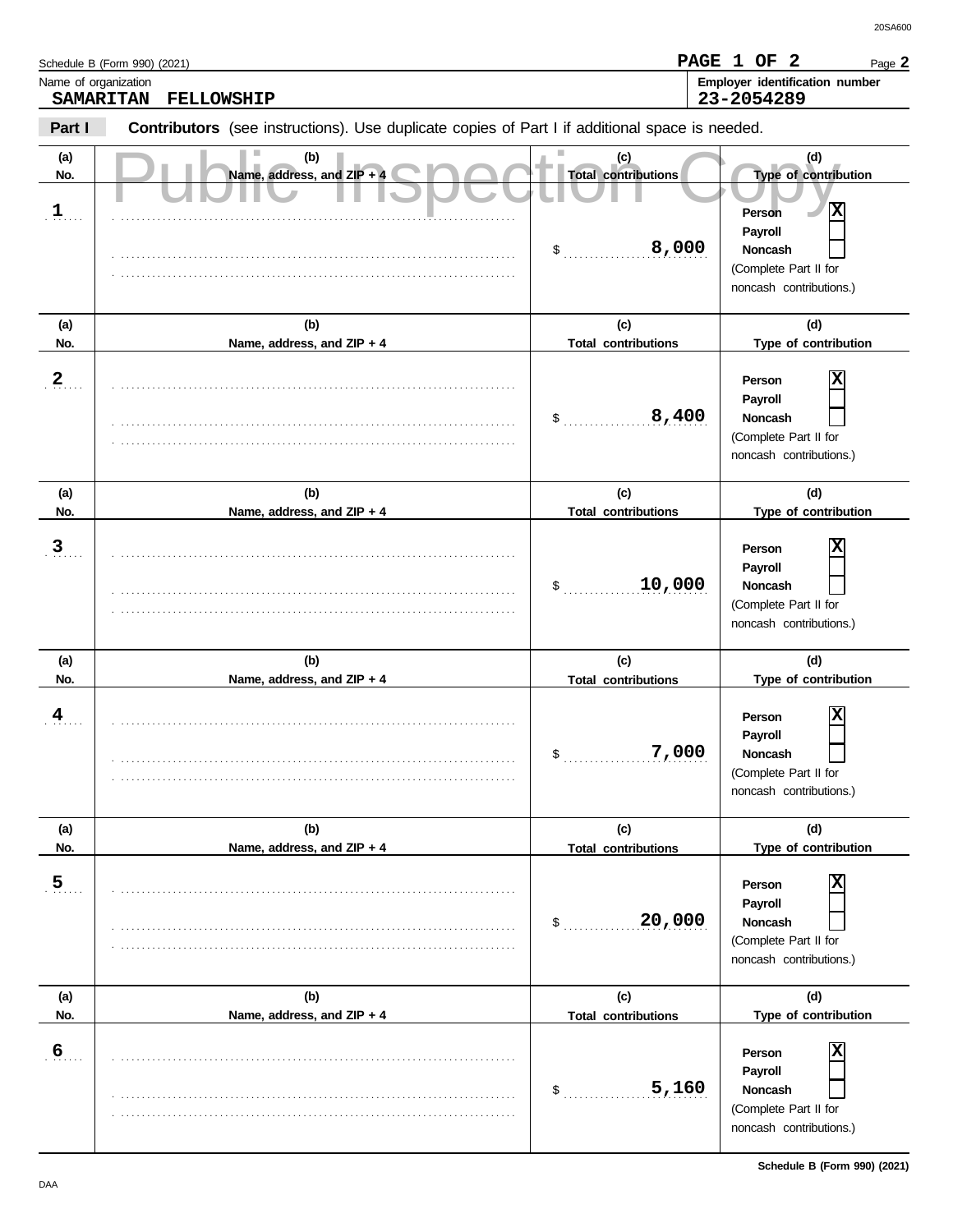|                             | Schedule B (Form 990) (2021)                                                                   |                                                  | PAGE 1 OF 2<br>Page 2                                                                                                             |
|-----------------------------|------------------------------------------------------------------------------------------------|--------------------------------------------------|-----------------------------------------------------------------------------------------------------------------------------------|
| Name of organization        | <b>SAMARITAN</b><br><b>FELLOWSHIP</b>                                                          |                                                  | Employer identification number<br>23-2054289                                                                                      |
| Part I                      | Contributors (see instructions). Use duplicate copies of Part I if additional space is needed. |                                                  |                                                                                                                                   |
| (a)<br>No.<br>$\frac{1}{2}$ | (b)<br>Name, address, and ZIP + 4                                                              | (c)<br><b>Total contributions</b><br>8,000<br>\$ | (d)<br>Type of contribution<br>$ \mathbf{x} $<br>Person<br>Payroll<br>Noncash<br>(Complete Part II for<br>noncash contributions.) |
| (a)                         | (b)                                                                                            | (c)                                              | (d)                                                                                                                               |
| No.                         | Name, address, and ZIP + 4                                                                     | <b>Total contributions</b>                       | Type of contribution                                                                                                              |
| $\frac{2}{1}$               |                                                                                                | 8,400<br>\$                                      | Person<br>Payroll<br><b>Noncash</b><br>(Complete Part II for<br>noncash contributions.)                                           |
| (a)                         | (b)                                                                                            | (c)                                              | (d)                                                                                                                               |
| No.                         | Name, address, and ZIP + 4                                                                     | <b>Total contributions</b>                       | Type of contribution                                                                                                              |
| $\overline{3}$              |                                                                                                | 10,000<br>\$                                     | Person<br>Payroll<br>Noncash<br>(Complete Part II for<br>noncash contributions.)                                                  |
| (a)                         | (b)                                                                                            | (c)                                              | (d)                                                                                                                               |
| No.                         | Name, address, and ZIP + 4                                                                     | <b>Total contributions</b>                       | Type of contribution                                                                                                              |
| 4                           |                                                                                                | 7,000<br>$P_{\ldots}$                            | x<br>Person<br>Payroll<br><b>Noncash</b><br>(Complete Part II for<br>noncash contributions.)                                      |
| (a)                         | (b)                                                                                            | (c)                                              | (d)                                                                                                                               |
| No.                         | Name, address, and ZIP + 4                                                                     | <b>Total contributions</b>                       | Type of contribution                                                                                                              |
| 5 <sub>1</sub>              |                                                                                                | 20,000<br>\$                                     | Person<br>Payroll<br><b>Noncash</b><br>(Complete Part II for<br>noncash contributions.)                                           |
| (a)                         | (b)                                                                                            | (c)                                              | (d)                                                                                                                               |
| No.                         | Name, address, and ZIP + 4                                                                     | <b>Total contributions</b>                       | Type of contribution                                                                                                              |
| $\overline{6}$              |                                                                                                | 5,160<br>\$                                      | Person<br>Payroll<br><b>Noncash</b><br>(Complete Part II for<br>noncash contributions.)                                           |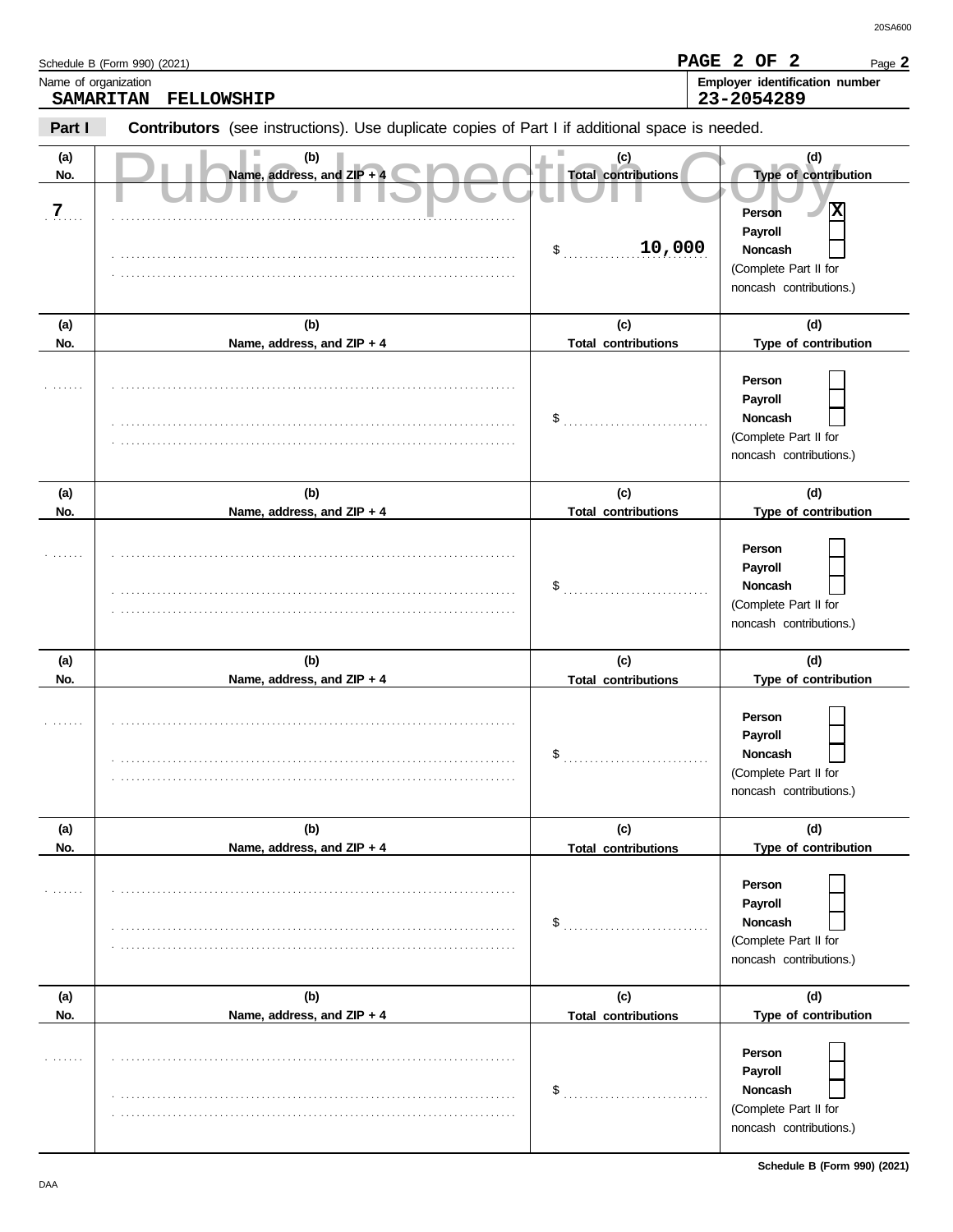|                              | Schedule B (Form 990) (2021)                                                                   |                                                   | PAGE 2 OF 2<br>Page 2                                                                                                |
|------------------------------|------------------------------------------------------------------------------------------------|---------------------------------------------------|----------------------------------------------------------------------------------------------------------------------|
| Name of organization         | <b>SAMARITAN</b><br>FELLOWSHIP                                                                 |                                                   | Employer identification number<br>23-2054289                                                                         |
| Part I                       | Contributors (see instructions). Use duplicate copies of Part I if additional space is needed. |                                                   |                                                                                                                      |
| (a)<br>No.<br>$\overline{7}$ | (b)<br>Name, address, and ZIP + 4                                                              | (c)<br><b>Total contributions</b><br>10,000<br>\$ | (d)<br>Type of contribution<br>x<br>Person<br>Payroll<br>Noncash<br>(Complete Part II for<br>noncash contributions.) |
| (a)                          | (b)                                                                                            | (c)                                               | (d)                                                                                                                  |
| No.                          | Name, address, and ZIP + 4                                                                     | <b>Total contributions</b>                        | Type of contribution                                                                                                 |
|                              |                                                                                                | \$                                                | Person<br>Payroll<br>Noncash<br>(Complete Part II for<br>noncash contributions.)                                     |
| (a)                          | (b)                                                                                            | (c)                                               | (d)                                                                                                                  |
| No.                          | Name, address, and ZIP + 4                                                                     | <b>Total contributions</b>                        | Type of contribution                                                                                                 |
|                              |                                                                                                | \$                                                | Person<br>Payroll<br>Noncash<br>(Complete Part II for<br>noncash contributions.)                                     |
| (a)                          | (b)                                                                                            | (c)                                               | (d)                                                                                                                  |
| No.                          | Name, address, and ZIP + 4                                                                     | <b>Total contributions</b>                        | Type of contribution                                                                                                 |
|                              |                                                                                                | \$                                                | Person<br>Payroll<br>Noncash<br><b>Contract</b><br>(Complete Part II for<br>noncash contributions.)                  |
| (a)                          | (b)                                                                                            | (c)                                               | (d)                                                                                                                  |
| No.                          | Name, address, and ZIP + 4                                                                     | <b>Total contributions</b>                        | Type of contribution                                                                                                 |
|                              |                                                                                                | \$                                                | Person<br>Payroll<br>Noncash<br>(Complete Part II for<br>noncash contributions.)                                     |
| (a)                          | (b)                                                                                            | (c)                                               | (d)                                                                                                                  |
| No.                          | Name, address, and ZIP + 4                                                                     | <b>Total contributions</b>                        | Type of contribution                                                                                                 |
|                              |                                                                                                | \$                                                | Person<br>Payroll<br>Noncash<br>(Complete Part II for<br>noncash contributions.)                                     |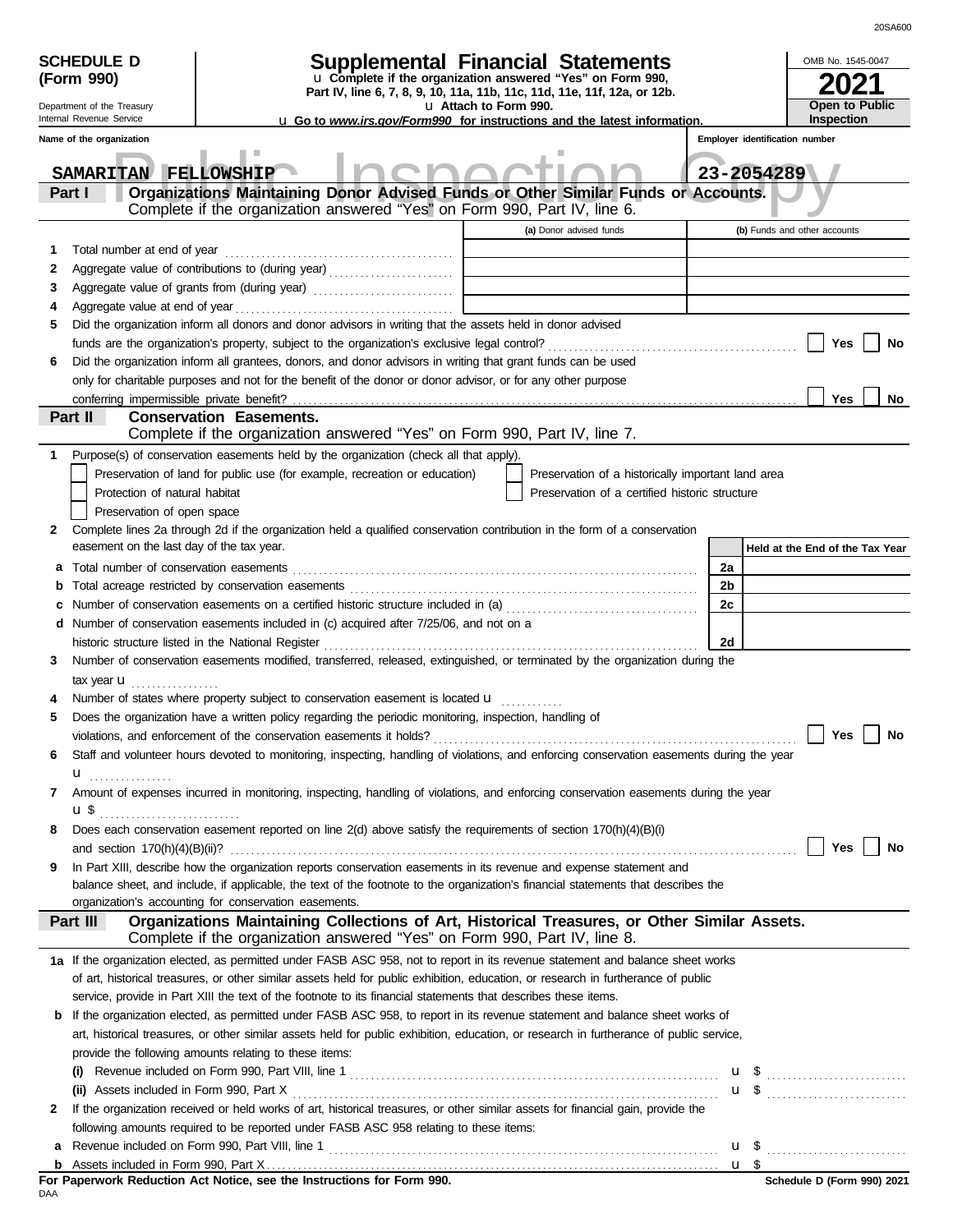| (Form 990)<br>u Complete if the organization answered "Yes" on Form 990,<br>Part IV, line 6, 7, 8, 9, 10, 11a, 11b, 11c, 11d, 11e, 11f, 12a, or 12b.<br>Open to Public<br>Department of the Treasury<br>u Attach to Form 990.<br>Inspection<br>Internal Revenue Service<br><b>u</b> Go to <i>www.irs.gov/Form990</i> for instructions and the latest information.<br>Employer identification number<br>Name of the organization<br>SAMARITAN FELLOWSHIP<br>23-2054289<br>Organizations Maintaining Donor Advised Funds or Other Similar Funds or Accounts.<br>Part I<br>Complete if the organization answered "Yes" on Form 990, Part IV, line 6.<br>(a) Donor advised funds<br>(b) Funds and other accounts<br>Total number at end of year<br>1<br>2<br>3<br>4<br>Did the organization inform all donors and donor advisors in writing that the assets held in donor advised<br>5<br>Yes<br>No<br>Did the organization inform all grantees, donors, and donor advisors in writing that grant funds can be used<br>6<br>only for charitable purposes and not for the benefit of the donor or donor advisor, or for any other purpose<br><b>Yes</b><br>conferring impermissible private benefit?<br>No<br>Part II<br><b>Conservation Easements.</b><br>Complete if the organization answered "Yes" on Form 990, Part IV, line 7.<br>Purpose(s) of conservation easements held by the organization (check all that apply).<br>Preservation of land for public use (for example, recreation or education)<br>Preservation of a historically important land area<br>Protection of natural habitat<br>Preservation of a certified historic structure<br>Preservation of open space<br>Complete lines 2a through 2d if the organization held a qualified conservation contribution in the form of a conservation<br>2<br>easement on the last day of the tax year.<br>Held at the End of the Tax Year<br>2a<br>а<br>2 <sub>b</sub><br>b<br>2c<br>Number of conservation easements included in (c) acquired after 7/25/06, and not on a<br>d<br>2d<br>historic structure listed in the National Register<br>Number of conservation easements modified, transferred, released, extinguished, or terminated by the organization during the<br>З<br>tax year <b>u</b><br>.<br>Number of states where property subject to conservation easement is located <b>u</b><br>4<br>Does the organization have a written policy regarding the periodic monitoring, inspection, handling of<br>5<br>Yes<br>Staff and volunteer hours devoted to monitoring, inspecting, handling of violations, and enforcing conservation easements during the year<br>6<br>$\mathbf{u}$<br>Amount of expenses incurred in monitoring, inspecting, handling of violations, and enforcing conservation easements during the year<br>7<br>ա \$<br>Does each conservation easement reported on line 2(d) above satisfy the requirements of section 170(h)(4)(B)(i)<br>8<br>Yes<br>In Part XIII, describe how the organization reports conservation easements in its revenue and expense statement and<br>9<br>balance sheet, and include, if applicable, the text of the footnote to the organization's financial statements that describes the<br>organization's accounting for conservation easements.<br>Organizations Maintaining Collections of Art, Historical Treasures, or Other Similar Assets.<br>Part III<br>Complete if the organization answered "Yes" on Form 990, Part IV, line 8.<br>1a If the organization elected, as permitted under FASB ASC 958, not to report in its revenue statement and balance sheet works<br>of art, historical treasures, or other similar assets held for public exhibition, education, or research in furtherance of public<br>service, provide in Part XIII the text of the footnote to its financial statements that describes these items.<br>If the organization elected, as permitted under FASB ASC 958, to report in its revenue statement and balance sheet works of<br>b<br>art, historical treasures, or other similar assets held for public exhibition, education, or research in furtherance of public service,<br>provide the following amounts relating to these items:<br>$\mathbf{u}$ \$<br>(ii) Assets included in Form 990, Part X<br>If the organization received or held works of art, historical treasures, or other similar assets for financial gain, provide the<br>2<br>following amounts required to be reported under FASB ASC 958 relating to these items: | <b>SCHEDULE D</b> | Supplemental Financial Statements |  |  | OMB No. 1545-0047 |
|-------------------------------------------------------------------------------------------------------------------------------------------------------------------------------------------------------------------------------------------------------------------------------------------------------------------------------------------------------------------------------------------------------------------------------------------------------------------------------------------------------------------------------------------------------------------------------------------------------------------------------------------------------------------------------------------------------------------------------------------------------------------------------------------------------------------------------------------------------------------------------------------------------------------------------------------------------------------------------------------------------------------------------------------------------------------------------------------------------------------------------------------------------------------------------------------------------------------------------------------------------------------------------------------------------------------------------------------------------------------------------------------------------------------------------------------------------------------------------------------------------------------------------------------------------------------------------------------------------------------------------------------------------------------------------------------------------------------------------------------------------------------------------------------------------------------------------------------------------------------------------------------------------------------------------------------------------------------------------------------------------------------------------------------------------------------------------------------------------------------------------------------------------------------------------------------------------------------------------------------------------------------------------------------------------------------------------------------------------------------------------------------------------------------------------------------------------------------------------------------------------------------------------------------------------------------------------------------------------------------------------------------------------------------------------------------------------------------------------------------------------------------------------------------------------------------------------------------------------------------------------------------------------------------------------------------------------------------------------------------------------------------------------------------------------------------------------------------------------------------------------------------------------------------------------------------------------------------------------------------------------------------------------------------------------------------------------------------------------------------------------------------------------------------------------------------------------------------------------------------------------------------------------------------------------------------------------------------------------------------------------------------------------------------------------------------------------------------------------------------------------------------------------------------------------------------------------------------------------------------------------------------------------------------------------------------------------------------------------------------------------------------------------------------------------------------------------------------------------------------------------------------------------------------------------------------------------------------------------------------------------------------------------------------------------------------------------------------------------------------------------------------------------------------------------------------------------------------------------------------------|-------------------|-----------------------------------|--|--|-------------------|
|                                                                                                                                                                                                                                                                                                                                                                                                                                                                                                                                                                                                                                                                                                                                                                                                                                                                                                                                                                                                                                                                                                                                                                                                                                                                                                                                                                                                                                                                                                                                                                                                                                                                                                                                                                                                                                                                                                                                                                                                                                                                                                                                                                                                                                                                                                                                                                                                                                                                                                                                                                                                                                                                                                                                                                                                                                                                                                                                                                                                                                                                                                                                                                                                                                                                                                                                                                                                                                                                                                                                                                                                                                                                                                                                                                                                                                                                                                                                                                                                                                                                                                                                                                                                                                                                                                                                                                                                                                                                                                 |                   |                                   |  |  |                   |
|                                                                                                                                                                                                                                                                                                                                                                                                                                                                                                                                                                                                                                                                                                                                                                                                                                                                                                                                                                                                                                                                                                                                                                                                                                                                                                                                                                                                                                                                                                                                                                                                                                                                                                                                                                                                                                                                                                                                                                                                                                                                                                                                                                                                                                                                                                                                                                                                                                                                                                                                                                                                                                                                                                                                                                                                                                                                                                                                                                                                                                                                                                                                                                                                                                                                                                                                                                                                                                                                                                                                                                                                                                                                                                                                                                                                                                                                                                                                                                                                                                                                                                                                                                                                                                                                                                                                                                                                                                                                                                 |                   |                                   |  |  |                   |
|                                                                                                                                                                                                                                                                                                                                                                                                                                                                                                                                                                                                                                                                                                                                                                                                                                                                                                                                                                                                                                                                                                                                                                                                                                                                                                                                                                                                                                                                                                                                                                                                                                                                                                                                                                                                                                                                                                                                                                                                                                                                                                                                                                                                                                                                                                                                                                                                                                                                                                                                                                                                                                                                                                                                                                                                                                                                                                                                                                                                                                                                                                                                                                                                                                                                                                                                                                                                                                                                                                                                                                                                                                                                                                                                                                                                                                                                                                                                                                                                                                                                                                                                                                                                                                                                                                                                                                                                                                                                                                 |                   |                                   |  |  |                   |
|                                                                                                                                                                                                                                                                                                                                                                                                                                                                                                                                                                                                                                                                                                                                                                                                                                                                                                                                                                                                                                                                                                                                                                                                                                                                                                                                                                                                                                                                                                                                                                                                                                                                                                                                                                                                                                                                                                                                                                                                                                                                                                                                                                                                                                                                                                                                                                                                                                                                                                                                                                                                                                                                                                                                                                                                                                                                                                                                                                                                                                                                                                                                                                                                                                                                                                                                                                                                                                                                                                                                                                                                                                                                                                                                                                                                                                                                                                                                                                                                                                                                                                                                                                                                                                                                                                                                                                                                                                                                                                 |                   |                                   |  |  |                   |
|                                                                                                                                                                                                                                                                                                                                                                                                                                                                                                                                                                                                                                                                                                                                                                                                                                                                                                                                                                                                                                                                                                                                                                                                                                                                                                                                                                                                                                                                                                                                                                                                                                                                                                                                                                                                                                                                                                                                                                                                                                                                                                                                                                                                                                                                                                                                                                                                                                                                                                                                                                                                                                                                                                                                                                                                                                                                                                                                                                                                                                                                                                                                                                                                                                                                                                                                                                                                                                                                                                                                                                                                                                                                                                                                                                                                                                                                                                                                                                                                                                                                                                                                                                                                                                                                                                                                                                                                                                                                                                 |                   |                                   |  |  |                   |
|                                                                                                                                                                                                                                                                                                                                                                                                                                                                                                                                                                                                                                                                                                                                                                                                                                                                                                                                                                                                                                                                                                                                                                                                                                                                                                                                                                                                                                                                                                                                                                                                                                                                                                                                                                                                                                                                                                                                                                                                                                                                                                                                                                                                                                                                                                                                                                                                                                                                                                                                                                                                                                                                                                                                                                                                                                                                                                                                                                                                                                                                                                                                                                                                                                                                                                                                                                                                                                                                                                                                                                                                                                                                                                                                                                                                                                                                                                                                                                                                                                                                                                                                                                                                                                                                                                                                                                                                                                                                                                 |                   |                                   |  |  |                   |
|                                                                                                                                                                                                                                                                                                                                                                                                                                                                                                                                                                                                                                                                                                                                                                                                                                                                                                                                                                                                                                                                                                                                                                                                                                                                                                                                                                                                                                                                                                                                                                                                                                                                                                                                                                                                                                                                                                                                                                                                                                                                                                                                                                                                                                                                                                                                                                                                                                                                                                                                                                                                                                                                                                                                                                                                                                                                                                                                                                                                                                                                                                                                                                                                                                                                                                                                                                                                                                                                                                                                                                                                                                                                                                                                                                                                                                                                                                                                                                                                                                                                                                                                                                                                                                                                                                                                                                                                                                                                                                 |                   |                                   |  |  |                   |
|                                                                                                                                                                                                                                                                                                                                                                                                                                                                                                                                                                                                                                                                                                                                                                                                                                                                                                                                                                                                                                                                                                                                                                                                                                                                                                                                                                                                                                                                                                                                                                                                                                                                                                                                                                                                                                                                                                                                                                                                                                                                                                                                                                                                                                                                                                                                                                                                                                                                                                                                                                                                                                                                                                                                                                                                                                                                                                                                                                                                                                                                                                                                                                                                                                                                                                                                                                                                                                                                                                                                                                                                                                                                                                                                                                                                                                                                                                                                                                                                                                                                                                                                                                                                                                                                                                                                                                                                                                                                                                 |                   |                                   |  |  |                   |
|                                                                                                                                                                                                                                                                                                                                                                                                                                                                                                                                                                                                                                                                                                                                                                                                                                                                                                                                                                                                                                                                                                                                                                                                                                                                                                                                                                                                                                                                                                                                                                                                                                                                                                                                                                                                                                                                                                                                                                                                                                                                                                                                                                                                                                                                                                                                                                                                                                                                                                                                                                                                                                                                                                                                                                                                                                                                                                                                                                                                                                                                                                                                                                                                                                                                                                                                                                                                                                                                                                                                                                                                                                                                                                                                                                                                                                                                                                                                                                                                                                                                                                                                                                                                                                                                                                                                                                                                                                                                                                 |                   |                                   |  |  |                   |
|                                                                                                                                                                                                                                                                                                                                                                                                                                                                                                                                                                                                                                                                                                                                                                                                                                                                                                                                                                                                                                                                                                                                                                                                                                                                                                                                                                                                                                                                                                                                                                                                                                                                                                                                                                                                                                                                                                                                                                                                                                                                                                                                                                                                                                                                                                                                                                                                                                                                                                                                                                                                                                                                                                                                                                                                                                                                                                                                                                                                                                                                                                                                                                                                                                                                                                                                                                                                                                                                                                                                                                                                                                                                                                                                                                                                                                                                                                                                                                                                                                                                                                                                                                                                                                                                                                                                                                                                                                                                                                 |                   |                                   |  |  |                   |
|                                                                                                                                                                                                                                                                                                                                                                                                                                                                                                                                                                                                                                                                                                                                                                                                                                                                                                                                                                                                                                                                                                                                                                                                                                                                                                                                                                                                                                                                                                                                                                                                                                                                                                                                                                                                                                                                                                                                                                                                                                                                                                                                                                                                                                                                                                                                                                                                                                                                                                                                                                                                                                                                                                                                                                                                                                                                                                                                                                                                                                                                                                                                                                                                                                                                                                                                                                                                                                                                                                                                                                                                                                                                                                                                                                                                                                                                                                                                                                                                                                                                                                                                                                                                                                                                                                                                                                                                                                                                                                 |                   |                                   |  |  |                   |
|                                                                                                                                                                                                                                                                                                                                                                                                                                                                                                                                                                                                                                                                                                                                                                                                                                                                                                                                                                                                                                                                                                                                                                                                                                                                                                                                                                                                                                                                                                                                                                                                                                                                                                                                                                                                                                                                                                                                                                                                                                                                                                                                                                                                                                                                                                                                                                                                                                                                                                                                                                                                                                                                                                                                                                                                                                                                                                                                                                                                                                                                                                                                                                                                                                                                                                                                                                                                                                                                                                                                                                                                                                                                                                                                                                                                                                                                                                                                                                                                                                                                                                                                                                                                                                                                                                                                                                                                                                                                                                 |                   |                                   |  |  |                   |
|                                                                                                                                                                                                                                                                                                                                                                                                                                                                                                                                                                                                                                                                                                                                                                                                                                                                                                                                                                                                                                                                                                                                                                                                                                                                                                                                                                                                                                                                                                                                                                                                                                                                                                                                                                                                                                                                                                                                                                                                                                                                                                                                                                                                                                                                                                                                                                                                                                                                                                                                                                                                                                                                                                                                                                                                                                                                                                                                                                                                                                                                                                                                                                                                                                                                                                                                                                                                                                                                                                                                                                                                                                                                                                                                                                                                                                                                                                                                                                                                                                                                                                                                                                                                                                                                                                                                                                                                                                                                                                 |                   |                                   |  |  |                   |
|                                                                                                                                                                                                                                                                                                                                                                                                                                                                                                                                                                                                                                                                                                                                                                                                                                                                                                                                                                                                                                                                                                                                                                                                                                                                                                                                                                                                                                                                                                                                                                                                                                                                                                                                                                                                                                                                                                                                                                                                                                                                                                                                                                                                                                                                                                                                                                                                                                                                                                                                                                                                                                                                                                                                                                                                                                                                                                                                                                                                                                                                                                                                                                                                                                                                                                                                                                                                                                                                                                                                                                                                                                                                                                                                                                                                                                                                                                                                                                                                                                                                                                                                                                                                                                                                                                                                                                                                                                                                                                 |                   |                                   |  |  |                   |
|                                                                                                                                                                                                                                                                                                                                                                                                                                                                                                                                                                                                                                                                                                                                                                                                                                                                                                                                                                                                                                                                                                                                                                                                                                                                                                                                                                                                                                                                                                                                                                                                                                                                                                                                                                                                                                                                                                                                                                                                                                                                                                                                                                                                                                                                                                                                                                                                                                                                                                                                                                                                                                                                                                                                                                                                                                                                                                                                                                                                                                                                                                                                                                                                                                                                                                                                                                                                                                                                                                                                                                                                                                                                                                                                                                                                                                                                                                                                                                                                                                                                                                                                                                                                                                                                                                                                                                                                                                                                                                 |                   |                                   |  |  |                   |
|                                                                                                                                                                                                                                                                                                                                                                                                                                                                                                                                                                                                                                                                                                                                                                                                                                                                                                                                                                                                                                                                                                                                                                                                                                                                                                                                                                                                                                                                                                                                                                                                                                                                                                                                                                                                                                                                                                                                                                                                                                                                                                                                                                                                                                                                                                                                                                                                                                                                                                                                                                                                                                                                                                                                                                                                                                                                                                                                                                                                                                                                                                                                                                                                                                                                                                                                                                                                                                                                                                                                                                                                                                                                                                                                                                                                                                                                                                                                                                                                                                                                                                                                                                                                                                                                                                                                                                                                                                                                                                 |                   |                                   |  |  |                   |
|                                                                                                                                                                                                                                                                                                                                                                                                                                                                                                                                                                                                                                                                                                                                                                                                                                                                                                                                                                                                                                                                                                                                                                                                                                                                                                                                                                                                                                                                                                                                                                                                                                                                                                                                                                                                                                                                                                                                                                                                                                                                                                                                                                                                                                                                                                                                                                                                                                                                                                                                                                                                                                                                                                                                                                                                                                                                                                                                                                                                                                                                                                                                                                                                                                                                                                                                                                                                                                                                                                                                                                                                                                                                                                                                                                                                                                                                                                                                                                                                                                                                                                                                                                                                                                                                                                                                                                                                                                                                                                 |                   |                                   |  |  |                   |
|                                                                                                                                                                                                                                                                                                                                                                                                                                                                                                                                                                                                                                                                                                                                                                                                                                                                                                                                                                                                                                                                                                                                                                                                                                                                                                                                                                                                                                                                                                                                                                                                                                                                                                                                                                                                                                                                                                                                                                                                                                                                                                                                                                                                                                                                                                                                                                                                                                                                                                                                                                                                                                                                                                                                                                                                                                                                                                                                                                                                                                                                                                                                                                                                                                                                                                                                                                                                                                                                                                                                                                                                                                                                                                                                                                                                                                                                                                                                                                                                                                                                                                                                                                                                                                                                                                                                                                                                                                                                                                 |                   |                                   |  |  |                   |
|                                                                                                                                                                                                                                                                                                                                                                                                                                                                                                                                                                                                                                                                                                                                                                                                                                                                                                                                                                                                                                                                                                                                                                                                                                                                                                                                                                                                                                                                                                                                                                                                                                                                                                                                                                                                                                                                                                                                                                                                                                                                                                                                                                                                                                                                                                                                                                                                                                                                                                                                                                                                                                                                                                                                                                                                                                                                                                                                                                                                                                                                                                                                                                                                                                                                                                                                                                                                                                                                                                                                                                                                                                                                                                                                                                                                                                                                                                                                                                                                                                                                                                                                                                                                                                                                                                                                                                                                                                                                                                 |                   |                                   |  |  |                   |
|                                                                                                                                                                                                                                                                                                                                                                                                                                                                                                                                                                                                                                                                                                                                                                                                                                                                                                                                                                                                                                                                                                                                                                                                                                                                                                                                                                                                                                                                                                                                                                                                                                                                                                                                                                                                                                                                                                                                                                                                                                                                                                                                                                                                                                                                                                                                                                                                                                                                                                                                                                                                                                                                                                                                                                                                                                                                                                                                                                                                                                                                                                                                                                                                                                                                                                                                                                                                                                                                                                                                                                                                                                                                                                                                                                                                                                                                                                                                                                                                                                                                                                                                                                                                                                                                                                                                                                                                                                                                                                 |                   |                                   |  |  |                   |
|                                                                                                                                                                                                                                                                                                                                                                                                                                                                                                                                                                                                                                                                                                                                                                                                                                                                                                                                                                                                                                                                                                                                                                                                                                                                                                                                                                                                                                                                                                                                                                                                                                                                                                                                                                                                                                                                                                                                                                                                                                                                                                                                                                                                                                                                                                                                                                                                                                                                                                                                                                                                                                                                                                                                                                                                                                                                                                                                                                                                                                                                                                                                                                                                                                                                                                                                                                                                                                                                                                                                                                                                                                                                                                                                                                                                                                                                                                                                                                                                                                                                                                                                                                                                                                                                                                                                                                                                                                                                                                 |                   |                                   |  |  |                   |
|                                                                                                                                                                                                                                                                                                                                                                                                                                                                                                                                                                                                                                                                                                                                                                                                                                                                                                                                                                                                                                                                                                                                                                                                                                                                                                                                                                                                                                                                                                                                                                                                                                                                                                                                                                                                                                                                                                                                                                                                                                                                                                                                                                                                                                                                                                                                                                                                                                                                                                                                                                                                                                                                                                                                                                                                                                                                                                                                                                                                                                                                                                                                                                                                                                                                                                                                                                                                                                                                                                                                                                                                                                                                                                                                                                                                                                                                                                                                                                                                                                                                                                                                                                                                                                                                                                                                                                                                                                                                                                 |                   |                                   |  |  |                   |
|                                                                                                                                                                                                                                                                                                                                                                                                                                                                                                                                                                                                                                                                                                                                                                                                                                                                                                                                                                                                                                                                                                                                                                                                                                                                                                                                                                                                                                                                                                                                                                                                                                                                                                                                                                                                                                                                                                                                                                                                                                                                                                                                                                                                                                                                                                                                                                                                                                                                                                                                                                                                                                                                                                                                                                                                                                                                                                                                                                                                                                                                                                                                                                                                                                                                                                                                                                                                                                                                                                                                                                                                                                                                                                                                                                                                                                                                                                                                                                                                                                                                                                                                                                                                                                                                                                                                                                                                                                                                                                 |                   |                                   |  |  |                   |
|                                                                                                                                                                                                                                                                                                                                                                                                                                                                                                                                                                                                                                                                                                                                                                                                                                                                                                                                                                                                                                                                                                                                                                                                                                                                                                                                                                                                                                                                                                                                                                                                                                                                                                                                                                                                                                                                                                                                                                                                                                                                                                                                                                                                                                                                                                                                                                                                                                                                                                                                                                                                                                                                                                                                                                                                                                                                                                                                                                                                                                                                                                                                                                                                                                                                                                                                                                                                                                                                                                                                                                                                                                                                                                                                                                                                                                                                                                                                                                                                                                                                                                                                                                                                                                                                                                                                                                                                                                                                                                 |                   |                                   |  |  |                   |
|                                                                                                                                                                                                                                                                                                                                                                                                                                                                                                                                                                                                                                                                                                                                                                                                                                                                                                                                                                                                                                                                                                                                                                                                                                                                                                                                                                                                                                                                                                                                                                                                                                                                                                                                                                                                                                                                                                                                                                                                                                                                                                                                                                                                                                                                                                                                                                                                                                                                                                                                                                                                                                                                                                                                                                                                                                                                                                                                                                                                                                                                                                                                                                                                                                                                                                                                                                                                                                                                                                                                                                                                                                                                                                                                                                                                                                                                                                                                                                                                                                                                                                                                                                                                                                                                                                                                                                                                                                                                                                 |                   |                                   |  |  |                   |
|                                                                                                                                                                                                                                                                                                                                                                                                                                                                                                                                                                                                                                                                                                                                                                                                                                                                                                                                                                                                                                                                                                                                                                                                                                                                                                                                                                                                                                                                                                                                                                                                                                                                                                                                                                                                                                                                                                                                                                                                                                                                                                                                                                                                                                                                                                                                                                                                                                                                                                                                                                                                                                                                                                                                                                                                                                                                                                                                                                                                                                                                                                                                                                                                                                                                                                                                                                                                                                                                                                                                                                                                                                                                                                                                                                                                                                                                                                                                                                                                                                                                                                                                                                                                                                                                                                                                                                                                                                                                                                 |                   |                                   |  |  |                   |
|                                                                                                                                                                                                                                                                                                                                                                                                                                                                                                                                                                                                                                                                                                                                                                                                                                                                                                                                                                                                                                                                                                                                                                                                                                                                                                                                                                                                                                                                                                                                                                                                                                                                                                                                                                                                                                                                                                                                                                                                                                                                                                                                                                                                                                                                                                                                                                                                                                                                                                                                                                                                                                                                                                                                                                                                                                                                                                                                                                                                                                                                                                                                                                                                                                                                                                                                                                                                                                                                                                                                                                                                                                                                                                                                                                                                                                                                                                                                                                                                                                                                                                                                                                                                                                                                                                                                                                                                                                                                                                 |                   |                                   |  |  |                   |
|                                                                                                                                                                                                                                                                                                                                                                                                                                                                                                                                                                                                                                                                                                                                                                                                                                                                                                                                                                                                                                                                                                                                                                                                                                                                                                                                                                                                                                                                                                                                                                                                                                                                                                                                                                                                                                                                                                                                                                                                                                                                                                                                                                                                                                                                                                                                                                                                                                                                                                                                                                                                                                                                                                                                                                                                                                                                                                                                                                                                                                                                                                                                                                                                                                                                                                                                                                                                                                                                                                                                                                                                                                                                                                                                                                                                                                                                                                                                                                                                                                                                                                                                                                                                                                                                                                                                                                                                                                                                                                 |                   |                                   |  |  |                   |
|                                                                                                                                                                                                                                                                                                                                                                                                                                                                                                                                                                                                                                                                                                                                                                                                                                                                                                                                                                                                                                                                                                                                                                                                                                                                                                                                                                                                                                                                                                                                                                                                                                                                                                                                                                                                                                                                                                                                                                                                                                                                                                                                                                                                                                                                                                                                                                                                                                                                                                                                                                                                                                                                                                                                                                                                                                                                                                                                                                                                                                                                                                                                                                                                                                                                                                                                                                                                                                                                                                                                                                                                                                                                                                                                                                                                                                                                                                                                                                                                                                                                                                                                                                                                                                                                                                                                                                                                                                                                                                 |                   |                                   |  |  |                   |
|                                                                                                                                                                                                                                                                                                                                                                                                                                                                                                                                                                                                                                                                                                                                                                                                                                                                                                                                                                                                                                                                                                                                                                                                                                                                                                                                                                                                                                                                                                                                                                                                                                                                                                                                                                                                                                                                                                                                                                                                                                                                                                                                                                                                                                                                                                                                                                                                                                                                                                                                                                                                                                                                                                                                                                                                                                                                                                                                                                                                                                                                                                                                                                                                                                                                                                                                                                                                                                                                                                                                                                                                                                                                                                                                                                                                                                                                                                                                                                                                                                                                                                                                                                                                                                                                                                                                                                                                                                                                                                 |                   |                                   |  |  |                   |
|                                                                                                                                                                                                                                                                                                                                                                                                                                                                                                                                                                                                                                                                                                                                                                                                                                                                                                                                                                                                                                                                                                                                                                                                                                                                                                                                                                                                                                                                                                                                                                                                                                                                                                                                                                                                                                                                                                                                                                                                                                                                                                                                                                                                                                                                                                                                                                                                                                                                                                                                                                                                                                                                                                                                                                                                                                                                                                                                                                                                                                                                                                                                                                                                                                                                                                                                                                                                                                                                                                                                                                                                                                                                                                                                                                                                                                                                                                                                                                                                                                                                                                                                                                                                                                                                                                                                                                                                                                                                                                 |                   |                                   |  |  |                   |
|                                                                                                                                                                                                                                                                                                                                                                                                                                                                                                                                                                                                                                                                                                                                                                                                                                                                                                                                                                                                                                                                                                                                                                                                                                                                                                                                                                                                                                                                                                                                                                                                                                                                                                                                                                                                                                                                                                                                                                                                                                                                                                                                                                                                                                                                                                                                                                                                                                                                                                                                                                                                                                                                                                                                                                                                                                                                                                                                                                                                                                                                                                                                                                                                                                                                                                                                                                                                                                                                                                                                                                                                                                                                                                                                                                                                                                                                                                                                                                                                                                                                                                                                                                                                                                                                                                                                                                                                                                                                                                 |                   |                                   |  |  |                   |
|                                                                                                                                                                                                                                                                                                                                                                                                                                                                                                                                                                                                                                                                                                                                                                                                                                                                                                                                                                                                                                                                                                                                                                                                                                                                                                                                                                                                                                                                                                                                                                                                                                                                                                                                                                                                                                                                                                                                                                                                                                                                                                                                                                                                                                                                                                                                                                                                                                                                                                                                                                                                                                                                                                                                                                                                                                                                                                                                                                                                                                                                                                                                                                                                                                                                                                                                                                                                                                                                                                                                                                                                                                                                                                                                                                                                                                                                                                                                                                                                                                                                                                                                                                                                                                                                                                                                                                                                                                                                                                 |                   |                                   |  |  |                   |
|                                                                                                                                                                                                                                                                                                                                                                                                                                                                                                                                                                                                                                                                                                                                                                                                                                                                                                                                                                                                                                                                                                                                                                                                                                                                                                                                                                                                                                                                                                                                                                                                                                                                                                                                                                                                                                                                                                                                                                                                                                                                                                                                                                                                                                                                                                                                                                                                                                                                                                                                                                                                                                                                                                                                                                                                                                                                                                                                                                                                                                                                                                                                                                                                                                                                                                                                                                                                                                                                                                                                                                                                                                                                                                                                                                                                                                                                                                                                                                                                                                                                                                                                                                                                                                                                                                                                                                                                                                                                                                 |                   |                                   |  |  |                   |
|                                                                                                                                                                                                                                                                                                                                                                                                                                                                                                                                                                                                                                                                                                                                                                                                                                                                                                                                                                                                                                                                                                                                                                                                                                                                                                                                                                                                                                                                                                                                                                                                                                                                                                                                                                                                                                                                                                                                                                                                                                                                                                                                                                                                                                                                                                                                                                                                                                                                                                                                                                                                                                                                                                                                                                                                                                                                                                                                                                                                                                                                                                                                                                                                                                                                                                                                                                                                                                                                                                                                                                                                                                                                                                                                                                                                                                                                                                                                                                                                                                                                                                                                                                                                                                                                                                                                                                                                                                                                                                 |                   |                                   |  |  | No                |
|                                                                                                                                                                                                                                                                                                                                                                                                                                                                                                                                                                                                                                                                                                                                                                                                                                                                                                                                                                                                                                                                                                                                                                                                                                                                                                                                                                                                                                                                                                                                                                                                                                                                                                                                                                                                                                                                                                                                                                                                                                                                                                                                                                                                                                                                                                                                                                                                                                                                                                                                                                                                                                                                                                                                                                                                                                                                                                                                                                                                                                                                                                                                                                                                                                                                                                                                                                                                                                                                                                                                                                                                                                                                                                                                                                                                                                                                                                                                                                                                                                                                                                                                                                                                                                                                                                                                                                                                                                                                                                 |                   |                                   |  |  |                   |
|                                                                                                                                                                                                                                                                                                                                                                                                                                                                                                                                                                                                                                                                                                                                                                                                                                                                                                                                                                                                                                                                                                                                                                                                                                                                                                                                                                                                                                                                                                                                                                                                                                                                                                                                                                                                                                                                                                                                                                                                                                                                                                                                                                                                                                                                                                                                                                                                                                                                                                                                                                                                                                                                                                                                                                                                                                                                                                                                                                                                                                                                                                                                                                                                                                                                                                                                                                                                                                                                                                                                                                                                                                                                                                                                                                                                                                                                                                                                                                                                                                                                                                                                                                                                                                                                                                                                                                                                                                                                                                 |                   |                                   |  |  |                   |
|                                                                                                                                                                                                                                                                                                                                                                                                                                                                                                                                                                                                                                                                                                                                                                                                                                                                                                                                                                                                                                                                                                                                                                                                                                                                                                                                                                                                                                                                                                                                                                                                                                                                                                                                                                                                                                                                                                                                                                                                                                                                                                                                                                                                                                                                                                                                                                                                                                                                                                                                                                                                                                                                                                                                                                                                                                                                                                                                                                                                                                                                                                                                                                                                                                                                                                                                                                                                                                                                                                                                                                                                                                                                                                                                                                                                                                                                                                                                                                                                                                                                                                                                                                                                                                                                                                                                                                                                                                                                                                 |                   |                                   |  |  |                   |
|                                                                                                                                                                                                                                                                                                                                                                                                                                                                                                                                                                                                                                                                                                                                                                                                                                                                                                                                                                                                                                                                                                                                                                                                                                                                                                                                                                                                                                                                                                                                                                                                                                                                                                                                                                                                                                                                                                                                                                                                                                                                                                                                                                                                                                                                                                                                                                                                                                                                                                                                                                                                                                                                                                                                                                                                                                                                                                                                                                                                                                                                                                                                                                                                                                                                                                                                                                                                                                                                                                                                                                                                                                                                                                                                                                                                                                                                                                                                                                                                                                                                                                                                                                                                                                                                                                                                                                                                                                                                                                 |                   |                                   |  |  |                   |
|                                                                                                                                                                                                                                                                                                                                                                                                                                                                                                                                                                                                                                                                                                                                                                                                                                                                                                                                                                                                                                                                                                                                                                                                                                                                                                                                                                                                                                                                                                                                                                                                                                                                                                                                                                                                                                                                                                                                                                                                                                                                                                                                                                                                                                                                                                                                                                                                                                                                                                                                                                                                                                                                                                                                                                                                                                                                                                                                                                                                                                                                                                                                                                                                                                                                                                                                                                                                                                                                                                                                                                                                                                                                                                                                                                                                                                                                                                                                                                                                                                                                                                                                                                                                                                                                                                                                                                                                                                                                                                 |                   |                                   |  |  |                   |
|                                                                                                                                                                                                                                                                                                                                                                                                                                                                                                                                                                                                                                                                                                                                                                                                                                                                                                                                                                                                                                                                                                                                                                                                                                                                                                                                                                                                                                                                                                                                                                                                                                                                                                                                                                                                                                                                                                                                                                                                                                                                                                                                                                                                                                                                                                                                                                                                                                                                                                                                                                                                                                                                                                                                                                                                                                                                                                                                                                                                                                                                                                                                                                                                                                                                                                                                                                                                                                                                                                                                                                                                                                                                                                                                                                                                                                                                                                                                                                                                                                                                                                                                                                                                                                                                                                                                                                                                                                                                                                 |                   |                                   |  |  | No                |
|                                                                                                                                                                                                                                                                                                                                                                                                                                                                                                                                                                                                                                                                                                                                                                                                                                                                                                                                                                                                                                                                                                                                                                                                                                                                                                                                                                                                                                                                                                                                                                                                                                                                                                                                                                                                                                                                                                                                                                                                                                                                                                                                                                                                                                                                                                                                                                                                                                                                                                                                                                                                                                                                                                                                                                                                                                                                                                                                                                                                                                                                                                                                                                                                                                                                                                                                                                                                                                                                                                                                                                                                                                                                                                                                                                                                                                                                                                                                                                                                                                                                                                                                                                                                                                                                                                                                                                                                                                                                                                 |                   |                                   |  |  |                   |
|                                                                                                                                                                                                                                                                                                                                                                                                                                                                                                                                                                                                                                                                                                                                                                                                                                                                                                                                                                                                                                                                                                                                                                                                                                                                                                                                                                                                                                                                                                                                                                                                                                                                                                                                                                                                                                                                                                                                                                                                                                                                                                                                                                                                                                                                                                                                                                                                                                                                                                                                                                                                                                                                                                                                                                                                                                                                                                                                                                                                                                                                                                                                                                                                                                                                                                                                                                                                                                                                                                                                                                                                                                                                                                                                                                                                                                                                                                                                                                                                                                                                                                                                                                                                                                                                                                                                                                                                                                                                                                 |                   |                                   |  |  |                   |
|                                                                                                                                                                                                                                                                                                                                                                                                                                                                                                                                                                                                                                                                                                                                                                                                                                                                                                                                                                                                                                                                                                                                                                                                                                                                                                                                                                                                                                                                                                                                                                                                                                                                                                                                                                                                                                                                                                                                                                                                                                                                                                                                                                                                                                                                                                                                                                                                                                                                                                                                                                                                                                                                                                                                                                                                                                                                                                                                                                                                                                                                                                                                                                                                                                                                                                                                                                                                                                                                                                                                                                                                                                                                                                                                                                                                                                                                                                                                                                                                                                                                                                                                                                                                                                                                                                                                                                                                                                                                                                 |                   |                                   |  |  |                   |
|                                                                                                                                                                                                                                                                                                                                                                                                                                                                                                                                                                                                                                                                                                                                                                                                                                                                                                                                                                                                                                                                                                                                                                                                                                                                                                                                                                                                                                                                                                                                                                                                                                                                                                                                                                                                                                                                                                                                                                                                                                                                                                                                                                                                                                                                                                                                                                                                                                                                                                                                                                                                                                                                                                                                                                                                                                                                                                                                                                                                                                                                                                                                                                                                                                                                                                                                                                                                                                                                                                                                                                                                                                                                                                                                                                                                                                                                                                                                                                                                                                                                                                                                                                                                                                                                                                                                                                                                                                                                                                 |                   |                                   |  |  |                   |
|                                                                                                                                                                                                                                                                                                                                                                                                                                                                                                                                                                                                                                                                                                                                                                                                                                                                                                                                                                                                                                                                                                                                                                                                                                                                                                                                                                                                                                                                                                                                                                                                                                                                                                                                                                                                                                                                                                                                                                                                                                                                                                                                                                                                                                                                                                                                                                                                                                                                                                                                                                                                                                                                                                                                                                                                                                                                                                                                                                                                                                                                                                                                                                                                                                                                                                                                                                                                                                                                                                                                                                                                                                                                                                                                                                                                                                                                                                                                                                                                                                                                                                                                                                                                                                                                                                                                                                                                                                                                                                 |                   |                                   |  |  |                   |
|                                                                                                                                                                                                                                                                                                                                                                                                                                                                                                                                                                                                                                                                                                                                                                                                                                                                                                                                                                                                                                                                                                                                                                                                                                                                                                                                                                                                                                                                                                                                                                                                                                                                                                                                                                                                                                                                                                                                                                                                                                                                                                                                                                                                                                                                                                                                                                                                                                                                                                                                                                                                                                                                                                                                                                                                                                                                                                                                                                                                                                                                                                                                                                                                                                                                                                                                                                                                                                                                                                                                                                                                                                                                                                                                                                                                                                                                                                                                                                                                                                                                                                                                                                                                                                                                                                                                                                                                                                                                                                 |                   |                                   |  |  |                   |
|                                                                                                                                                                                                                                                                                                                                                                                                                                                                                                                                                                                                                                                                                                                                                                                                                                                                                                                                                                                                                                                                                                                                                                                                                                                                                                                                                                                                                                                                                                                                                                                                                                                                                                                                                                                                                                                                                                                                                                                                                                                                                                                                                                                                                                                                                                                                                                                                                                                                                                                                                                                                                                                                                                                                                                                                                                                                                                                                                                                                                                                                                                                                                                                                                                                                                                                                                                                                                                                                                                                                                                                                                                                                                                                                                                                                                                                                                                                                                                                                                                                                                                                                                                                                                                                                                                                                                                                                                                                                                                 |                   |                                   |  |  |                   |
|                                                                                                                                                                                                                                                                                                                                                                                                                                                                                                                                                                                                                                                                                                                                                                                                                                                                                                                                                                                                                                                                                                                                                                                                                                                                                                                                                                                                                                                                                                                                                                                                                                                                                                                                                                                                                                                                                                                                                                                                                                                                                                                                                                                                                                                                                                                                                                                                                                                                                                                                                                                                                                                                                                                                                                                                                                                                                                                                                                                                                                                                                                                                                                                                                                                                                                                                                                                                                                                                                                                                                                                                                                                                                                                                                                                                                                                                                                                                                                                                                                                                                                                                                                                                                                                                                                                                                                                                                                                                                                 |                   |                                   |  |  |                   |
|                                                                                                                                                                                                                                                                                                                                                                                                                                                                                                                                                                                                                                                                                                                                                                                                                                                                                                                                                                                                                                                                                                                                                                                                                                                                                                                                                                                                                                                                                                                                                                                                                                                                                                                                                                                                                                                                                                                                                                                                                                                                                                                                                                                                                                                                                                                                                                                                                                                                                                                                                                                                                                                                                                                                                                                                                                                                                                                                                                                                                                                                                                                                                                                                                                                                                                                                                                                                                                                                                                                                                                                                                                                                                                                                                                                                                                                                                                                                                                                                                                                                                                                                                                                                                                                                                                                                                                                                                                                                                                 |                   |                                   |  |  |                   |
|                                                                                                                                                                                                                                                                                                                                                                                                                                                                                                                                                                                                                                                                                                                                                                                                                                                                                                                                                                                                                                                                                                                                                                                                                                                                                                                                                                                                                                                                                                                                                                                                                                                                                                                                                                                                                                                                                                                                                                                                                                                                                                                                                                                                                                                                                                                                                                                                                                                                                                                                                                                                                                                                                                                                                                                                                                                                                                                                                                                                                                                                                                                                                                                                                                                                                                                                                                                                                                                                                                                                                                                                                                                                                                                                                                                                                                                                                                                                                                                                                                                                                                                                                                                                                                                                                                                                                                                                                                                                                                 |                   |                                   |  |  |                   |
|                                                                                                                                                                                                                                                                                                                                                                                                                                                                                                                                                                                                                                                                                                                                                                                                                                                                                                                                                                                                                                                                                                                                                                                                                                                                                                                                                                                                                                                                                                                                                                                                                                                                                                                                                                                                                                                                                                                                                                                                                                                                                                                                                                                                                                                                                                                                                                                                                                                                                                                                                                                                                                                                                                                                                                                                                                                                                                                                                                                                                                                                                                                                                                                                                                                                                                                                                                                                                                                                                                                                                                                                                                                                                                                                                                                                                                                                                                                                                                                                                                                                                                                                                                                                                                                                                                                                                                                                                                                                                                 |                   |                                   |  |  |                   |
|                                                                                                                                                                                                                                                                                                                                                                                                                                                                                                                                                                                                                                                                                                                                                                                                                                                                                                                                                                                                                                                                                                                                                                                                                                                                                                                                                                                                                                                                                                                                                                                                                                                                                                                                                                                                                                                                                                                                                                                                                                                                                                                                                                                                                                                                                                                                                                                                                                                                                                                                                                                                                                                                                                                                                                                                                                                                                                                                                                                                                                                                                                                                                                                                                                                                                                                                                                                                                                                                                                                                                                                                                                                                                                                                                                                                                                                                                                                                                                                                                                                                                                                                                                                                                                                                                                                                                                                                                                                                                                 |                   |                                   |  |  |                   |
|                                                                                                                                                                                                                                                                                                                                                                                                                                                                                                                                                                                                                                                                                                                                                                                                                                                                                                                                                                                                                                                                                                                                                                                                                                                                                                                                                                                                                                                                                                                                                                                                                                                                                                                                                                                                                                                                                                                                                                                                                                                                                                                                                                                                                                                                                                                                                                                                                                                                                                                                                                                                                                                                                                                                                                                                                                                                                                                                                                                                                                                                                                                                                                                                                                                                                                                                                                                                                                                                                                                                                                                                                                                                                                                                                                                                                                                                                                                                                                                                                                                                                                                                                                                                                                                                                                                                                                                                                                                                                                 |                   |                                   |  |  |                   |
|                                                                                                                                                                                                                                                                                                                                                                                                                                                                                                                                                                                                                                                                                                                                                                                                                                                                                                                                                                                                                                                                                                                                                                                                                                                                                                                                                                                                                                                                                                                                                                                                                                                                                                                                                                                                                                                                                                                                                                                                                                                                                                                                                                                                                                                                                                                                                                                                                                                                                                                                                                                                                                                                                                                                                                                                                                                                                                                                                                                                                                                                                                                                                                                                                                                                                                                                                                                                                                                                                                                                                                                                                                                                                                                                                                                                                                                                                                                                                                                                                                                                                                                                                                                                                                                                                                                                                                                                                                                                                                 |                   |                                   |  |  |                   |
| Revenue included on Form 990, Part VIII, line 1<br>а                                                                                                                                                                                                                                                                                                                                                                                                                                                                                                                                                                                                                                                                                                                                                                                                                                                                                                                                                                                                                                                                                                                                                                                                                                                                                                                                                                                                                                                                                                                                                                                                                                                                                                                                                                                                                                                                                                                                                                                                                                                                                                                                                                                                                                                                                                                                                                                                                                                                                                                                                                                                                                                                                                                                                                                                                                                                                                                                                                                                                                                                                                                                                                                                                                                                                                                                                                                                                                                                                                                                                                                                                                                                                                                                                                                                                                                                                                                                                                                                                                                                                                                                                                                                                                                                                                                                                                                                                                            |                   |                                   |  |  |                   |
| u \$<br>b<br>For Panerwork Reduction Act Notice, see the Instructions for Form 990<br>Schedule D (Form 990) 2021                                                                                                                                                                                                                                                                                                                                                                                                                                                                                                                                                                                                                                                                                                                                                                                                                                                                                                                                                                                                                                                                                                                                                                                                                                                                                                                                                                                                                                                                                                                                                                                                                                                                                                                                                                                                                                                                                                                                                                                                                                                                                                                                                                                                                                                                                                                                                                                                                                                                                                                                                                                                                                                                                                                                                                                                                                                                                                                                                                                                                                                                                                                                                                                                                                                                                                                                                                                                                                                                                                                                                                                                                                                                                                                                                                                                                                                                                                                                                                                                                                                                                                                                                                                                                                                                                                                                                                                |                   |                                   |  |  |                   |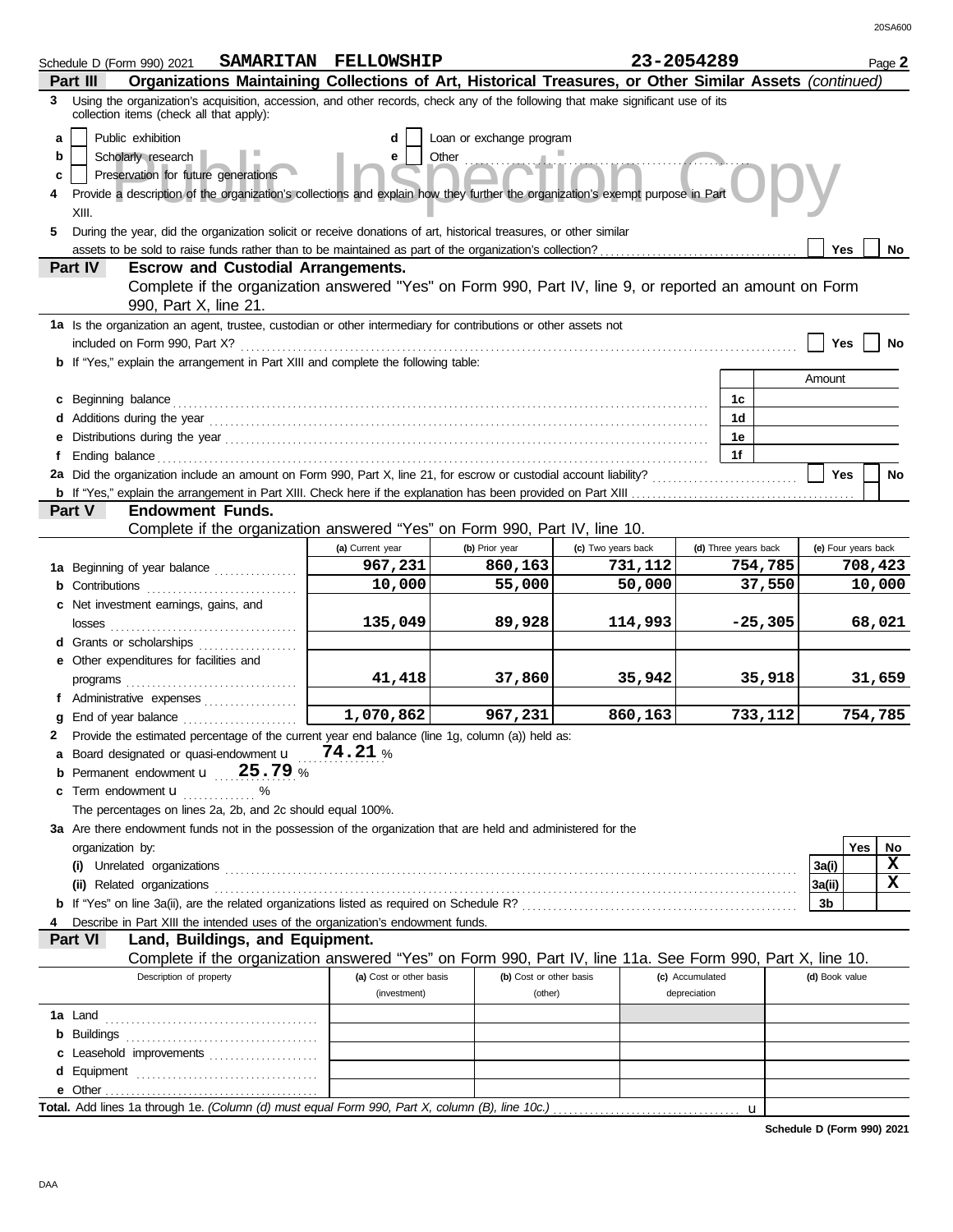|              | Schedule D (Form 990) 2021                                                                                                                                                  | SAMARITAN FELLOWSHIP    |                          |                    | 23-2054289           |           |                     |            | Page 2    |
|--------------|-----------------------------------------------------------------------------------------------------------------------------------------------------------------------------|-------------------------|--------------------------|--------------------|----------------------|-----------|---------------------|------------|-----------|
|              | Organizations Maintaining Collections of Art, Historical Treasures, or Other Similar Assets (continued)<br>Part III                                                         |                         |                          |                    |                      |           |                     |            |           |
| 3            | Using the organization's acquisition, accession, and other records, check any of the following that make significant use of its<br>collection items (check all that apply): |                         |                          |                    |                      |           |                     |            |           |
| a            | Public exhibition                                                                                                                                                           | d                       | Loan or exchange program |                    |                      |           |                     |            |           |
| b            | Scholarly research                                                                                                                                                          | е                       | Other                    |                    |                      |           |                     |            |           |
| c            | Preservation for future generations                                                                                                                                         |                         |                          |                    |                      |           |                     |            |           |
| 4            | Provide a description of the organization's collections and explain how they further the organization's exempt purpose in Part                                              |                         |                          |                    |                      |           |                     |            |           |
|              | XIII.                                                                                                                                                                       |                         |                          |                    |                      |           |                     |            |           |
| 5            | During the year, did the organization solicit or receive donations of art, historical treasures, or other similar                                                           |                         |                          |                    |                      |           |                     |            |           |
|              |                                                                                                                                                                             |                         |                          |                    |                      |           | <b>Yes</b>          |            | No.       |
|              | Part IV<br><b>Escrow and Custodial Arrangements.</b>                                                                                                                        |                         |                          |                    |                      |           |                     |            |           |
|              | Complete if the organization answered "Yes" on Form 990, Part IV, line 9, or reported an amount on Form<br>990, Part X, line 21.                                            |                         |                          |                    |                      |           |                     |            |           |
|              | 1a Is the organization an agent, trustee, custodian or other intermediary for contributions or other assets not                                                             |                         |                          |                    |                      |           |                     |            |           |
|              | included on Form 990, Part X?                                                                                                                                               |                         |                          |                    |                      |           | Yes                 |            | No        |
|              | <b>b</b> If "Yes," explain the arrangement in Part XIII and complete the following table:                                                                                   |                         |                          |                    |                      |           | Amount              |            |           |
|              |                                                                                                                                                                             |                         |                          |                    |                      |           |                     |            |           |
|              | Beginning balance                                                                                                                                                           |                         |                          |                    | 1c<br>1 <sub>d</sub> |           |                     |            |           |
|              |                                                                                                                                                                             |                         |                          |                    | 1е                   |           |                     |            |           |
| f.           |                                                                                                                                                                             |                         |                          |                    | 1f                   |           |                     |            |           |
|              | 2a Did the organization include an amount on Form 990, Part X, line 21, for escrow or custodial account liability?                                                          |                         |                          |                    |                      |           | <b>Yes</b>          |            | <b>No</b> |
|              |                                                                                                                                                                             |                         |                          |                    |                      |           |                     |            |           |
|              | <b>Part V</b><br><b>Endowment Funds.</b>                                                                                                                                    |                         |                          |                    |                      |           |                     |            |           |
|              | Complete if the organization answered "Yes" on Form 990, Part IV, line 10.                                                                                                  |                         |                          |                    |                      |           |                     |            |           |
|              |                                                                                                                                                                             | (a) Current year        | (b) Prior year           | (c) Two years back | (d) Three years back |           | (e) Four years back |            |           |
|              | 1a Beginning of year balance                                                                                                                                                | 967,231                 | 860,163                  | 731,112            |                      | 754,785   |                     | 708,423    |           |
|              | <b>b</b> Contributions                                                                                                                                                      | 10,000                  | 55,000                   | 50,000             |                      | 37,550    |                     |            | 10,000    |
|              | c Net investment earnings, gains, and                                                                                                                                       |                         |                          |                    |                      |           |                     |            |           |
|              | losses                                                                                                                                                                      | 135,049                 | 89,928                   | 114,993            |                      | $-25,305$ |                     |            | 68,021    |
|              | <b>d</b> Grants or scholarships                                                                                                                                             |                         |                          |                    |                      |           |                     |            |           |
|              | e Other expenditures for facilities and                                                                                                                                     |                         |                          |                    |                      |           |                     |            |           |
|              |                                                                                                                                                                             | 41,418                  | 37,860                   | 35,942             |                      | 35,918    |                     |            | 31,659    |
|              | f Administrative expenses                                                                                                                                                   |                         |                          |                    |                      |           |                     |            |           |
|              | End of year balance <i>[[[[[[[[[[[[[[[[[[[[[[[[[[[[[[[[]]</i> ]]]]]                                                                                                         | 1,070,862               | 967,231                  | 860,163            |                      | 733,112   |                     | 754,785    |           |
| $\mathbf{2}$ | Provide the estimated percentage of the current year end balance (line 1g, column (a)) held as:                                                                             |                         |                          |                    |                      |           |                     |            |           |
| a            | Board designated or quasi-endowment u                                                                                                                                       | 74.21%                  |                          |                    |                      |           |                     |            |           |
|              | Permanent endowment <b>u</b> 25.79 %                                                                                                                                        |                         |                          |                    |                      |           |                     |            |           |
| c            | Term endowment <b>u</b><br>%                                                                                                                                                |                         |                          |                    |                      |           |                     |            |           |
|              | The percentages on lines 2a, 2b, and 2c should equal 100%.                                                                                                                  |                         |                          |                    |                      |           |                     |            |           |
|              | 3a Are there endowment funds not in the possession of the organization that are held and administered for the                                                               |                         |                          |                    |                      |           |                     |            |           |
|              | organization by:                                                                                                                                                            |                         |                          |                    |                      |           |                     | <b>Yes</b> | No.       |
|              | (i) Unrelated organizations                                                                                                                                                 |                         |                          |                    |                      |           | 3a(i)               |            | x         |
|              | (ii) Related organizations                                                                                                                                                  |                         |                          |                    |                      |           | 3a(ii)              |            | x         |
|              |                                                                                                                                                                             |                         |                          |                    |                      |           | 3b                  |            |           |
|              | Describe in Part XIII the intended uses of the organization's endowment funds.                                                                                              |                         |                          |                    |                      |           |                     |            |           |
|              | <b>Part VI</b><br>Land, Buildings, and Equipment.                                                                                                                           |                         |                          |                    |                      |           |                     |            |           |
|              | Complete if the organization answered "Yes" on Form 990, Part IV, line 11a. See Form 990, Part X, line 10.                                                                  |                         |                          |                    |                      |           |                     |            |           |
|              | Description of property                                                                                                                                                     | (a) Cost or other basis | (b) Cost or other basis  |                    | (c) Accumulated      |           | (d) Book value      |            |           |
|              |                                                                                                                                                                             | (investment)            | (other)                  |                    | depreciation         |           |                     |            |           |
|              |                                                                                                                                                                             |                         |                          |                    |                      |           |                     |            |           |
|              | <b>b</b> Buildings <b>construction b</b> Buildings <b>construction construction b</b>                                                                                       |                         |                          |                    |                      |           |                     |            |           |
|              | c Leasehold improvements                                                                                                                                                    |                         |                          |                    |                      |           |                     |            |           |
|              |                                                                                                                                                                             |                         |                          |                    |                      |           |                     |            |           |
|              |                                                                                                                                                                             |                         |                          |                    |                      |           |                     |            |           |
|              |                                                                                                                                                                             |                         |                          |                    |                      | u         |                     |            |           |

**Schedule D (Form 990) 2021**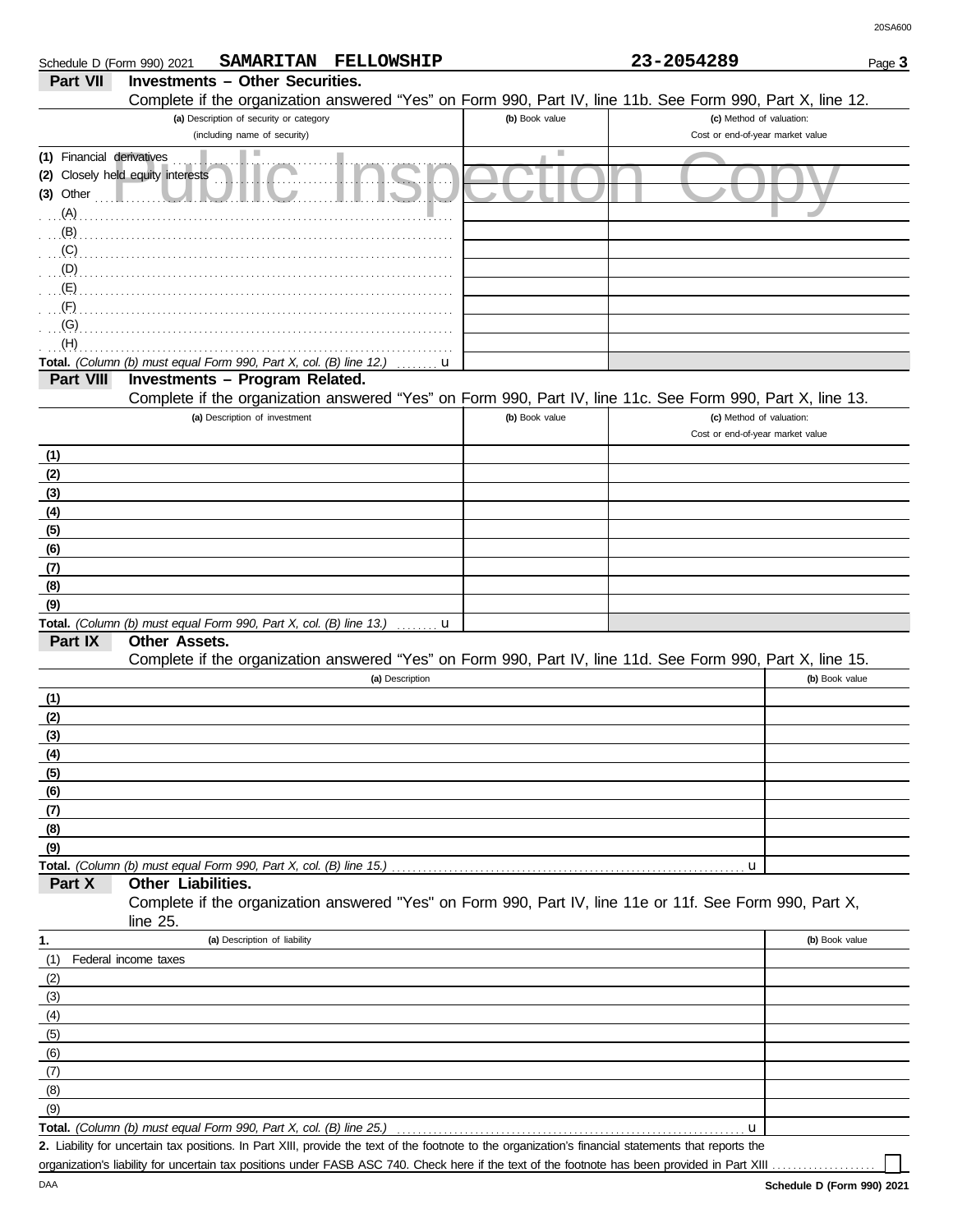| Schedule D (Form 990) 2021 |                                                                                                      |                                                                         | SAMARITAN FELLOWSHIP |                | 23-2054289                                                                                                                                           | Page 3         |
|----------------------------|------------------------------------------------------------------------------------------------------|-------------------------------------------------------------------------|----------------------|----------------|------------------------------------------------------------------------------------------------------------------------------------------------------|----------------|
| <b>Part VII</b>            | <b>Investments - Other Securities.</b>                                                               |                                                                         |                      |                |                                                                                                                                                      |                |
|                            |                                                                                                      |                                                                         |                      |                | Complete if the organization answered "Yes" on Form 990, Part IV, line 11b. See Form 990, Part X, line 12.                                           |                |
|                            |                                                                                                      | (a) Description of security or category<br>(including name of security) |                      | (b) Book value | (c) Method of valuation:                                                                                                                             |                |
| (1) Financial derivatives  |                                                                                                      |                                                                         |                      | ш              | Cost or end-of-year market value                                                                                                                     |                |
|                            | (2) Closely held equity interests                                                                    |                                                                         |                      |                |                                                                                                                                                      |                |
| $(3)$ Other                |                                                                                                      |                                                                         |                      |                |                                                                                                                                                      |                |
| (A)                        |                                                                                                      |                                                                         |                      |                |                                                                                                                                                      |                |
| (B)                        |                                                                                                      |                                                                         |                      |                |                                                                                                                                                      |                |
| (C)                        |                                                                                                      |                                                                         |                      |                |                                                                                                                                                      |                |
| (D)                        |                                                                                                      |                                                                         |                      |                |                                                                                                                                                      |                |
| (E)                        |                                                                                                      |                                                                         |                      |                |                                                                                                                                                      |                |
| (F)                        |                                                                                                      |                                                                         |                      |                |                                                                                                                                                      |                |
| (G)                        |                                                                                                      |                                                                         |                      |                |                                                                                                                                                      |                |
| (H)                        |                                                                                                      |                                                                         |                      |                |                                                                                                                                                      |                |
| Part VIII                  | Total. (Column (b) must equal Form 990, Part X, col. (B) line 12.)<br>Investments - Program Related. |                                                                         | u                    |                |                                                                                                                                                      |                |
|                            |                                                                                                      |                                                                         |                      |                | Complete if the organization answered "Yes" on Form 990, Part IV, line 11c. See Form 990, Part X, line 13.                                           |                |
|                            |                                                                                                      | (a) Description of investment                                           |                      | (b) Book value | (c) Method of valuation:                                                                                                                             |                |
|                            |                                                                                                      |                                                                         |                      |                | Cost or end-of-year market value                                                                                                                     |                |
| (1)                        |                                                                                                      |                                                                         |                      |                |                                                                                                                                                      |                |
| (2)                        |                                                                                                      |                                                                         |                      |                |                                                                                                                                                      |                |
| (3)                        |                                                                                                      |                                                                         |                      |                |                                                                                                                                                      |                |
| (4)                        |                                                                                                      |                                                                         |                      |                |                                                                                                                                                      |                |
| (5)                        |                                                                                                      |                                                                         |                      |                |                                                                                                                                                      |                |
| (6)                        |                                                                                                      |                                                                         |                      |                |                                                                                                                                                      |                |
| (7)<br>(8)                 |                                                                                                      |                                                                         |                      |                |                                                                                                                                                      |                |
| (9)                        |                                                                                                      |                                                                         |                      |                |                                                                                                                                                      |                |
|                            | Total. (Column (b) must equal Form 990, Part X, col. (B) line 13.)                                   |                                                                         | u                    |                |                                                                                                                                                      |                |
| Part IX                    | <b>Other Assets.</b>                                                                                 |                                                                         |                      |                |                                                                                                                                                      |                |
|                            |                                                                                                      |                                                                         |                      |                | Complete if the organization answered "Yes" on Form 990, Part IV, line 11d. See Form 990, Part X, line 15.                                           |                |
|                            |                                                                                                      |                                                                         | (a) Description      |                |                                                                                                                                                      | (b) Book value |
| (1)                        |                                                                                                      |                                                                         |                      |                |                                                                                                                                                      |                |
| (2)                        |                                                                                                      |                                                                         |                      |                |                                                                                                                                                      |                |
| (3)                        |                                                                                                      |                                                                         |                      |                |                                                                                                                                                      |                |
| (4)<br>(5)                 |                                                                                                      |                                                                         |                      |                |                                                                                                                                                      |                |
| (6)                        |                                                                                                      |                                                                         |                      |                |                                                                                                                                                      |                |
| (7)                        |                                                                                                      |                                                                         |                      |                |                                                                                                                                                      |                |
| (8)                        |                                                                                                      |                                                                         |                      |                |                                                                                                                                                      |                |
| (9)                        |                                                                                                      |                                                                         |                      |                |                                                                                                                                                      |                |
|                            | Total. (Column (b) must equal Form 990, Part X, col. (B) line 15.)                                   |                                                                         |                      |                | u                                                                                                                                                    |                |
| Part X                     | Other Liabilities.                                                                                   |                                                                         |                      |                | Complete if the organization answered "Yes" on Form 990, Part IV, line 11e or 11f. See Form 990, Part X,                                             |                |
|                            | line 25.                                                                                             |                                                                         |                      |                |                                                                                                                                                      |                |
| 1.                         |                                                                                                      | (a) Description of liability                                            |                      |                |                                                                                                                                                      | (b) Book value |
| (1)                        | Federal income taxes                                                                                 |                                                                         |                      |                |                                                                                                                                                      |                |
| (2)                        |                                                                                                      |                                                                         |                      |                |                                                                                                                                                      |                |
| (3)                        |                                                                                                      |                                                                         |                      |                |                                                                                                                                                      |                |
| (4)                        |                                                                                                      |                                                                         |                      |                |                                                                                                                                                      |                |
| (5)                        |                                                                                                      |                                                                         |                      |                |                                                                                                                                                      |                |
| (6)                        |                                                                                                      |                                                                         |                      |                |                                                                                                                                                      |                |
| (7)                        |                                                                                                      |                                                                         |                      |                |                                                                                                                                                      |                |
| (8)                        |                                                                                                      |                                                                         |                      |                |                                                                                                                                                      |                |
| (9)                        | Total. (Column (b) must equal Form 990, Part X, col. (B) line 25.)                                   |                                                                         |                      |                | u                                                                                                                                                    |                |
|                            |                                                                                                      |                                                                         |                      |                | 2. Liability for uncertain tax positions. In Part XIII, provide the text of the footnote to the organization's financial statements that reports the |                |
|                            |                                                                                                      |                                                                         |                      |                | organization's liability for uncertain tax positions under FASB ASC 740. Check here if the text of the footnote has been provided in Part XIII       |                |

DAA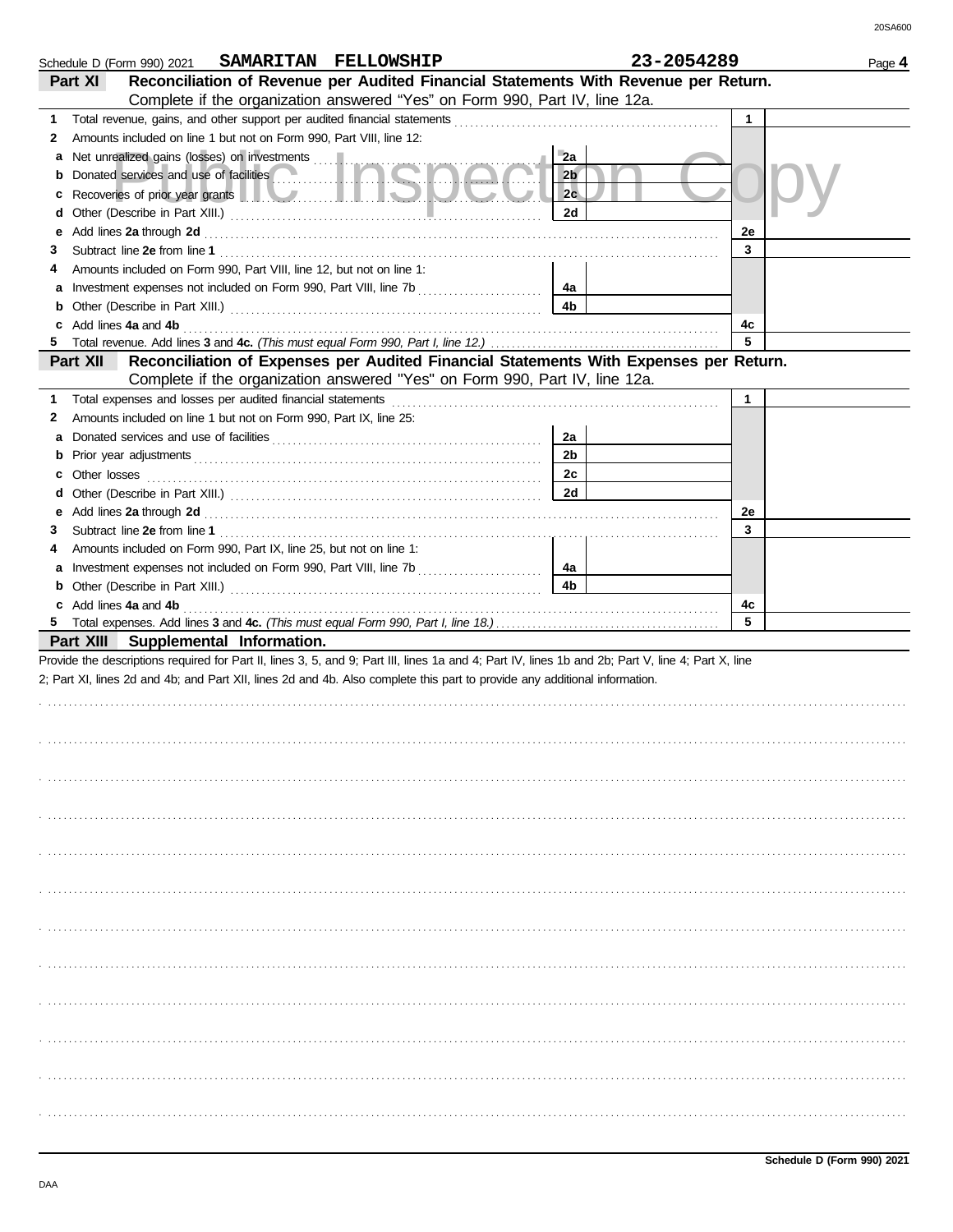|   | Schedule D (Form 990) 2021 SAMARITAN FELLOWSHIP                                                                                                                                                                                                                                       |                | 23-2054289 |              | Page 4 |
|---|---------------------------------------------------------------------------------------------------------------------------------------------------------------------------------------------------------------------------------------------------------------------------------------|----------------|------------|--------------|--------|
|   | Reconciliation of Revenue per Audited Financial Statements With Revenue per Return.<br>Part XI                                                                                                                                                                                        |                |            |              |        |
|   | Complete if the organization answered "Yes" on Form 990, Part IV, line 12a.                                                                                                                                                                                                           |                |            |              |        |
| 1 |                                                                                                                                                                                                                                                                                       |                |            | 1            |        |
| 2 | Amounts included on line 1 but not on Form 990, Part VIII, line 12:                                                                                                                                                                                                                   |                |            |              |        |
| а | Net unrealized gains (losses) on investments                                                                                                                                                                                                                                          | 2a             |            |              |        |
| b |                                                                                                                                                                                                                                                                                       | 2 <sub>b</sub> |            |              |        |
| с | Recoveries of prior year grants <b>The Community of the Community of the Community of the Community of the Community</b>                                                                                                                                                              | 2c             |            |              |        |
| d |                                                                                                                                                                                                                                                                                       | 2d             |            |              |        |
| е |                                                                                                                                                                                                                                                                                       |                |            | 2e           |        |
| 3 |                                                                                                                                                                                                                                                                                       |                |            | 3            |        |
|   | Amounts included on Form 990, Part VIII, line 12, but not on line 1:                                                                                                                                                                                                                  |                |            |              |        |
| а |                                                                                                                                                                                                                                                                                       | 4a             |            |              |        |
| b |                                                                                                                                                                                                                                                                                       | 4b             |            |              |        |
|   |                                                                                                                                                                                                                                                                                       |                |            | 4c           |        |
| 5 |                                                                                                                                                                                                                                                                                       |                |            | 5            |        |
|   | Reconciliation of Expenses per Audited Financial Statements With Expenses per Return.<br>Part XII                                                                                                                                                                                     |                |            |              |        |
|   | Complete if the organization answered "Yes" on Form 990, Part IV, line 12a.                                                                                                                                                                                                           |                |            |              |        |
| 1 |                                                                                                                                                                                                                                                                                       |                |            | $\mathbf{1}$ |        |
| 2 | Amounts included on line 1 but not on Form 990, Part IX, line 25:                                                                                                                                                                                                                     |                |            |              |        |
| а |                                                                                                                                                                                                                                                                                       | 2a             |            |              |        |
| b |                                                                                                                                                                                                                                                                                       | 2 <sub>b</sub> |            |              |        |
| с | Other losses                                                                                                                                                                                                                                                                          | 2c             |            |              |        |
| a |                                                                                                                                                                                                                                                                                       | 2d             |            |              |        |
| е |                                                                                                                                                                                                                                                                                       |                |            | 2e           |        |
| 3 |                                                                                                                                                                                                                                                                                       |                |            | 3            |        |
|   | Amounts included on Form 990, Part IX, line 25, but not on line 1:                                                                                                                                                                                                                    |                |            |              |        |
| а |                                                                                                                                                                                                                                                                                       | 4a             |            |              |        |
|   |                                                                                                                                                                                                                                                                                       | 4b             |            |              |        |
|   | c Add lines 4a and 4b (a) and $\frac{1}{2}$ and $\frac{1}{2}$ and $\frac{1}{2}$ and $\frac{1}{2}$ and $\frac{1}{2}$ and $\frac{1}{2}$ and $\frac{1}{2}$ and $\frac{1}{2}$ and $\frac{1}{2}$ and $\frac{1}{2}$ and $\frac{1}{2}$ and $\frac{1}{2}$ and $\frac{1}{2}$ and $\frac{1}{2}$ |                |            | 4c           |        |
|   |                                                                                                                                                                                                                                                                                       |                |            | 5            |        |
|   | Part XIII Supplemental Information.                                                                                                                                                                                                                                                   |                |            |              |        |
|   | Provide the descriptions required for Part II, lines 3, 5, and 9; Part III, lines 1a and 4; Part IV, lines 1b and 2b; Part V, line 4; Part X, line                                                                                                                                    |                |            |              |        |
|   | 2; Part XI, lines 2d and 4b; and Part XII, lines 2d and 4b. Also complete this part to provide any additional information.                                                                                                                                                            |                |            |              |        |
|   |                                                                                                                                                                                                                                                                                       |                |            |              |        |
|   |                                                                                                                                                                                                                                                                                       |                |            |              |        |
|   |                                                                                                                                                                                                                                                                                       |                |            |              |        |
|   |                                                                                                                                                                                                                                                                                       |                |            |              |        |
|   |                                                                                                                                                                                                                                                                                       |                |            |              |        |
|   |                                                                                                                                                                                                                                                                                       |                |            |              |        |
|   |                                                                                                                                                                                                                                                                                       |                |            |              |        |
|   |                                                                                                                                                                                                                                                                                       |                |            |              |        |
|   |                                                                                                                                                                                                                                                                                       |                |            |              |        |
|   |                                                                                                                                                                                                                                                                                       |                |            |              |        |
|   |                                                                                                                                                                                                                                                                                       |                |            |              |        |
|   |                                                                                                                                                                                                                                                                                       |                |            |              |        |
|   |                                                                                                                                                                                                                                                                                       |                |            |              |        |
|   |                                                                                                                                                                                                                                                                                       |                |            |              |        |
|   |                                                                                                                                                                                                                                                                                       |                |            |              |        |
|   |                                                                                                                                                                                                                                                                                       |                |            |              |        |
|   |                                                                                                                                                                                                                                                                                       |                |            |              |        |
|   |                                                                                                                                                                                                                                                                                       |                |            |              |        |
|   |                                                                                                                                                                                                                                                                                       |                |            |              |        |
|   |                                                                                                                                                                                                                                                                                       |                |            |              |        |
|   |                                                                                                                                                                                                                                                                                       |                |            |              |        |
|   |                                                                                                                                                                                                                                                                                       |                |            |              |        |
|   |                                                                                                                                                                                                                                                                                       |                |            |              |        |
|   |                                                                                                                                                                                                                                                                                       |                |            |              |        |
|   |                                                                                                                                                                                                                                                                                       |                |            |              |        |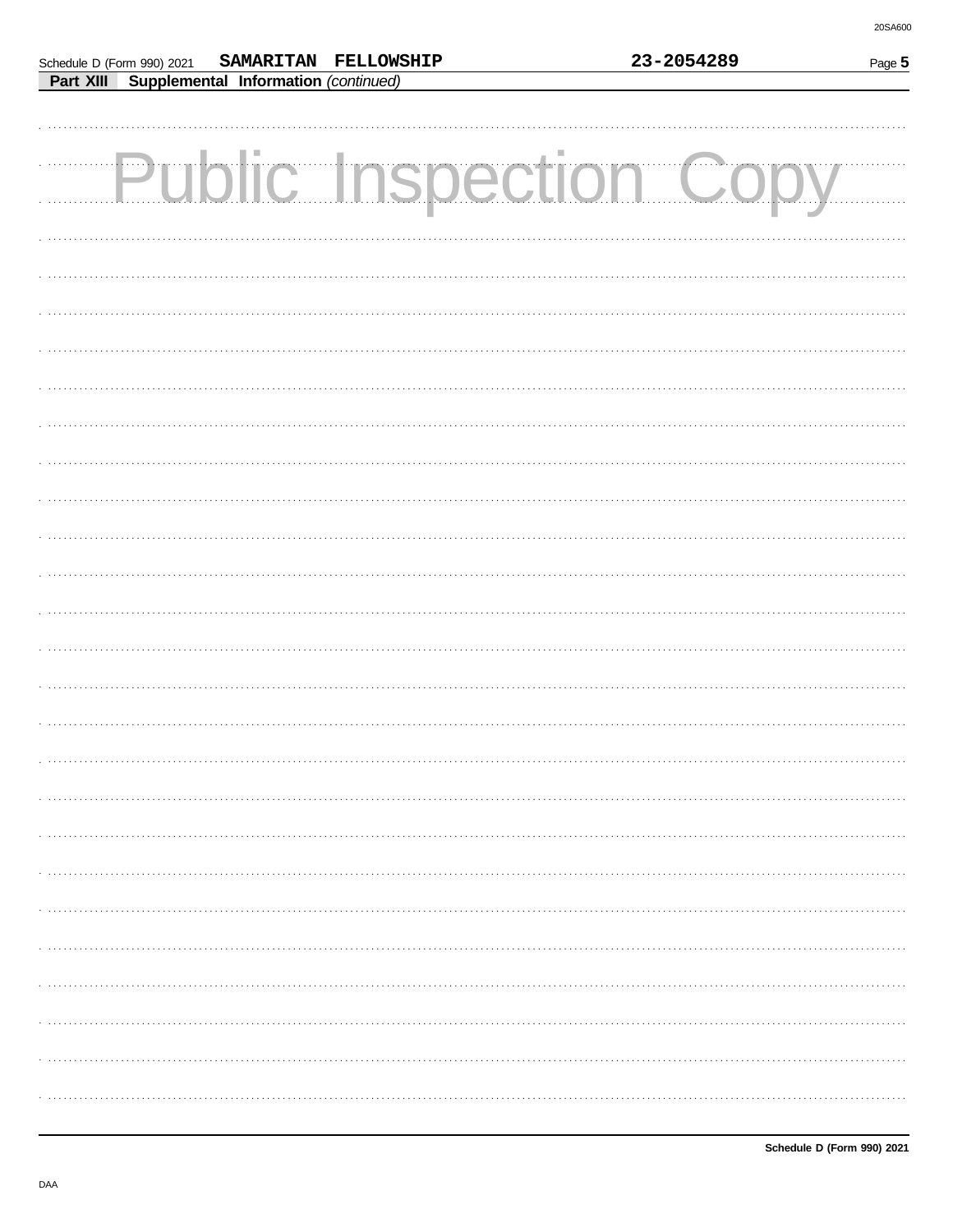| <b>Public Inspection Copy</b> |  |
|-------------------------------|--|
|                               |  |
|                               |  |
|                               |  |
|                               |  |
|                               |  |
|                               |  |
|                               |  |
|                               |  |
|                               |  |
|                               |  |
|                               |  |
|                               |  |
|                               |  |
|                               |  |
|                               |  |
|                               |  |
|                               |  |
|                               |  |
|                               |  |
|                               |  |

Schedule D (Form 990) 2021

Part XIII Supplemental Information (continued)

SAMARITAN FELLOWSHIP

23-2054289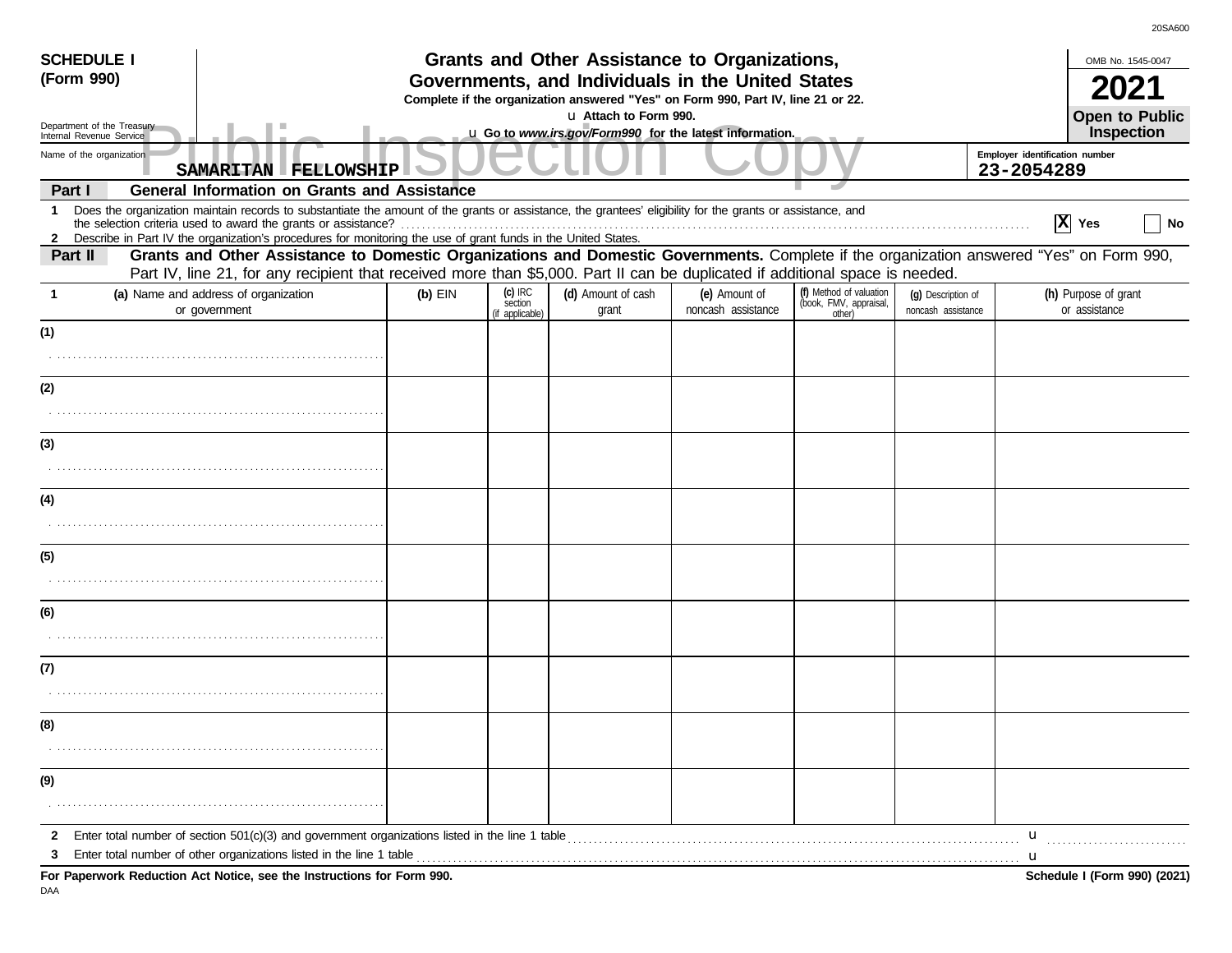| <b>SCHEDULE I</b>                                      |                                                                                                                                                                                                                                                                                 |                                                                                                                                       |                                         | Grants and Other Assistance to Organizations,                                    |                                     |                                                             |                                          | OMB No. 1545-0047                                                    |                |  |
|--------------------------------------------------------|---------------------------------------------------------------------------------------------------------------------------------------------------------------------------------------------------------------------------------------------------------------------------------|---------------------------------------------------------------------------------------------------------------------------------------|-----------------------------------------|----------------------------------------------------------------------------------|-------------------------------------|-------------------------------------------------------------|------------------------------------------|----------------------------------------------------------------------|----------------|--|
| (Form 990)                                             |                                                                                                                                                                                                                                                                                 | Governments, and Individuals in the United States<br>Complete if the organization answered "Yes" on Form 990, Part IV, line 21 or 22. |                                         |                                                                                  |                                     |                                                             |                                          |                                                                      |                |  |
| Department of the Treasury<br>Internal Revenue Service |                                                                                                                                                                                                                                                                                 |                                                                                                                                       |                                         | u Attach to Form 990.<br>u Go to www.irs.gov/Form990_for the latest information. |                                     |                                                             |                                          | Inspection                                                           | Open to Public |  |
| Name of the organization                               | SAMARITAN FELLOWSHIP                                                                                                                                                                                                                                                            | Employer identification number<br>23-2054289                                                                                          |                                         |                                                                                  |                                     |                                                             |                                          |                                                                      |                |  |
| Part I                                                 | <b>General Information on Grants and Assistance</b>                                                                                                                                                                                                                             |                                                                                                                                       |                                         |                                                                                  |                                     |                                                             |                                          |                                                                      |                |  |
|                                                        | 1 Does the organization maintain records to substantiate the amount of the grants or assistance, the grantees' eligibility for the grants or assistance, and<br>2 Describe in Part IV the organization's procedures for monitoring the use of grant funds in the United States. |                                                                                                                                       |                                         |                                                                                  |                                     |                                                             |                                          | $ X $ Yes                                                            | No             |  |
| Part II                                                | Grants and Other Assistance to Domestic Organizations and Domestic Governments. Complete if the organization answered "Yes" on Form 990,<br>Part IV, line 21, for any recipient that received more than \$5,000. Part II can be duplicated if additional space is needed.       |                                                                                                                                       |                                         |                                                                                  |                                     |                                                             |                                          |                                                                      |                |  |
|                                                        | (a) Name and address of organization<br>or government                                                                                                                                                                                                                           | $(b)$ EIN                                                                                                                             | $(c)$ IRC<br>section<br>(if applicable) | (d) Amount of cash<br>grant                                                      | (e) Amount of<br>noncash assistance | (f) Method of valuation<br>(book, FMV, appraisal,<br>other) | (g) Description of<br>noncash assistance | (h) Purpose of grant<br>or assistance                                |                |  |
| (1)                                                    |                                                                                                                                                                                                                                                                                 |                                                                                                                                       |                                         |                                                                                  |                                     |                                                             |                                          |                                                                      |                |  |
|                                                        |                                                                                                                                                                                                                                                                                 |                                                                                                                                       |                                         |                                                                                  |                                     |                                                             |                                          |                                                                      |                |  |
| (2)                                                    |                                                                                                                                                                                                                                                                                 |                                                                                                                                       |                                         |                                                                                  |                                     |                                                             |                                          |                                                                      |                |  |
|                                                        |                                                                                                                                                                                                                                                                                 |                                                                                                                                       |                                         |                                                                                  |                                     |                                                             |                                          |                                                                      |                |  |
| (3)                                                    |                                                                                                                                                                                                                                                                                 |                                                                                                                                       |                                         |                                                                                  |                                     |                                                             |                                          |                                                                      |                |  |
|                                                        |                                                                                                                                                                                                                                                                                 |                                                                                                                                       |                                         |                                                                                  |                                     |                                                             |                                          |                                                                      |                |  |
| (4)                                                    |                                                                                                                                                                                                                                                                                 |                                                                                                                                       |                                         |                                                                                  |                                     |                                                             |                                          |                                                                      |                |  |
|                                                        |                                                                                                                                                                                                                                                                                 |                                                                                                                                       |                                         |                                                                                  |                                     |                                                             |                                          |                                                                      |                |  |
| (5)                                                    |                                                                                                                                                                                                                                                                                 |                                                                                                                                       |                                         |                                                                                  |                                     |                                                             |                                          |                                                                      |                |  |
|                                                        |                                                                                                                                                                                                                                                                                 |                                                                                                                                       |                                         |                                                                                  |                                     |                                                             |                                          |                                                                      |                |  |
| (6)                                                    |                                                                                                                                                                                                                                                                                 |                                                                                                                                       |                                         |                                                                                  |                                     |                                                             |                                          |                                                                      |                |  |
|                                                        |                                                                                                                                                                                                                                                                                 |                                                                                                                                       |                                         |                                                                                  |                                     |                                                             |                                          |                                                                      |                |  |
| (7)                                                    |                                                                                                                                                                                                                                                                                 |                                                                                                                                       |                                         |                                                                                  |                                     |                                                             |                                          |                                                                      |                |  |
|                                                        |                                                                                                                                                                                                                                                                                 |                                                                                                                                       |                                         |                                                                                  |                                     |                                                             |                                          |                                                                      |                |  |
| (8)                                                    |                                                                                                                                                                                                                                                                                 |                                                                                                                                       |                                         |                                                                                  |                                     |                                                             |                                          |                                                                      |                |  |
|                                                        |                                                                                                                                                                                                                                                                                 |                                                                                                                                       |                                         |                                                                                  |                                     |                                                             |                                          |                                                                      |                |  |
| (9)                                                    |                                                                                                                                                                                                                                                                                 |                                                                                                                                       |                                         |                                                                                  |                                     |                                                             |                                          |                                                                      |                |  |
|                                                        |                                                                                                                                                                                                                                                                                 |                                                                                                                                       |                                         |                                                                                  |                                     |                                                             |                                          |                                                                      |                |  |
|                                                        | 2 Enter total number of section 501(c)(3) and government organizations listed in the line 1 table                                                                                                                                                                               |                                                                                                                                       |                                         |                                                                                  |                                     |                                                             |                                          | $\mathbf{u}$<br><u> 1986 - Johann Stoff, Amerikaansk politiker (</u> |                |  |
| 3                                                      | For Paperwork Reduction Act Notice, see the Instructions for Form 990.                                                                                                                                                                                                          |                                                                                                                                       |                                         |                                                                                  |                                     |                                                             |                                          | u<br>Schedule I (Form 990) (2021)                                    |                |  |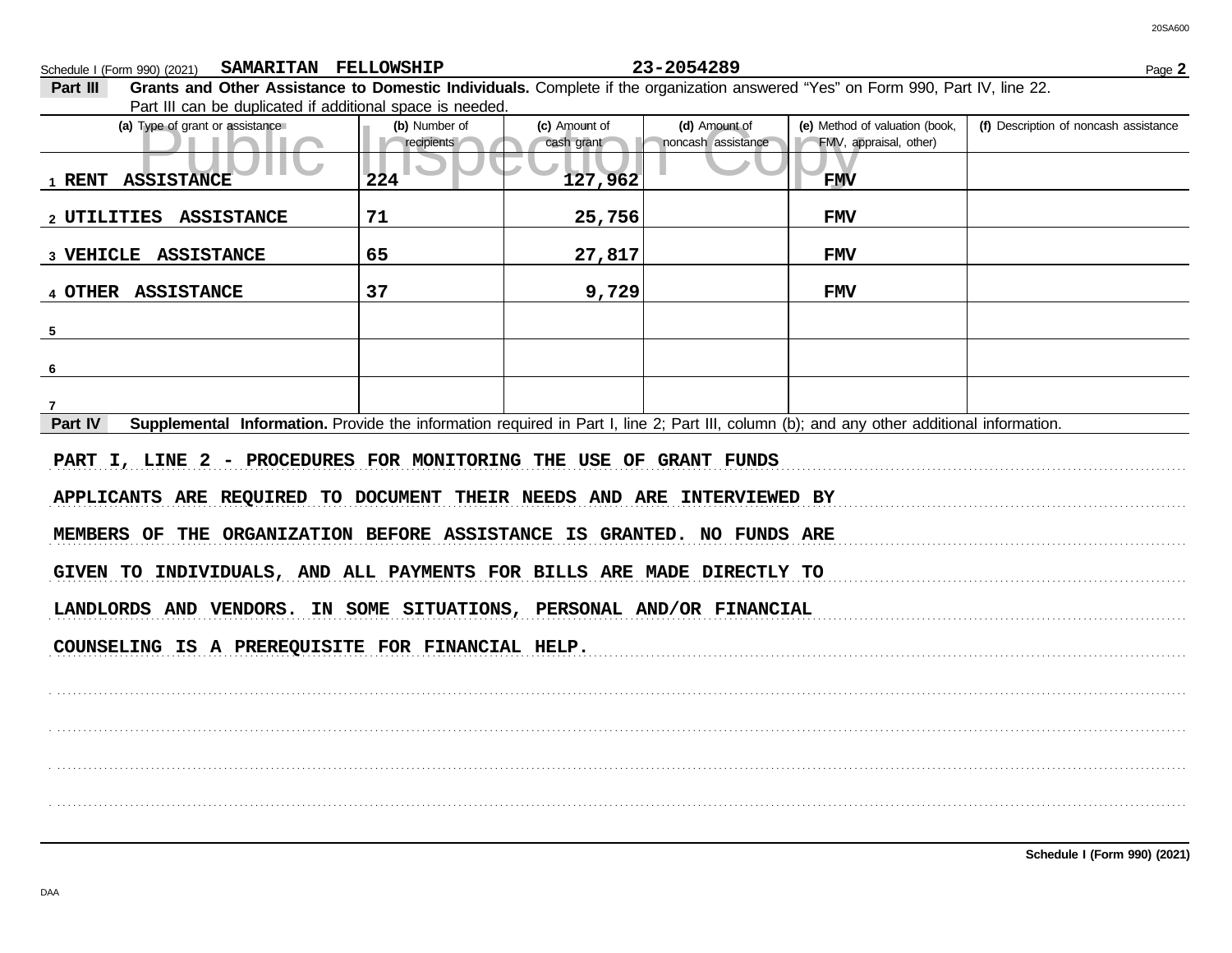Schedule I (Form 990) (2021) Page **2 SAMARITAN FELLOWSHIP 23-2054289**

20SA600

**Part III Grants and Other Assistance to Domestic Individuals.** Complete if the organization answered "Yes" on Form 990, Part IV, line 22. Part III can be duplicated if additional space is needed.

| r art in carr be duplicated in additional space is riceded.<br>(a) Type of grant or assistance                                                       | (b) Number of<br>recipients | (c) Amount of<br>cash grant | (d) Amount of<br>noncash assistance | (e) Method of valuation (book,<br>FMV, appraisal, other) | (f) Description of noncash assistance |  |  |  |
|------------------------------------------------------------------------------------------------------------------------------------------------------|-----------------------------|-----------------------------|-------------------------------------|----------------------------------------------------------|---------------------------------------|--|--|--|
| 1 RENT ASSISTANCE                                                                                                                                    | 224                         | 127,962                     |                                     | <b>FMV</b>                                               |                                       |  |  |  |
| 2 UTILITIES ASSISTANCE                                                                                                                               | 71                          | 25,756                      |                                     | <b>FMV</b>                                               |                                       |  |  |  |
| 3 VEHICLE ASSISTANCE                                                                                                                                 | 65                          | 27,817                      |                                     | <b>FMV</b>                                               |                                       |  |  |  |
| 4 OTHER ASSISTANCE                                                                                                                                   | 37                          | 9,729                       |                                     | <b>FMV</b>                                               |                                       |  |  |  |
| $5 -$                                                                                                                                                |                             |                             |                                     |                                                          |                                       |  |  |  |
| 6                                                                                                                                                    |                             |                             |                                     |                                                          |                                       |  |  |  |
|                                                                                                                                                      |                             |                             |                                     |                                                          |                                       |  |  |  |
| Supplemental Information. Provide the information required in Part I, line 2; Part III, column (b); and any other additional information.<br>Part IV |                             |                             |                                     |                                                          |                                       |  |  |  |
| PART I, LINE 2 - PROCEDURES FOR MONITORING THE USE OF GRANT FUNDS                                                                                    |                             |                             |                                     |                                                          |                                       |  |  |  |
| APPLICANTS ARE REQUIRED TO DOCUMENT THEIR NEEDS AND ARE INTERVIEWED BY                                                                               |                             |                             |                                     |                                                          |                                       |  |  |  |
| MEMBERS OF THE ORGANIZATION BEFORE ASSISTANCE IS GRANTED. NO FUNDS ARE                                                                               |                             |                             |                                     |                                                          |                                       |  |  |  |
| GIVEN TO INDIVIDUALS, AND ALL PAYMENTS FOR BILLS ARE MADE DIRECTLY TO                                                                                |                             |                             |                                     |                                                          |                                       |  |  |  |
| LANDLORDS AND VENDORS. IN SOME SITUATIONS, PERSONAL AND/OR FINANCIAL                                                                                 |                             |                             |                                     |                                                          |                                       |  |  |  |
| COUNSELING IS A PREREQUISITE FOR FINANCIAL HELP.                                                                                                     |                             |                             |                                     |                                                          |                                       |  |  |  |
|                                                                                                                                                      |                             |                             |                                     |                                                          |                                       |  |  |  |
|                                                                                                                                                      |                             |                             |                                     |                                                          |                                       |  |  |  |
|                                                                                                                                                      |                             |                             |                                     |                                                          |                                       |  |  |  |
|                                                                                                                                                      |                             |                             |                                     |                                                          |                                       |  |  |  |
|                                                                                                                                                      |                             |                             |                                     |                                                          |                                       |  |  |  |

**Schedule I (Form 990) (2021)**